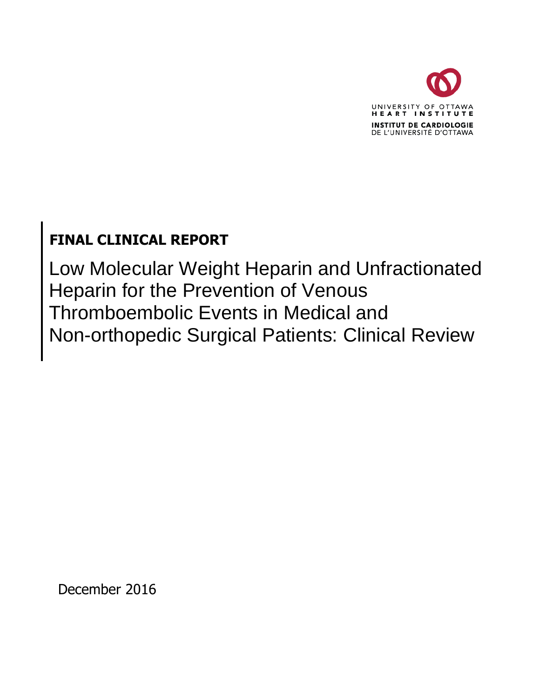

# **FINAL CLINICAL REPORT**

Low Molecular Weight Heparin and Unfractionated Heparin for the Prevention of Venous Thromboembolic Events in Medical and Non-orthopedic Surgical Patients: Clinical Review

December 2016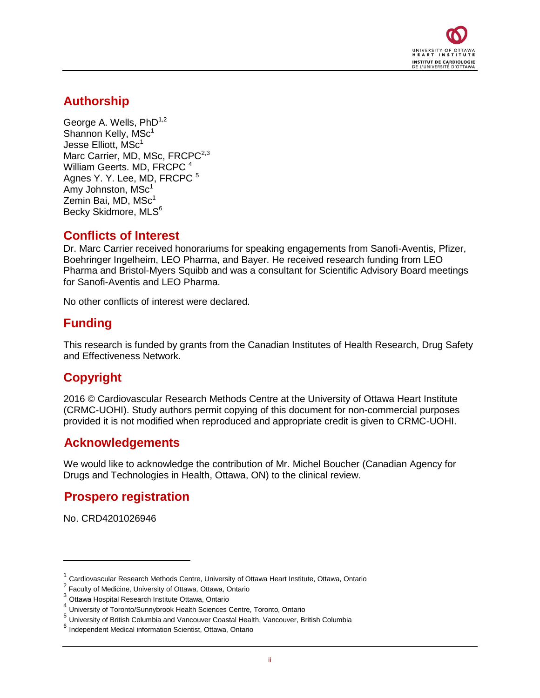

## **Authorship**

George A. Wells, PhD<sup>1,2</sup> Shannon Kelly, MSc<sup>1</sup> Jesse Elliott, MSc<sup>1</sup> Marc Carrier, MD, MSc, FRCPC<sup>2,3</sup> William Geerts. MD, FRCPC<sup>4</sup> Agnes Y. Y. Lee, MD, FRCPC<sup>5</sup> Amy Johnston,  $MSc<sup>1</sup>$ Zemin Bai, MD, MSc<sup>1</sup> Becky Skidmore, MLS<sup>6</sup>

### **Conflicts of Interest**

Dr. Marc Carrier received honorariums for speaking engagements from Sanofi-Aventis, Pfizer, Boehringer Ingelheim, LEO Pharma, and Bayer. He received research funding from LEO Pharma and Bristol-Myers Squibb and was a consultant for Scientific Advisory Board meetings for Sanofi-Aventis and LEO Pharma.

No other conflicts of interest were declared.

## **Funding**

This research is funded by grants from the Canadian Institutes of Health Research, Drug Safety and Effectiveness Network.

## **Copyright**

2016 © Cardiovascular Research Methods Centre at the University of Ottawa Heart Institute (CRMC-UOHI). Study authors permit copying of this document for non-commercial purposes provided it is not modified when reproduced and appropriate credit is given to CRMC-UOHI.

## **Acknowledgements**

We would like to acknowledge the contribution of Mr. Michel Boucher (Canadian Agency for Drugs and Technologies in Health, Ottawa, ON) to the clinical review.

### **Prospero registration**

No. CRD4201026946

<sup>1</sup> Cardiovascular Research Methods Centre, University of Ottawa Heart Institute, Ottawa, Ontario

<sup>&</sup>lt;sup>2</sup> Faculty of Medicine, University of Ottawa, Ottawa, Ontario

<sup>&</sup>lt;sup>3</sup> Ottawa Hospital Research Institute Ottawa, Ontario

<sup>4</sup> University of Toronto/Sunnybrook Health Sciences Centre, Toronto, Ontario

<sup>5</sup> University of British Columbia and Vancouver Coastal Health, Vancouver, British Columbia

<sup>6</sup> Independent Medical information Scientist, Ottawa, Ontario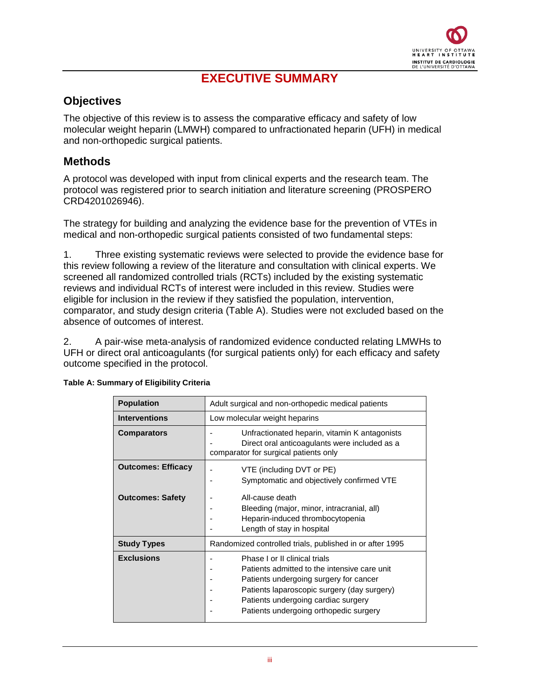

## **EXECUTIVE SUMMARY**

### <span id="page-2-0"></span>**Objectives**

The objective of this review is to assess the comparative efficacy and safety of low molecular weight heparin (LMWH) compared to unfractionated heparin (UFH) in medical and non-orthopedic surgical patients.

### <span id="page-2-1"></span>**Methods**

A protocol was developed with input from clinical experts and the research team. The protocol was registered prior to search initiation and literature screening (PROSPERO CRD4201026946).

The strategy for building and analyzing the evidence base for the prevention of VTEs in medical and non-orthopedic surgical patients consisted of two fundamental steps:

1. Three existing systematic reviews were selected to provide the evidence base for this review following a review of the literature and consultation with clinical experts. We screened all randomized controlled trials (RCTs) included by the existing systematic reviews and individual RCTs of interest were included in this review. Studies were eligible for inclusion in the review if they satisfied the population, intervention, comparator, and study design criteria (Table A). Studies were not excluded based on the absence of outcomes of interest.

2. A pair-wise meta-analysis of randomized evidence conducted relating LMWHs to UFH or direct oral anticoagulants (for surgical patients only) for each efficacy and safety outcome specified in the protocol.

| <b>Population</b>         | Adult surgical and non-orthopedic medical patients                                                                                                                                                                                                      |  |  |  |  |  |
|---------------------------|---------------------------------------------------------------------------------------------------------------------------------------------------------------------------------------------------------------------------------------------------------|--|--|--|--|--|
| <b>Interventions</b>      | Low molecular weight heparins                                                                                                                                                                                                                           |  |  |  |  |  |
| <b>Comparators</b>        | Unfractionated heparin, vitamin K antagonists<br>Direct oral anticoagulants were included as a<br>comparator for surgical patients only                                                                                                                 |  |  |  |  |  |
| <b>Outcomes: Efficacy</b> | VTE (including DVT or PE)<br>Symptomatic and objectively confirmed VTE                                                                                                                                                                                  |  |  |  |  |  |
| <b>Outcomes: Safety</b>   | All-cause death<br>Bleeding (major, minor, intracranial, all)<br>Heparin-induced thrombocytopenia<br>Length of stay in hospital                                                                                                                         |  |  |  |  |  |
| <b>Study Types</b>        | Randomized controlled trials, published in or after 1995                                                                                                                                                                                                |  |  |  |  |  |
| <b>Exclusions</b>         | Phase I or II clinical trials<br>Patients admitted to the intensive care unit<br>Patients undergoing surgery for cancer<br>Patients laparoscopic surgery (day surgery)<br>Patients undergoing cardiac surgery<br>Patients undergoing orthopedic surgery |  |  |  |  |  |

#### **Table A: Summary of Eligibility Criteria**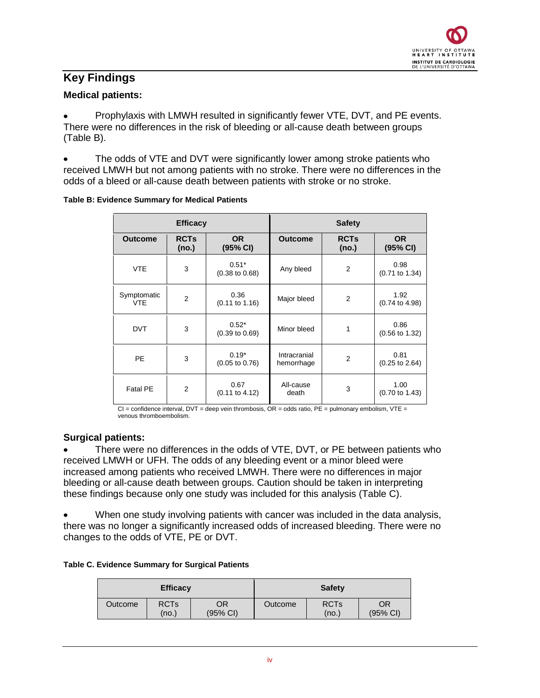### <span id="page-3-0"></span>**Key Findings**

#### **Medical patients:**

Prophylaxis with LMWH resulted in significantly fewer VTE, DVT, and PE events. There were no differences in the risk of bleeding or all-cause death between groups (Table B).

The odds of VTE and DVT were significantly lower among stroke patients who received LMWH but not among patients with no stroke. There were no differences in the odds of a bleed or all-cause death between patients with stroke or no stroke.

|                           | <b>Efficacy</b>      |                                      |                            | <b>Safety</b>        |                                   |
|---------------------------|----------------------|--------------------------------------|----------------------------|----------------------|-----------------------------------|
| <b>Outcome</b>            | <b>RCTs</b><br>(no.) | OR.<br>(95% CI)                      | <b>Outcome</b>             | <b>RCTs</b><br>(no.) | <b>OR</b><br>(95% CI)             |
| <b>VTE</b>                | 3                    | $0.51*$<br>$(0.38 \text{ to } 0.68)$ | Any bleed                  | $\overline{2}$       | 0.98<br>$(0.71$ to 1.34)          |
| Symptomatic<br><b>VTE</b> | $\overline{2}$       | 0.36<br>$(0.11 \text{ to } 1.16)$    | Major bleed                | $\overline{2}$       | 1.92<br>$(0.74 \text{ to } 4.98)$ |
| <b>DVT</b>                | 3                    | $0.52*$<br>$(0.39 \text{ to } 0.69)$ | Minor bleed                | 1                    | 0.86<br>$(0.56 \text{ to } 1.32)$ |
| <b>PE</b>                 | 3                    | $0.19*$<br>$(0.05 \text{ to } 0.76)$ | Intracranial<br>hemorrhage | $\overline{2}$       | 0.81<br>$(0.25 \text{ to } 2.64)$ |
| <b>Fatal PE</b>           | $\overline{2}$       | 0.67<br>$(0.11$ to 4.12)             | All-cause<br>death         | 3                    | 1.00<br>$(0.70 \text{ to } 1.43)$ |

#### **Table B: Evidence Summary for Medical Patients**

 $Cl =$  confidence interval, DVT = deep vein thrombosis,  $OR =$  odds ratio,  $PE =$  pulmonary embolism, VTE = venous thromboembolism.

#### **Surgical patients:**

There were no differences in the odds of VTE, DVT, or PE between patients who received LMWH or UFH. The odds of any bleeding event or a minor bleed were increased among patients who received LMWH. There were no differences in major bleeding or all-cause death between groups. Caution should be taken in interpreting these findings because only one study was included for this analysis (Table C).

When one study involving patients with cancer was included in the data analysis, there was no longer a significantly increased odds of increased bleeding. There were no changes to the odds of VTE, PE or DVT.

|  |  | Table C. Evidence Summary for Surgical Patients |  |  |
|--|--|-------------------------------------------------|--|--|
|--|--|-------------------------------------------------|--|--|

| <b>Efficacy</b> |                                                  |  | <b>Safety</b> |                      |                          |  |
|-----------------|--------------------------------------------------|--|---------------|----------------------|--------------------------|--|
| Outcome         | <b>RCTs</b><br>OR<br>$(95% \text{ Cl})$<br>(no.) |  | Outcome       | <b>RCTs</b><br>(no.) | OR<br>$(95% \text{ Cl})$ |  |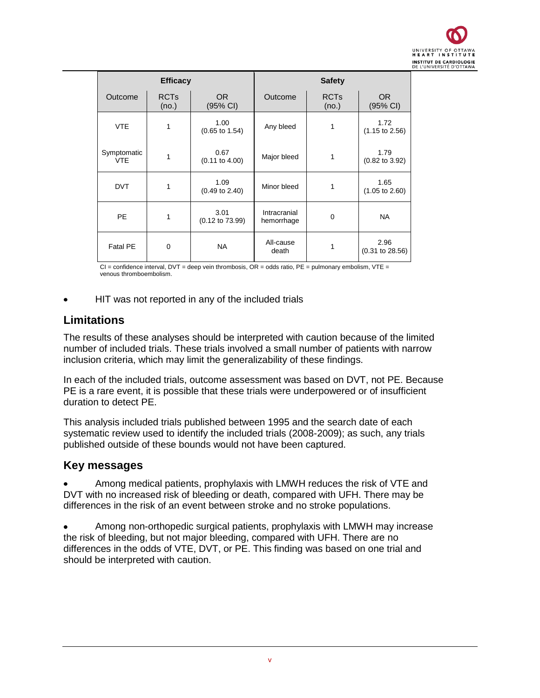

| <b>Efficacy</b>           |                      |                                    |                            | <b>Safety</b>        |                                   |
|---------------------------|----------------------|------------------------------------|----------------------------|----------------------|-----------------------------------|
| Outcome                   | <b>RCTs</b><br>(no.) | OR.<br>(95% CI)                    | Outcome                    | <b>RCTs</b><br>(no.) | OR.<br>(95% CI)                   |
| <b>VTE</b>                | 1                    | 1.00<br>$(0.65 \text{ to } 1.54)$  | Any bleed                  | 1                    | 1.72<br>$(1.15 \text{ to } 2.56)$ |
| Symptomatic<br><b>VTE</b> | 1                    | 0.67<br>$(0.11$ to $4.00)$         | Major bleed                | 1                    | 1.79<br>$(0.82 \text{ to } 3.92)$ |
| <b>DVT</b>                | 1                    | 1.09<br>$(0.49 \text{ to } 2.40)$  | Minor bleed                | 1                    | 1.65<br>$(1.05 \text{ to } 2.60)$ |
| <b>PE</b>                 | 1                    | 3.01<br>$(0.12 \text{ to } 73.99)$ | Intracranial<br>hemorrhage | $\mathbf 0$          | <b>NA</b>                         |
| Fatal PE                  | $\mathbf 0$          | <b>NA</b>                          | All-cause<br>death         | 1                    | 2.96<br>$(0.31$ to $28.56)$       |

 $Cl =$  confidence interval, DVT = deep vein thrombosis, OR = odds ratio, PE = pulmonary embolism, VTE = venous thromboembolism.

HIT was not reported in any of the included trials

### <span id="page-4-0"></span>**Limitations**

The results of these analyses should be interpreted with caution because of the limited number of included trials. These trials involved a small number of patients with narrow inclusion criteria, which may limit the generalizability of these findings.

In each of the included trials, outcome assessment was based on DVT, not PE. Because PE is a rare event, it is possible that these trials were underpowered or of insufficient duration to detect PE.

This analysis included trials published between 1995 and the search date of each systematic review used to identify the included trials (2008-2009); as such, any trials published outside of these bounds would not have been captured.

### <span id="page-4-1"></span>**Key messages**

Among medical patients, prophylaxis with LMWH reduces the risk of VTE and DVT with no increased risk of bleeding or death, compared with UFH. There may be differences in the risk of an event between stroke and no stroke populations.

Among non-orthopedic surgical patients, prophylaxis with LMWH may increase the risk of bleeding, but not major bleeding, compared with UFH. There are no differences in the odds of VTE, DVT, or PE. This finding was based on one trial and should be interpreted with caution.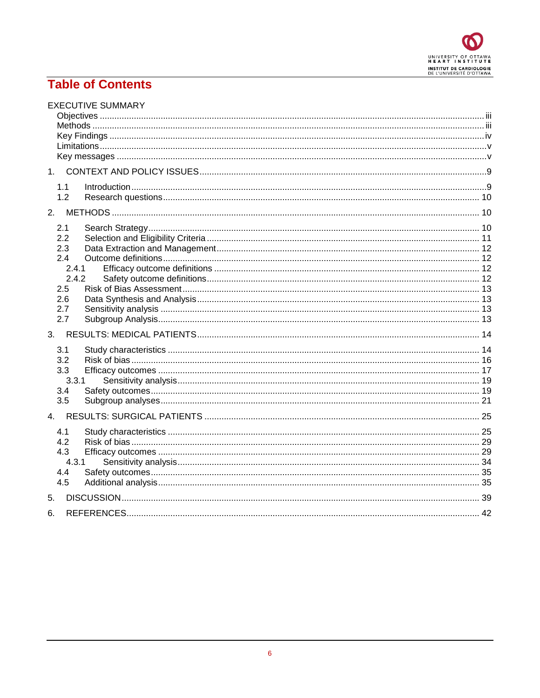

## **Table of Contents**

|    | <b>EXECUTIVE SUMMARY</b>                                               |  |
|----|------------------------------------------------------------------------|--|
| 1. |                                                                        |  |
|    | 1.1<br>1.2                                                             |  |
| 2. |                                                                        |  |
|    | 2.1<br>2.2<br>2.3<br>2.4<br>2.4.1<br>2.4.2<br>2.5<br>2.6<br>2.7<br>2.7 |  |
| 3. |                                                                        |  |
|    | 3.1<br>3.2<br>3.3<br>3.3.1<br>3.4<br>3.5                               |  |
| 4. |                                                                        |  |
|    | 4.1<br>4.2<br>4.3<br>4.3.1<br>4.4<br>4.5                               |  |
| 5. |                                                                        |  |
| 6. |                                                                        |  |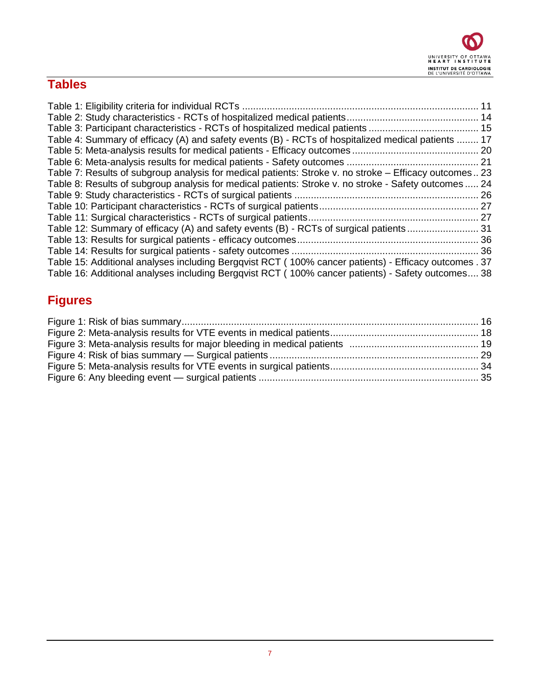

# **Tables**

|                                                                                                        | 11 |
|--------------------------------------------------------------------------------------------------------|----|
|                                                                                                        |    |
|                                                                                                        |    |
| Table 4: Summary of efficacy (A) and safety events (B) - RCTs of hospitalized medical patients  17     |    |
|                                                                                                        |    |
|                                                                                                        |    |
| Table 7: Results of subgroup analysis for medical patients: Stroke v. no stroke – Efficacy outcomes 23 |    |
| Table 8: Results of subgroup analysis for medical patients: Stroke v. no stroke - Safety outcomes  24  |    |
|                                                                                                        |    |
|                                                                                                        |    |
|                                                                                                        |    |
| Table 12: Summary of efficacy (A) and safety events (B) - RCTs of surgical patients 31                 |    |
|                                                                                                        |    |
|                                                                                                        |    |
| Table 15: Additional analyses including Bergqvist RCT (100% cancer patients) - Efficacy outcomes . 37  |    |
| Table 16: Additional analyses including Bergqvist RCT (100% cancer patients) - Safety outcomes 38      |    |

# **Figures**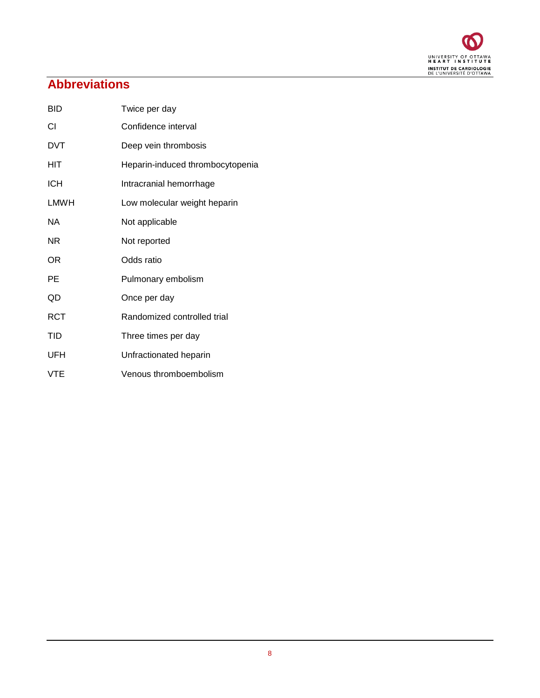

# **Abbreviations**

| <b>BID</b> | Twice per day                    |
|------------|----------------------------------|
| СI         | Confidence interval              |
| <b>DVT</b> | Deep vein thrombosis             |
| HIT        | Heparin-induced thrombocytopenia |
| <b>ICH</b> | Intracranial hemorrhage          |
| LMWH       | Low molecular weight heparin     |
| NА         | Not applicable                   |
| ΝR         | Not reported                     |
| ΟR         | Odds ratio                       |
| РE         | Pulmonary embolism               |
| QD         | Once per day                     |
| RCT        | Randomized controlled trial      |
| TID        | Three times per day              |
| UFH        | Unfractionated heparin           |
| VTE        | Venous thromboembolism           |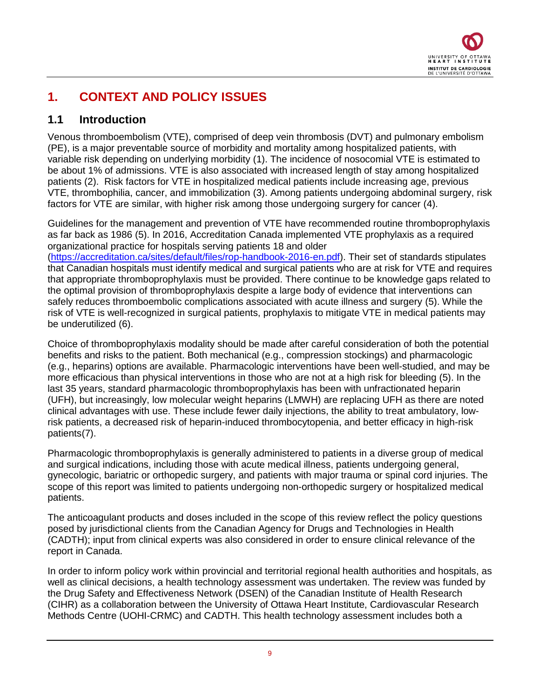

## <span id="page-8-0"></span>**1. CONTEXT AND POLICY ISSUES**

### <span id="page-8-1"></span>**1.1 Introduction**

Venous thromboembolism (VTE), comprised of deep vein thrombosis (DVT) and pulmonary embolism (PE), is a major preventable source of morbidity and mortality among hospitalized patients, with variable risk depending on underlying morbidity (1). The incidence of nosocomial VTE is estimated to be about 1% of admissions. VTE is also associated with increased length of stay among hospitalized patients (2). Risk factors for VTE in hospitalized medical patients include increasing age, previous VTE, thrombophilia, cancer, and immobilization (3). Among patients undergoing abdominal surgery, risk factors for VTE are similar, with higher risk among those undergoing surgery for cancer (4).

Guidelines for the management and prevention of VTE have recommended routine thromboprophylaxis as far back as 1986 (5). In 2016, Accreditation Canada implemented VTE prophylaxis as a required organizational practice for hospitals serving patients 18 and older

[\(https://accreditation.ca/sites/default/files/rop-handbook-2016-en.pdf\)](https://accreditation.ca/sites/default/files/rop-handbook-2016-en.pdf). Their set of standards stipulates that Canadian hospitals must identify medical and surgical patients who are at risk for VTE and requires that appropriate thromboprophylaxis must be provided. There continue to be knowledge gaps related to the optimal provision of thromboprophylaxis despite a large body of evidence that interventions can safely reduces thromboembolic complications associated with acute illness and surgery (5). While the risk of VTE is well-recognized in surgical patients, prophylaxis to mitigate VTE in medical patients may be underutilized (6).

Choice of thromboprophylaxis modality should be made after careful consideration of both the potential benefits and risks to the patient. Both mechanical (e.g., compression stockings) and pharmacologic (e.g., heparins) options are available. Pharmacologic interventions have been well-studied, and may be more efficacious than physical interventions in those who are not at a high risk for bleeding (5). In the last 35 years, standard pharmacologic thromboprophylaxis has been with unfractionated heparin (UFH), but increasingly, low molecular weight heparins (LMWH) are replacing UFH as there are noted clinical advantages with use. These include fewer daily injections, the ability to treat ambulatory, lowrisk patients, a decreased risk of heparin-induced thrombocytopenia, and better efficacy in high-risk patients(7).

Pharmacologic thromboprophylaxis is generally administered to patients in a diverse group of medical and surgical indications, including those with acute medical illness, patients undergoing general, gynecologic, bariatric or orthopedic surgery, and patients with major trauma or spinal cord injuries. The scope of this report was limited to patients undergoing non-orthopedic surgery or hospitalized medical patients.

The anticoagulant products and doses included in the scope of this review reflect the policy questions posed by jurisdictional clients from the Canadian Agency for Drugs and Technologies in Health (CADTH); input from clinical experts was also considered in order to ensure clinical relevance of the report in Canada.

In order to inform policy work within provincial and territorial regional health authorities and hospitals, as well as clinical decisions, a health technology assessment was undertaken. The review was funded by the Drug Safety and Effectiveness Network (DSEN) of the Canadian Institute of Health Research (CIHR) as a collaboration between the University of Ottawa Heart Institute, Cardiovascular Research Methods Centre (UOHI-CRMC) and CADTH. This health technology assessment includes both a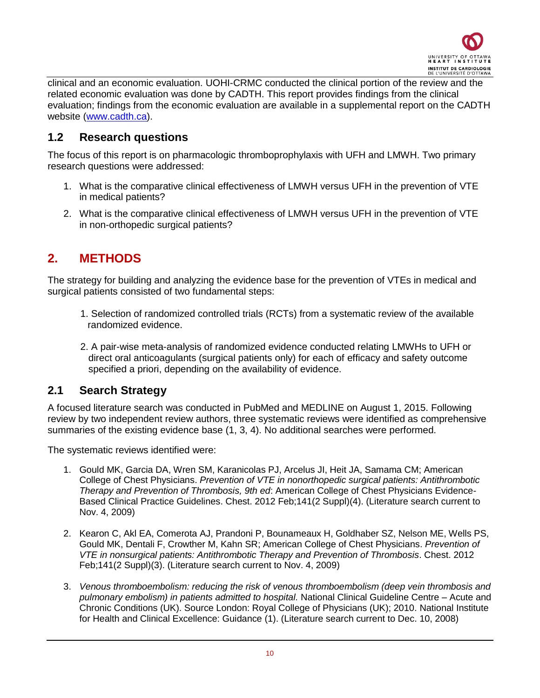

clinical and an economic evaluation. UOHI-CRMC conducted the clinical portion of the review and the related economic evaluation was done by CADTH. This report provides findings from the clinical evaluation; findings from the economic evaluation are available in a supplemental report on the CADTH website [\(www.cadth.ca\)](http://www.cadth.ca/).

### <span id="page-9-0"></span>**1.2 Research questions**

The focus of this report is on pharmacologic thromboprophylaxis with UFH and LMWH. Two primary research questions were addressed:

- 1. What is the comparative clinical effectiveness of LMWH versus UFH in the prevention of VTE in medical patients?
- 2. What is the comparative clinical effectiveness of LMWH versus UFH in the prevention of VTE in non-orthopedic surgical patients?

## <span id="page-9-1"></span>**2. METHODS**

The strategy for building and analyzing the evidence base for the prevention of VTEs in medical and surgical patients consisted of two fundamental steps:

- 1. Selection of randomized controlled trials (RCTs) from a systematic review of the available randomized evidence.
- 2. A pair-wise meta-analysis of randomized evidence conducted relating LMWHs to UFH or direct oral anticoagulants (surgical patients only) for each of efficacy and safety outcome specified a priori, depending on the availability of evidence.

### <span id="page-9-2"></span>**2.1 Search Strategy**

A focused literature search was conducted in PubMed and MEDLINE on August 1, 2015. Following review by two independent review authors, three systematic reviews were identified as comprehensive summaries of the existing evidence base (1, 3, 4). No additional searches were performed.

The systematic reviews identified were:

- 1. Gould MK, Garcia DA, Wren SM, Karanicolas PJ, Arcelus JI, Heit JA, Samama CM; American College of Chest Physicians. *Prevention of VTE in nonorthopedic surgical patients: Antithrombotic Therapy and Prevention of Thrombosis, 9th ed*: American College of Chest Physicians Evidence-Based Clinical Practice Guidelines. Chest. 2012 Feb;141(2 Suppl)(4). (Literature search current to Nov. 4, 2009)
- 2. Kearon C, Akl EA, Comerota AJ, Prandoni P, Bounameaux H, Goldhaber SZ, Nelson ME, Wells PS, Gould MK, Dentali F, Crowther M, Kahn SR; American College of Chest Physicians. *Prevention of VTE in nonsurgical patients: Antithrombotic Therapy and Prevention of Thrombosis*. Chest. 2012 Feb;141(2 Suppl)(3). (Literature search current to Nov. 4, 2009)
- 3. *Venous thromboembolism: reducing the risk of venous thromboembolism (deep vein thrombosis and pulmonary embolism) in patients admitted to hospital.* National Clinical Guideline Centre – Acute and Chronic Conditions (UK). Source London: Royal College of Physicians (UK); 2010. National Institute for Health and Clinical Excellence: Guidance (1). (Literature search current to Dec. 10, 2008)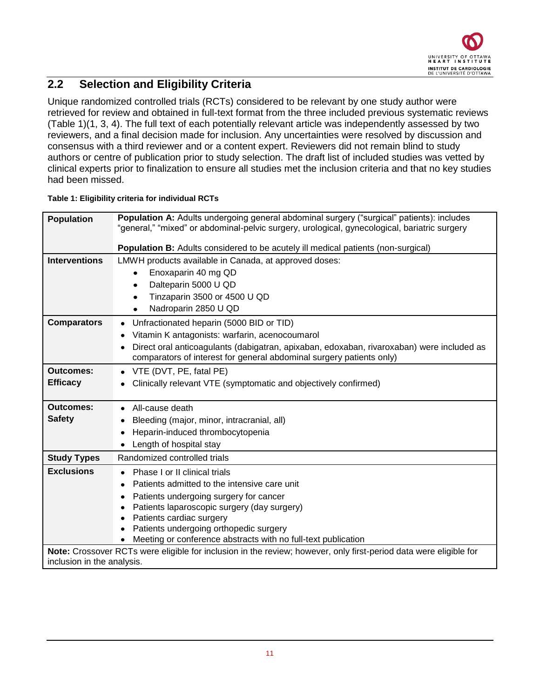

## <span id="page-10-0"></span>**2.2 Selection and Eligibility Criteria**

Unique randomized controlled trials (RCTs) considered to be relevant by one study author were retrieved for review and obtained in full-text format from the three included previous systematic reviews [\(Table 1\)](#page-10-1)(1, 3, 4). The full text of each potentially relevant article was independently assessed by two reviewers, and a final decision made for inclusion. Any uncertainties were resolved by discussion and consensus with a third reviewer and or a content expert. Reviewers did not remain blind to study authors or centre of publication prior to study selection. The draft list of included studies was vetted by clinical experts prior to finalization to ensure all studies met the inclusion criteria and that no key studies had been missed.

| <b>Population</b>          | <b>Population A:</b> Adults undergoing general abdominal surgery ("surgical" patients): includes<br>"general," "mixed" or abdominal-pelvic surgery, urological, gynecological, bariatric surgery |  |  |  |  |  |  |  |  |
|----------------------------|--------------------------------------------------------------------------------------------------------------------------------------------------------------------------------------------------|--|--|--|--|--|--|--|--|
|                            | Population B: Adults considered to be acutely ill medical patients (non-surgical)                                                                                                                |  |  |  |  |  |  |  |  |
| <b>Interventions</b>       | LMWH products available in Canada, at approved doses:                                                                                                                                            |  |  |  |  |  |  |  |  |
|                            | Enoxaparin 40 mg QD                                                                                                                                                                              |  |  |  |  |  |  |  |  |
|                            | Dalteparin 5000 U QD<br>٠                                                                                                                                                                        |  |  |  |  |  |  |  |  |
|                            | Tinzaparin 3500 or 4500 U QD<br>$\bullet$                                                                                                                                                        |  |  |  |  |  |  |  |  |
|                            | Nadroparin 2850 U QD                                                                                                                                                                             |  |  |  |  |  |  |  |  |
| <b>Comparators</b>         | Unfractionated heparin (5000 BID or TID)<br>٠                                                                                                                                                    |  |  |  |  |  |  |  |  |
|                            | Vitamin K antagonists: warfarin, acenocoumarol                                                                                                                                                   |  |  |  |  |  |  |  |  |
|                            | Direct oral anticoagulants (dabigatran, apixaban, edoxaban, rivaroxaban) were included as                                                                                                        |  |  |  |  |  |  |  |  |
|                            | comparators of interest for general abdominal surgery patients only)                                                                                                                             |  |  |  |  |  |  |  |  |
| <b>Outcomes:</b>           | VTE (DVT, PE, fatal PE)                                                                                                                                                                          |  |  |  |  |  |  |  |  |
| <b>Efficacy</b>            | Clinically relevant VTE (symptomatic and objectively confirmed)                                                                                                                                  |  |  |  |  |  |  |  |  |
| <b>Outcomes:</b>           | All-cause death                                                                                                                                                                                  |  |  |  |  |  |  |  |  |
| <b>Safety</b>              |                                                                                                                                                                                                  |  |  |  |  |  |  |  |  |
|                            | Bleeding (major, minor, intracranial, all)                                                                                                                                                       |  |  |  |  |  |  |  |  |
|                            | Heparin-induced thrombocytopenia<br>Length of hospital stay                                                                                                                                      |  |  |  |  |  |  |  |  |
|                            |                                                                                                                                                                                                  |  |  |  |  |  |  |  |  |
| <b>Study Types</b>         | Randomized controlled trials                                                                                                                                                                     |  |  |  |  |  |  |  |  |
| <b>Exclusions</b>          | Phase I or II clinical trials                                                                                                                                                                    |  |  |  |  |  |  |  |  |
|                            | Patients admitted to the intensive care unit                                                                                                                                                     |  |  |  |  |  |  |  |  |
|                            | Patients undergoing surgery for cancer                                                                                                                                                           |  |  |  |  |  |  |  |  |
|                            | Patients laparoscopic surgery (day surgery)                                                                                                                                                      |  |  |  |  |  |  |  |  |
|                            | Patients cardiac surgery<br>Patients undergoing orthopedic surgery                                                                                                                               |  |  |  |  |  |  |  |  |
|                            | Meeting or conference abstracts with no full-text publication                                                                                                                                    |  |  |  |  |  |  |  |  |
|                            | Note: Crossover RCTs were eligible for inclusion in the review; however, only first-period data were eligible for                                                                                |  |  |  |  |  |  |  |  |
| inclusion in the analysis. |                                                                                                                                                                                                  |  |  |  |  |  |  |  |  |

#### <span id="page-10-1"></span>**Table 1: Eligibility criteria for individual RCTs**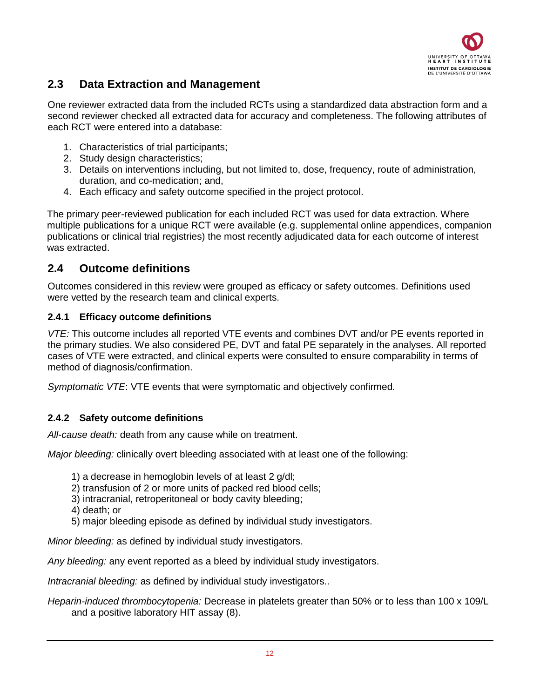

### <span id="page-11-0"></span>**2.3 Data Extraction and Management**

One reviewer extracted data from the included RCTs using a standardized data abstraction form and a second reviewer checked all extracted data for accuracy and completeness. The following attributes of each RCT were entered into a database:

- 1. Characteristics of trial participants;
- 2. Study design characteristics;
- 3. Details on interventions including, but not limited to, dose, frequency, route of administration, duration, and co-medication; and,
- 4. Each efficacy and safety outcome specified in the project protocol.

The primary peer-reviewed publication for each included RCT was used for data extraction. Where multiple publications for a unique RCT were available (e.g. supplemental online appendices, companion publications or clinical trial registries) the most recently adjudicated data for each outcome of interest was extracted.

### <span id="page-11-1"></span>**2.4 Outcome definitions**

Outcomes considered in this review were grouped as efficacy or safety outcomes. Definitions used were vetted by the research team and clinical experts.

#### <span id="page-11-2"></span>**2.4.1 Efficacy outcome definitions**

*VTE:* This outcome includes all reported VTE events and combines DVT and/or PE events reported in the primary studies. We also considered PE, DVT and fatal PE separately in the analyses. All reported cases of VTE were extracted, and clinical experts were consulted to ensure comparability in terms of method of diagnosis/confirmation.

*Symptomatic VTE*: VTE events that were symptomatic and objectively confirmed.

#### <span id="page-11-3"></span>**2.4.2 Safety outcome definitions**

*All-cause death:* death from any cause while on treatment.

*Major bleeding:* clinically overt bleeding associated with at least one of the following:

- 1) a decrease in hemoglobin levels of at least 2 g/dl;
- 2) transfusion of 2 or more units of packed red blood cells;
- 3) intracranial, retroperitoneal or body cavity bleeding;
- 4) death; or
- 5) major bleeding episode as defined by individual study investigators.

*Minor bleeding:* as defined by individual study investigators.

*Any bleeding:* any event reported as a bleed by individual study investigators.

*Intracranial bleeding:* as defined by individual study investigators..

*Heparin-induced thrombocytopenia:* Decrease in platelets greater than 50% or to less than 100 x 109/L and a positive laboratory HIT assay (8).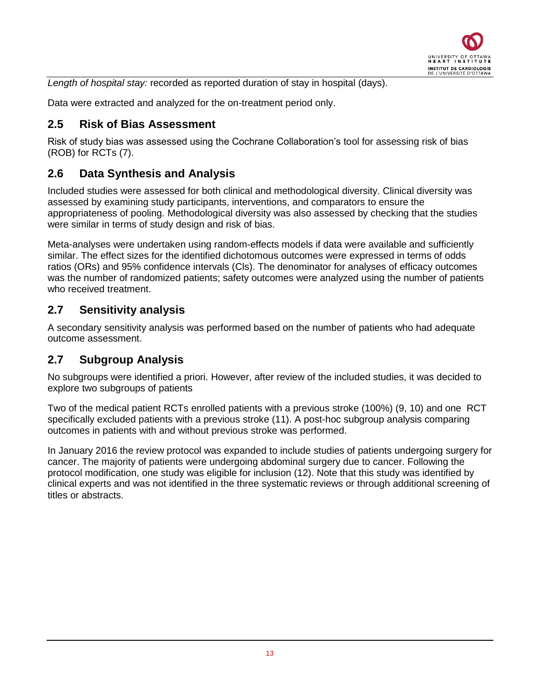

*Length of hospital stay:* recorded as reported duration of stay in hospital (days).

Data were extracted and analyzed for the on-treatment period only.

### <span id="page-12-0"></span>**2.5 Risk of Bias Assessment**

Risk of study bias was assessed using the Cochrane Collaboration's tool for assessing risk of bias (ROB) for RCTs (7).

### <span id="page-12-1"></span>**2.6 Data Synthesis and Analysis**

Included studies were assessed for both clinical and methodological diversity. Clinical diversity was assessed by examining study participants, interventions, and comparators to ensure the appropriateness of pooling. Methodological diversity was also assessed by checking that the studies were similar in terms of study design and risk of bias.

Meta-analyses were undertaken using random-effects models if data were available and sufficiently similar. The effect sizes for the identified dichotomous outcomes were expressed in terms of odds ratios (ORs) and 95% confidence intervals (Cls). The denominator for analyses of efficacy outcomes was the number of randomized patients; safety outcomes were analyzed using the number of patients who received treatment.

### <span id="page-12-2"></span>**2.7 Sensitivity analysis**

A secondary sensitivity analysis was performed based on the number of patients who had adequate outcome assessment.

### <span id="page-12-3"></span>**2.7 Subgroup Analysis**

No subgroups were identified a priori. However, after review of the included studies, it was decided to explore two subgroups of patients

Two of the medical patient RCTs enrolled patients with a previous stroke (100%) (9, 10) and one RCT specifically excluded patients with a previous stroke (11). A post-hoc subgroup analysis comparing outcomes in patients with and without previous stroke was performed.

In January 2016 the review protocol was expanded to include studies of patients undergoing surgery for cancer. The majority of patients were undergoing abdominal surgery due to cancer. Following the protocol modification, one study was eligible for inclusion (12). Note that this study was identified by clinical experts and was not identified in the three systematic reviews or through additional screening of titles or abstracts.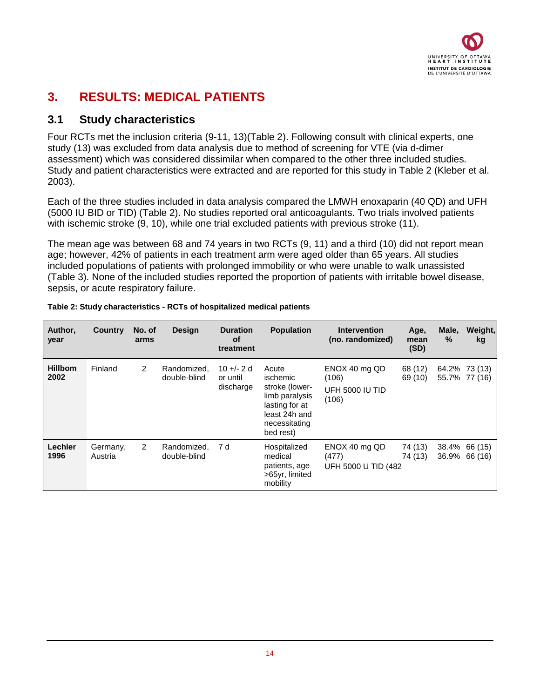

## <span id="page-13-0"></span>**3. RESULTS: MEDICAL PATIENTS**

### <span id="page-13-1"></span>**3.1 Study characteristics**

Four RCTs met the inclusion criteria (9-11, 13)(Table 2). Following consult with clinical experts, one study (13) was excluded from data analysis due to method of screening for VTE (via d-dimer assessment) which was considered dissimilar when compared to the other three included studies. Study and patient characteristics were extracted and are reported for this study in Table 2 (Kleber et al. 2003).

Each of the three studies included in data analysis compared the LMWH enoxaparin (40 QD) and UFH (5000 IU BID or TID) [\(Table 2\)](#page-13-2). No studies reported oral anticoagulants. Two trials involved patients with ischemic stroke (9, 10), while one trial excluded patients with previous stroke (11).

The mean age was between 68 and 74 years in two RCTs (9, 11) and a third (10) did not report mean age; however, 42% of patients in each treatment arm were aged older than 65 years. All studies included populations of patients with prolonged immobility or who were unable to walk unassisted [\(Table 3\)](#page-14-0). None of the included studies reported the proportion of patients with irritable bowel disease, sepsis, or acute respiratory failure.

| Author,<br>year        | <b>Country</b>      | No. of<br>arms | <b>Design</b>               | <b>Duration</b><br>οf<br>treatment   | <b>Population</b>                                                                                                      | <b>Intervention</b><br>(no. randomized)            | Age,<br>mean<br>(SD) | Male,<br>$\frac{9}{6}$ | Weight,<br>kg                  |
|------------------------|---------------------|----------------|-----------------------------|--------------------------------------|------------------------------------------------------------------------------------------------------------------------|----------------------------------------------------|----------------------|------------------------|--------------------------------|
| <b>Hillbom</b><br>2002 | Finland             | $\overline{2}$ | Randomized.<br>double-blind | $10 +/- 2d$<br>or until<br>discharge | Acute<br>ischemic<br>stroke (lower-<br>limb paralysis<br>lasting for at<br>least 24h and<br>necessitating<br>bed rest) | ENOX 40 mg QD<br>(106)<br>UFH 5000 IU TID<br>(106) | 68 (12)<br>69 (10)   |                        | 64.2% 73 (13)<br>55.7% 77 (16) |
| Lechler<br>1996        | Germany,<br>Austria | $\overline{2}$ | Randomized,<br>double-blind | 7 d                                  | Hospitalized<br>medical<br>patients, age<br>>65yr, limited<br>mobility                                                 | ENOX 40 mg QD<br>(477)<br>UFH 5000 U TID (482)     | 74 (13)<br>74 (13)   |                        | 38.4% 66 (15)<br>36.9% 66 (16) |

#### <span id="page-13-2"></span>**Table 2: Study characteristics - RCTs of hospitalized medical patients**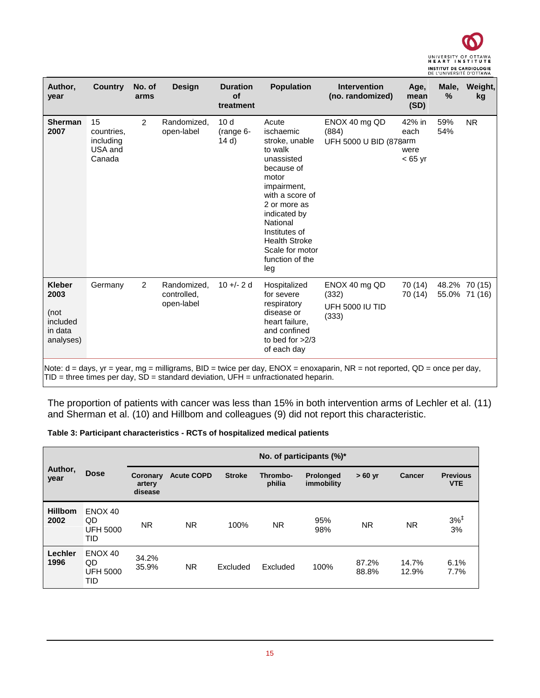

| Author,<br>year                                                   | <b>Country</b>                                     | No. of<br>arms | <b>Design</b>                            | <b>Duration</b><br>of<br>treatment      | <b>Population</b>                                                                                                                                                                                                                                        | <b>Intervention</b><br>(no. randomized)                                                                                                                                         | Age,<br>mean<br>(SD)                | Male,<br>$\%$ | Weight,<br>kg                  |
|-------------------------------------------------------------------|----------------------------------------------------|----------------|------------------------------------------|-----------------------------------------|----------------------------------------------------------------------------------------------------------------------------------------------------------------------------------------------------------------------------------------------------------|---------------------------------------------------------------------------------------------------------------------------------------------------------------------------------|-------------------------------------|---------------|--------------------------------|
| <b>Sherman</b><br>2007                                            | 15<br>countries.<br>including<br>USA and<br>Canada | 2              | Randomized,<br>open-label                | 10 <sub>d</sub><br>$(range6 -$<br>(14d) | Acute<br>ischaemic<br>stroke, unable<br>to walk<br>unassisted<br>because of<br>motor<br>impairment,<br>with a score of<br>2 or more as<br>indicated by<br>National<br>Institutes of<br><b>Health Stroke</b><br>Scale for motor<br>function of the<br>leg | ENOX 40 mg QD<br>(884)<br>UFH 5000 U BID (878arm                                                                                                                                | 42% in<br>each<br>were<br>$< 65$ yr | 59%<br>54%    | <b>NR</b>                      |
| <b>Kleber</b><br>2003<br>(not<br>included<br>in data<br>analyses) | Germany                                            | $\overline{2}$ | Randomized,<br>controlled.<br>open-label | $10 +/- 2d$                             | Hospitalized<br>for severe<br>respiratory<br>disease or<br>heart failure.<br>and confined<br>to bed for $>2/3$<br>of each day                                                                                                                            | ENOX 40 mg QD<br>(332)<br>UFH 5000 IU TID<br>(333)<br>Note: d = days, yr = year, mg = milligrams, BID = twice per day, ENOX = enoxaparin, NR = not reported, QD = once per day, | 70 (14)<br>70 (14)                  |               | 48.2% 70 (15)<br>55.0% 71 (16) |

TID = three times per day, SD = standard deviation, UFH = unfractionated heparin.

The proportion of patients with cancer was less than 15% in both intervention arms of Lechler et al. (11) and Sherman et al. (10) and Hillbom and colleagues (9) did not report this characteristic.

<span id="page-14-0"></span>

| Table 3: Participant characteristics - RCTs of hospitalized medical patients |  |  |
|------------------------------------------------------------------------------|--|--|
|                                                                              |  |  |

|                                |                                         | No. of participants (%)*      |                   |               |                    |                         |                |                |                               |  |  |
|--------------------------------|-----------------------------------------|-------------------------------|-------------------|---------------|--------------------|-------------------------|----------------|----------------|-------------------------------|--|--|
| Author,<br><b>Dose</b><br>year |                                         | Coronary<br>artery<br>disease | <b>Acute COPD</b> | <b>Stroke</b> | Thrombo-<br>philia | Prolonged<br>immobility | $>60$ yr       | <b>Cancer</b>  | <b>Previous</b><br><b>VTE</b> |  |  |
| <b>Hillbom</b><br>2002         | ENOX 40<br>QD<br><b>UFH 5000</b><br>TID | <b>NR</b>                     | N <sub>R</sub>    | 100%          | N <sub>R</sub>     | 95%<br>98%              | NR.            | N <sub>R</sub> | $3\%$ <sup>‡</sup><br>3%      |  |  |
| Lechler<br>1996                | ENOX 40<br>QD<br><b>UFH 5000</b><br>TID | 34.2%<br>35.9%                | <b>NR</b>         | Excluded      | Excluded           | 100%                    | 87.2%<br>88.8% | 14.7%<br>12.9% | 6.1%<br>7.7%                  |  |  |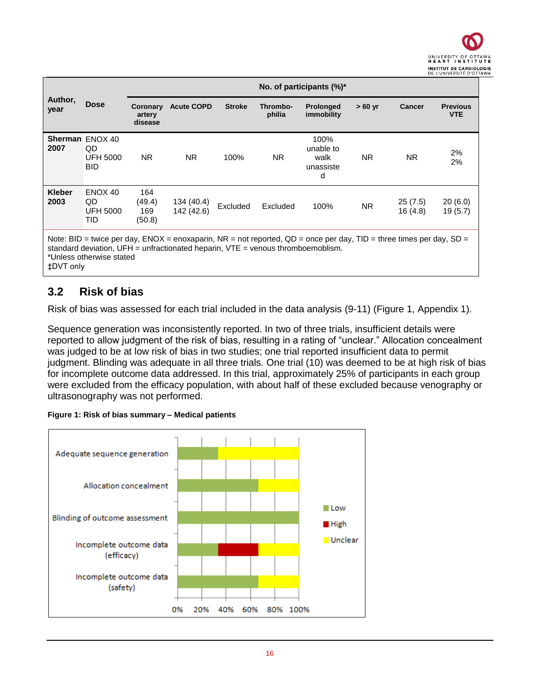|                       |                                                               |                                |                                                                                     |               |                    | No. of participants $(\%)^*$                                                                                        |          |                    |                               |
|-----------------------|---------------------------------------------------------------|--------------------------------|-------------------------------------------------------------------------------------|---------------|--------------------|---------------------------------------------------------------------------------------------------------------------|----------|--------------------|-------------------------------|
| Author,<br>year       | <b>Dose</b>                                                   | Coronary<br>artery<br>disease  | <b>Acute COPD</b>                                                                   | <b>Stroke</b> | Thrombo-<br>philia | <b>Prolonged</b><br>immobility                                                                                      | $>60$ yr | <b>Cancer</b>      | <b>Previous</b><br><b>VTE</b> |
| 2007                  | <b>Sherman ENOX 40</b><br>QD<br><b>UFH 5000</b><br><b>BID</b> | NR.                            | NR.                                                                                 | 100%          | NR.                | 100%<br>unable to<br>walk<br>unassiste<br>d                                                                         | NR.      | NR.                | 2%<br>2%                      |
| <b>Kleber</b><br>2003 | ENOX 40<br>QD.<br><b>UFH 5000</b><br>TID                      | 164<br>(49.4)<br>169<br>(50.8) | 134 (40.4)<br>142 (42.6)                                                            | Excluded      | Excluded           | 100%                                                                                                                | NR.      | 25(7.5)<br>16(4.8) | 20(6.0)<br>19(5.7)            |
|                       | *Unless otherwise stated                                      |                                | standard deviation, $UFH =$ unfractionated heparin, $VTE =$ venous thromboemoblism. |               |                    | Note: BID = twice per day, ENOX = enoxaparin, NR = not reported, QD = once per day, TID = three times per day, SD = |          |                    |                               |

‡DVT only

### <span id="page-15-0"></span>**3.2 Risk of bias**

Risk of bias was assessed for each trial included in the data analysis (9-11) [\(Figure 1,](#page-15-1) Appendix 1).

Sequence generation was inconsistently reported. In two of three trials, insufficient details were reported to allow judgment of the risk of bias, resulting in a rating of "unclear." Allocation concealment was judged to be at low risk of bias in two studies; one trial reported insufficient data to permit judgment. Blinding was adequate in all three trials. One trial (10) was deemed to be at high risk of bias for incomplete outcome data addressed. In this trial, approximately 25% of participants in each group were excluded from the efficacy population, with about half of these excluded because venography or ultrasonography was not performed.



#### <span id="page-15-1"></span>**Figure 1: Risk of bias summary – Medical patients**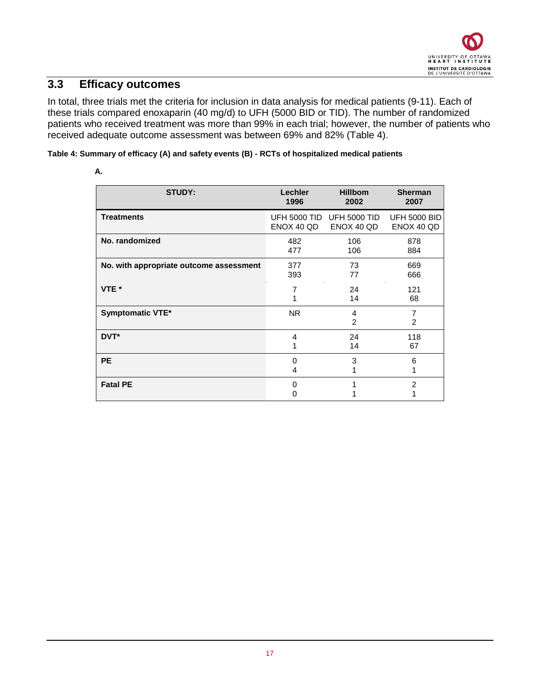### <span id="page-16-0"></span>**3.3 Efficacy outcomes**

In total, three trials met the criteria for inclusion in data analysis for medical patients (9-11). Each of these trials compared enoxaparin (40 mg/d) to UFH (5000 BID or TID). The number of randomized patients who received treatment was more than 99% in each trial; however, the number of patients who received adequate outcome assessment was between 69% and 82% [\(Table 4\)](#page-16-1).

#### <span id="page-16-1"></span>**Table 4: Summary of efficacy (A) and safety events (B) - RCTs of hospitalized medical patients**

| <b>STUDY:</b>                           | Lechler<br>1996 | <b>Hillbom</b><br>2002                  | <b>Sherman</b><br>2007            |
|-----------------------------------------|-----------------|-----------------------------------------|-----------------------------------|
| <b>Treatments</b>                       | ENOX 40 QD      | UFH 5000 TID UFH 5000 TID<br>ENOX 40 QD | <b>UFH 5000 BID</b><br>ENOX 40 QD |
| No. randomized                          | 482<br>477      | 106<br>106                              | 878<br>884                        |
| No. with appropriate outcome assessment | 377<br>393      | 73<br>77                                | 669<br>666                        |
| VTE *                                   | $\overline{7}$  | 24<br>14                                | 121<br>68                         |
| Symptomatic VTE*                        | <b>NR</b>       | 4<br>$\overline{2}$                     | $\overline{7}$<br>2               |
| DVT*                                    | 4               | 24<br>14                                | 118<br>67                         |
| <b>PE</b>                               | 0<br>4          | 3                                       | 6                                 |
| <b>Fatal PE</b>                         | 0<br>0          |                                         | $\overline{2}$                    |

#### **A.**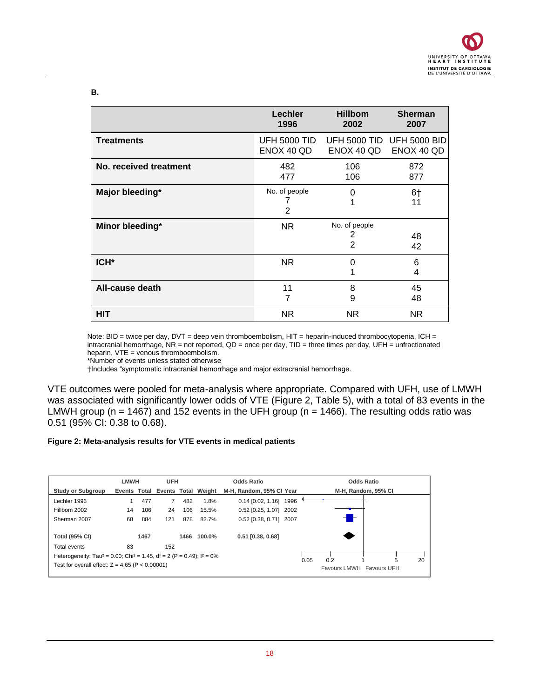#### **B.**

|                        | Lechler             | <b>Hillbom</b>                       | <b>Sherman</b>      |
|------------------------|---------------------|--------------------------------------|---------------------|
|                        | 1996                | 2002                                 | 2007                |
| <b>Treatments</b>      | <b>UFH 5000 TID</b> | <b>UFH 5000 TID</b>                  | <b>UFH 5000 BID</b> |
|                        | ENOX 40 QD          | ENOX 40 QD                           | ENOX 40 QD          |
| No. received treatment | 482                 | 106                                  | 872                 |
|                        | 477                 | 106                                  | 877                 |
| Major bleeding*        | No. of people       | 0                                    | 6†                  |
|                        | $\overline{2}$      | 1                                    | 11                  |
| Minor bleeding*        | NR.                 | No. of people<br>2<br>$\overline{2}$ | 48<br>42            |
| ICH <sup>*</sup>       | <b>NR</b>           | 0<br>1                               | 6<br>4              |
| All-cause death        | 11                  | 8                                    | 45                  |
|                        | 7                   | 9                                    | 48                  |
| HIT                    | NR.                 | NR.                                  | NR.                 |

Note: BID = twice per day, DVT = deep vein thromboembolism, HIT = heparin-induced thrombocytopenia, ICH = intracranial hemorrhage, NR = not reported, QD = once per day, TID = three times per day, UFH = unfractionated heparin, VTE = venous thromboembolism.

†Includes "symptomatic intracranial hemorrhage and major extracranial hemorrhage.

VTE outcomes were pooled for meta-analysis where appropriate. Compared with UFH, use of LMWH was associated with significantly lower odds of VTE [\(Figure 2,](#page-17-0) [Table 5\)](#page-19-0), with a total of 83 events in the LMWH group ( $n = 1467$ ) and 152 events in the UFH group ( $n = 1466$ ). The resulting odds ratio was 0.51 (95% CI: 0.38 to 0.68).

#### <span id="page-17-0"></span>**Figure 2: Meta-analysis results for VTE events in medical patients**

|                                                                                                 | LMWH |      | <b>UFH</b> |      |                                  | <b>Odds Ratio</b>        |      |                                 | <b>Odds Ratio</b>   |   |    |
|-------------------------------------------------------------------------------------------------|------|------|------------|------|----------------------------------|--------------------------|------|---------------------------------|---------------------|---|----|
| <b>Study or Subgroup</b>                                                                        |      |      |            |      | Events Total Events Total Weight | M-H. Random, 95% CI Year |      |                                 | M-H, Random, 95% CI |   |    |
| Lechler 1996                                                                                    |      | 477  |            | 482  | 1.8%                             | 0.14 [0.02, 1.16] 1996   |      |                                 |                     |   |    |
| Hillbom 2002                                                                                    | 14   | 106  | 24         | 106  | 15.5%                            | 0.52 [0.25, 1.07] 2002   |      |                                 |                     |   |    |
| Sherman 2007                                                                                    | 68   | 884  | 121        | 878  | 82.7%                            | 0.52 [0.38, 0.71] 2007   |      |                                 |                     |   |    |
| <b>Total (95% CI)</b>                                                                           |      | 1467 |            | 1466 | 100.0%                           | $0.51$ [0.38, 0.68]      |      |                                 |                     |   |    |
| Total events                                                                                    | 83   |      | 152        |      |                                  |                          |      |                                 |                     |   |    |
| Heterogeneity: Tau <sup>2</sup> = 0.00; Chi <sup>2</sup> = 1.45, df = 2 (P = 0.49); $I^2 = 0\%$ |      |      |            |      |                                  |                          |      |                                 |                     |   |    |
| Test for overall effect: $Z = 4.65$ (P < 0.00001)                                               |      |      |            |      |                                  |                          | 0.05 | 0.2<br>Favours LMWH Favours UFH |                     | 5 | 20 |

<sup>\*</sup>Number of events unless stated otherwise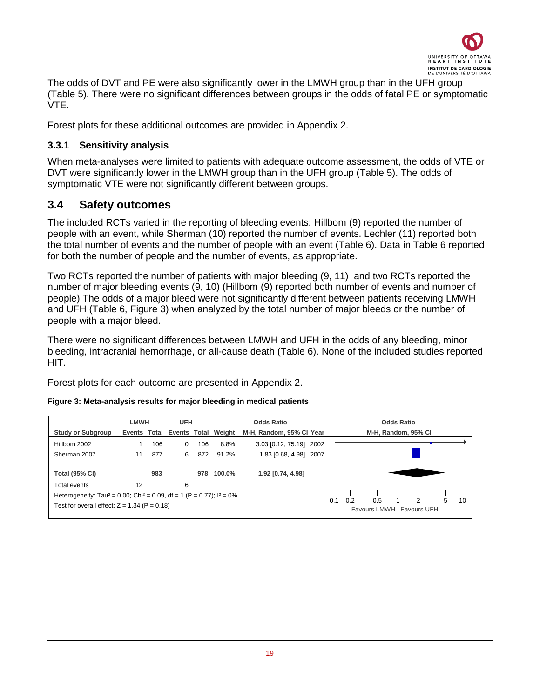

The odds of DVT and PE were also significantly lower in the LMWH group than in the UFH group [\(Table 5\)](#page-19-0). There were no significant differences between groups in the odds of fatal PE or symptomatic VTE.

Forest plots for these additional outcomes are provided in Appendix 2.

#### <span id="page-18-0"></span>**3.3.1 Sensitivity analysis**

When meta-analyses were limited to patients with adequate outcome assessment, the odds of VTE or DVT were significantly lower in the LMWH group than in the UFH group [\(Table 5\)](#page-19-0). The odds of symptomatic VTE were not significantly different between groups.

### <span id="page-18-1"></span>**3.4 Safety outcomes**

The included RCTs varied in the reporting of bleeding events: Hillbom (9) reported the number of people with an event, while Sherman (10) reported the number of events. Lechler (11) reported both the total number of events and the number of people with an event [\(Table 6\)](#page-20-1). Data in [Table 6](#page-20-1) reported for both the number of people and the number of events, as appropriate.

Two RCTs reported the number of patients with major bleeding (9, 11) and two RCTs reported the number of major bleeding events (9, 10) (Hillbom (9) reported both number of events and number of people) The odds of a major bleed were not significantly different between patients receiving LMWH and UFH [\(Table 6,](#page-20-1) [Figure 3\)](#page-18-2) when analyzed by the total number of major bleeds or the number of people with a major bleed.

There were no significant differences between LMWH and UFH in the odds of any bleeding, minor bleeding, intracranial hemorrhage, or all-cause death [\(Table 6\)](#page-20-1). None of the included studies reported HIT.

Forest plots for each outcome are presented in Appendix 2.

<span id="page-18-2"></span>

|  | Figure 3: Meta-analysis results for major bleeding in medical patients |
|--|------------------------------------------------------------------------|
|--|------------------------------------------------------------------------|

|                                                                                                                                                   | <b>LMWH</b> |     | <b>UFH</b> |     |                                  | <b>Odds Ratio</b>        | <b>Odds Ratio</b>                                              |
|---------------------------------------------------------------------------------------------------------------------------------------------------|-------------|-----|------------|-----|----------------------------------|--------------------------|----------------------------------------------------------------|
| <b>Study or Subgroup</b>                                                                                                                          |             |     |            |     | Events Total Events Total Weight | M-H, Random, 95% CI Year | M-H, Random, 95% CI                                            |
| Hillbom 2002                                                                                                                                      |             | 106 | $\Omega$   | 106 | 8.8%                             | 3.03 [0.12, 75.19] 2002  |                                                                |
| Sherman 2007                                                                                                                                      | 11          | 877 | 6          | 872 | 91.2%                            | 1.83 [0.68, 4.98] 2007   |                                                                |
| <b>Total (95% CI)</b>                                                                                                                             |             | 983 |            | 978 | $100.0\%$                        | 1.92 [0.74, 4.98]        |                                                                |
| Total events                                                                                                                                      | 12          |     | 6          |     |                                  |                          |                                                                |
| Heterogeneity: Tau <sup>2</sup> = 0.00; Chi <sup>2</sup> = 0.09, df = 1 (P = 0.77); $1^2 = 0\%$<br>Test for overall effect: $Z = 1.34$ (P = 0.18) |             |     |            |     |                                  |                          | 0.5<br>0.2<br>2<br>5.<br>10<br>0.1<br>Favours LMWH Favours UFH |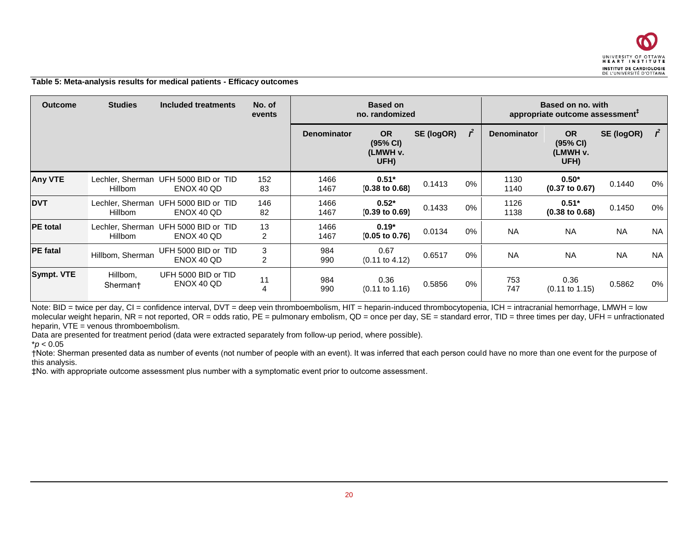

#### **Table 5: Meta-analysis results for medical patients - Efficacy outcomes**

| <b>Outcome</b>  | <b>Studies</b>       | Included treatments                                | No. of<br>events    |                    | <b>Based on</b><br>no. randomized         |            | Based on no. with<br>appropriate outcome assessment <sup>+</sup> |                    |                                           |            |              |
|-----------------|----------------------|----------------------------------------------------|---------------------|--------------------|-------------------------------------------|------------|------------------------------------------------------------------|--------------------|-------------------------------------------|------------|--------------|
|                 |                      |                                                    |                     | <b>Denominator</b> | <b>OR</b><br>(95% CI)<br>(LMWH v.<br>UFH) | SE (logOR) |                                                                  | <b>Denominator</b> | <b>OR</b><br>(95% CI)<br>(LMWH v.<br>UFH) | SE (logOR) | $\mathbf{r}$ |
| <b>Any VTE</b>  | <b>Hillbom</b>       | Lechler, Sherman UFH 5000 BID or TID<br>ENOX 40 QD | 152<br>83           | 1466<br>1467       | $0.51*$<br>$(0.38 \text{ to } 0.68)$      | 0.1413     | $0\%$                                                            | 1130<br>1140       | $0.50*$<br>$(0.37 \text{ to } 0.67)$      | 0.1440     | 0%           |
| <b>DVT</b>      | <b>Hillbom</b>       | Lechler, Sherman UFH 5000 BID or TID<br>ENOX 40 QD | 146<br>82           | 1466<br>1467       | $0.52*$<br>$(0.39 \text{ to } 0.69)$      | 0.1433     | 0%                                                               | 1126<br>1138       | $0.51*$<br>$(0.38 \text{ to } 0.68)$      | 0.1450     | 0%           |
| <b>PE</b> total | <b>Hillbom</b>       | Lechler, Sherman UFH 5000 BID or TID<br>ENOX 40 QD | 13<br>2             | 1466<br>1467       | $0.19*$<br>$(0.05 \text{ to } 0.76)$      | 0.0134     | $0\%$                                                            | <b>NA</b>          | <b>NA</b>                                 | <b>NA</b>  | <b>NA</b>    |
| <b>PE</b> fatal | Hillbom, Sherman     | UFH 5000 BID or TID<br>ENOX 40 OD                  | 3<br>$\overline{2}$ | 984<br>990         | 0.67<br>$(0.11$ to $4.12)$                | 0.6517     | $0\%$                                                            | <b>NA</b>          | <b>NA</b>                                 | <b>NA</b>  | <b>NA</b>    |
| Sympt. VTE      | Hillbom,<br>Sherman† | UFH 5000 BID or TID<br>ENOX 40 QD                  | 11<br>4             | 984<br>990         | 0.36<br>$(0.11 \text{ to } 1.16)$         | 0.5856     | 0%                                                               | 753<br>747         | 0.36<br>$(0.11 \text{ to } 1.15)$         | 0.5862     | 0%           |

<span id="page-19-0"></span>Note: BID = twice per day, CI = confidence interval, DVT = deep vein thromboembolism, HIT = heparin-induced thrombocytopenia, ICH = intracranial hemorrhage, LMWH = low molecular weight heparin, NR = not reported, OR = odds ratio, PE = pulmonary embolism, QD = once per day, SE = standard error, TID = three times per day, UFH = unfractionated heparin,  $VTE =$  venous thromboembolism.

Data are presented for treatment period (data were extracted separately from follow-up period, where possible).

 $*$ *p* < 0.05

†Note: Sherman presented data as number of events (not number of people with an event). It was inferred that each person could have no more than one event for the purpose of this analysis.

‡No. with appropriate outcome assessment plus number with a symptomatic event prior to outcome assessment.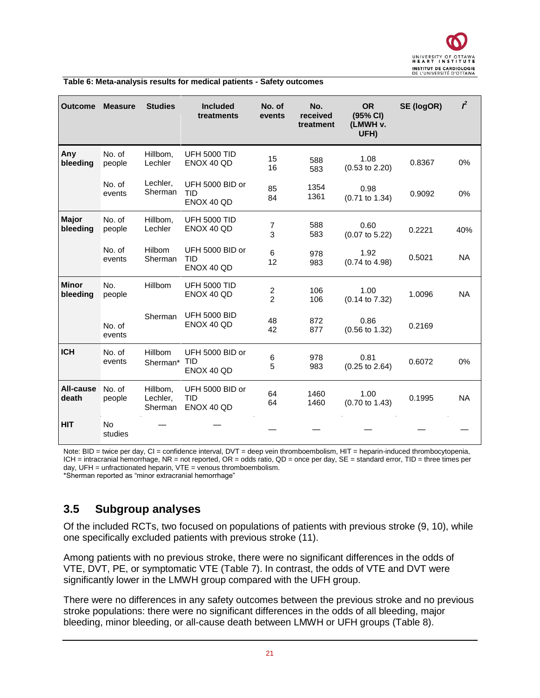<span id="page-20-1"></span>

| Table 6: Meta-analysis results for medical patients - Safety outcomes |  |  |
|-----------------------------------------------------------------------|--|--|

| <b>Outcome</b>            | <b>Measure</b>       | <b>Studies</b>                  | <b>Included</b><br>treatments               | No. of<br>events | No.<br>received<br>treatment | <b>OR</b><br>(95% CI)<br>(LMWH v.<br>UFH) | SE (logOR) | $\mathbf{r}^2$ |
|---------------------------|----------------------|---------------------------------|---------------------------------------------|------------------|------------------------------|-------------------------------------------|------------|----------------|
| Any<br>bleeding           | No. of<br>people     | Hillbom,<br>Lechler             | <b>UFH 5000 TID</b><br>ENOX 40 QD           | 15<br>16         | 588<br>583                   | 1.08<br>$(0.53$ to 2.20)                  | 0.8367     | 0%             |
|                           | No. of<br>events     | Lechler,<br>Sherman             | UFH 5000 BID or<br><b>TID</b><br>ENOX 40 QD | 85<br>84         | 1354<br>1361                 | 0.98<br>$(0.71$ to 1.34)                  | 0.9092     | 0%             |
| <b>Major</b><br>bleeding  | No. of<br>people     | Hillbom,<br>Lechler             | <b>UFH 5000 TID</b><br>ENOX 40 QD           | 7<br>3           | 588<br>583                   | 0.60<br>$(0.07 \text{ to } 5.22)$         | 0.2221     | 40%            |
|                           | No. of<br>events     | <b>Hilbom</b><br>Sherman        | UFH 5000 BID or<br>TID<br>ENOX 40 QD        | 6<br>12          | 978<br>983                   | 1.92<br>$(0.74 \text{ to } 4.98)$         | 0.5021     | <b>NA</b>      |
| <b>Minor</b><br>bleeding  | No.<br>people        | Hillbom                         | <b>UFH 5000 TID</b><br>ENOX 40 QD           | $\frac{2}{2}$    | 106<br>106                   | 1.00<br>(0.14 to 7.32)                    | 1.0096     | <b>NA</b>      |
|                           | No. of<br>events     | Sherman                         | <b>UFH 5000 BID</b><br>ENOX 40 QD           | 48<br>42         | 872<br>877                   | 0.86<br>$(0.56 \text{ to } 1.32)$         | 0.2169     |                |
| <b>ICH</b>                | No. of<br>events     | Hillbom<br>Sherman*             | UFH 5000 BID or<br><b>TID</b><br>ENOX 40 QD | 6<br>5           | 978<br>983                   | 0.81<br>$(0.25 \text{ to } 2.64)$         | 0.6072     | 0%             |
| <b>All-cause</b><br>death | No. of<br>people     | Hillbom,<br>Lechler,<br>Sherman | UFH 5000 BID or<br><b>TID</b><br>ENOX 40 QD | 64<br>64         | 1460<br>1460                 | 1.00<br>$(0.70 \text{ to } 1.43)$         | 0.1995     | <b>NA</b>      |
| <b>HIT</b>                | <b>No</b><br>studies |                                 |                                             |                  |                              |                                           |            |                |

Note: BID = twice per day, CI = confidence interval, DVT = deep vein thromboembolism, HIT = heparin-induced thrombocytopenia, ICH = intracranial hemorrhage, NR = not reported, OR = odds ratio, QD = once per day, SE = standard error, TID = three times per day, UFH = unfractionated heparin, VTE = venous thromboembolism. \*Sherman reported as "minor extracranial hemorrhage"

### <span id="page-20-0"></span>**3.5 Subgroup analyses**

Of the included RCTs, two focused on populations of patients with previous stroke (9, 10), while one specifically excluded patients with previous stroke (11).

Among patients with no previous stroke, there were no significant differences in the odds of VTE, DVT, PE, or symptomatic VTE [\(Table 7\)](#page-22-0). In contrast, the odds of VTE and DVT were significantly lower in the LMWH group compared with the UFH group.

There were no differences in any safety outcomes between the previous stroke and no previous stroke populations: there were no significant differences in the odds of all bleeding, major bleeding, minor bleeding, or all-cause death between LMWH or UFH groups [\(Table 8\)](#page-23-0).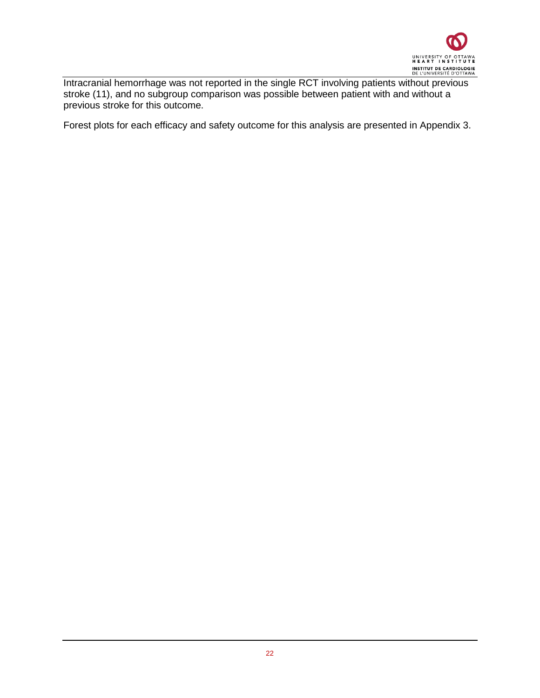

Intracranial hemorrhage was not reported in the single RCT involving patients without previous stroke (11), and no subgroup comparison was possible between patient with and without a previous stroke for this outcome.

Forest plots for each efficacy and safety outcome for this analysis are presented in Appendix 3.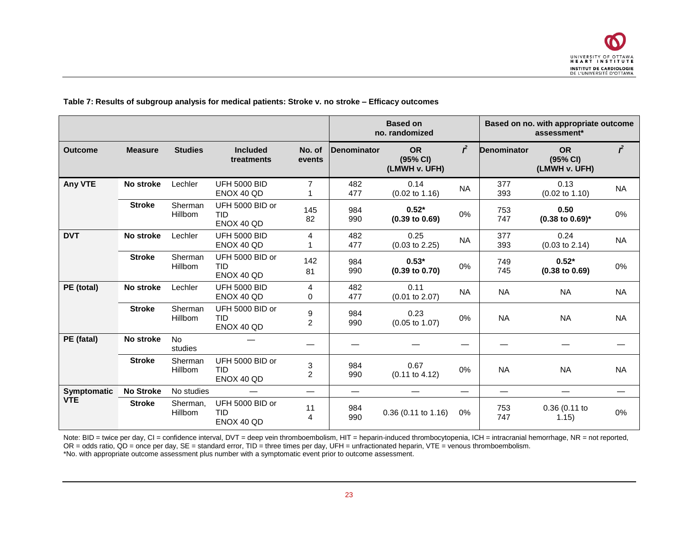<span id="page-22-0"></span>

|                |                  |                      |                                             |                     | <b>Based on</b><br>no. randomized |                                        |                          |                    | Based on no. with appropriate outcome<br>assessment* |                |
|----------------|------------------|----------------------|---------------------------------------------|---------------------|-----------------------------------|----------------------------------------|--------------------------|--------------------|------------------------------------------------------|----------------|
| <b>Outcome</b> | <b>Measure</b>   | <b>Studies</b>       | <b>Included</b><br>treatments               | No. of<br>events    | Denominator                       | <b>OR</b><br>(95% CI)<br>(LMWH v. UFH) | $\mathbf{r}$             | <b>Denominator</b> | <b>OR</b><br>(95% CI)<br>(LMWH v. UFH)               | $\mathbf{r}^2$ |
| Any VTE        | No stroke        | Lechler              | <b>UFH 5000 BID</b><br>ENOX 40 QD           | 7                   | 482<br>477                        | 0.14<br>$(0.02 \text{ to } 1.16)$      | <b>NA</b>                | 377<br>393         | 0.13<br>$(0.02 \text{ to } 1.10)$                    | <b>NA</b>      |
|                | <b>Stroke</b>    | Sherman<br>Hillbom   | UFH 5000 BID or<br><b>TID</b><br>ENOX 40 QD | 145<br>82           | 984<br>990                        | $0.52*$<br>$(0.39 \text{ to } 0.69)$   | 0%                       | 753<br>747         | 0.50<br>$(0.38 \text{ to } 0.69)^*$                  | 0%             |
| <b>DVT</b>     | No stroke        | Lechler              | <b>UFH 5000 BID</b><br>ENOX 40 QD           | 4                   | 482<br>477                        | 0.25<br>$(0.03 \text{ to } 2.25)$      | <b>NA</b>                | 377<br>393         | 0.24<br>$(0.03 \text{ to } 2.14)$                    | <b>NA</b>      |
|                | <b>Stroke</b>    | Sherman<br>Hillbom   | UFH 5000 BID or<br><b>TID</b><br>ENOX 40 QD | 142<br>81           | 984<br>990                        | $0.53*$<br>$(0.39$ to $0.70)$          | 0%                       | 749<br>745         | $0.52*$<br>$(0.38 \text{ to } 0.69)$                 | 0%             |
| PE (total)     | No stroke        | Lechler              | <b>UFH 5000 BID</b><br>ENOX 40 QD           | 4<br>0              | 482<br>477                        | 0.11<br>$(0.01$ to $2.07)$             | <b>NA</b>                | <b>NA</b>          | <b>NA</b>                                            | <b>NA</b>      |
|                | <b>Stroke</b>    | Sherman<br>Hillbom   | UFH 5000 BID or<br><b>TID</b><br>ENOX 40 QD | 9<br>$\overline{c}$ | 984<br>990                        | 0.23<br>$(0.05 \text{ to } 1.07)$      | 0%                       | <b>NA</b>          | <b>NA</b>                                            | <b>NA</b>      |
| PE (fatal)     | No stroke        | <b>No</b><br>studies |                                             |                     |                                   |                                        |                          |                    |                                                      |                |
|                | <b>Stroke</b>    | Sherman<br>Hillbom   | UFH 5000 BID or<br><b>TID</b><br>ENOX 40 QD | 3<br>$\overline{c}$ | 984<br>990                        | 0.67<br>$(0.11$ to 4.12)               | 0%                       | <b>NA</b>          | <b>NA</b>                                            | <b>NA</b>      |
| Symptomatic    | <b>No Stroke</b> | No studies           |                                             |                     |                                   |                                        | $\overline{\phantom{0}}$ |                    |                                                      |                |
| <b>VTE</b>     | <b>Stroke</b>    | Sherman,<br>Hillbom  | UFH 5000 BID or<br><b>TID</b><br>ENOX 40 QD | 11<br>4             | 984<br>990                        | $0.36$ (0.11 to 1.16)                  | 0%                       | 753<br>747         | 0.36 (0.11 to<br>1.15)                               | 0%             |

**Table 7: Results of subgroup analysis for medical patients: Stroke v. no stroke – Efficacy outcomes**

Note: BID = twice per day, CI = confidence interval, DVT = deep vein thromboembolism, HIT = heparin-induced thrombocytopenia, ICH = intracranial hemorrhage, NR = not reported, OR = odds ratio, QD = once per day, SE = standard error, TID = three times per day, UFH = unfractionated heparin, VTE = venous thromboembolism. \*No. with appropriate outcome assessment plus number with a symptomatic event prior to outcome assessment.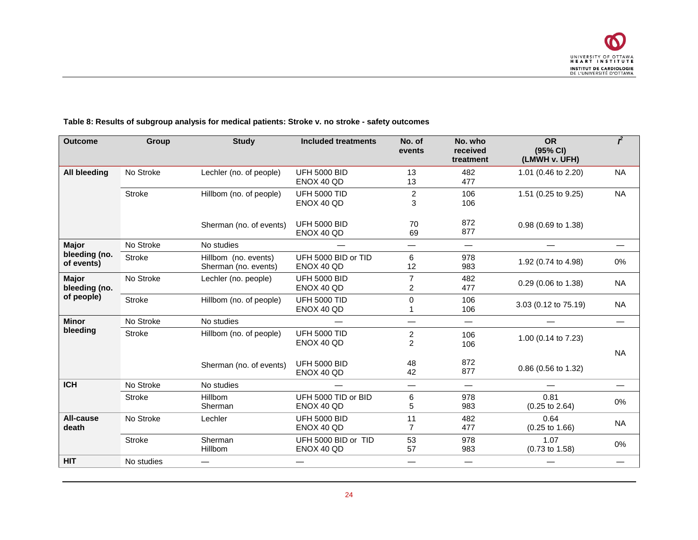

<span id="page-23-0"></span>

| <b>Outcome</b>                | <b>Group</b>  | <b>Study</b>                                 | <b>Included treatments</b>        | No. of<br>events                 | No. who<br>received<br>treatment | <b>OR</b><br>(95% CI)<br>(LMWH v. UFH) | $\overline{r}$ |
|-------------------------------|---------------|----------------------------------------------|-----------------------------------|----------------------------------|----------------------------------|----------------------------------------|----------------|
| <b>All bleeding</b>           | No Stroke     | Lechler (no. of people)                      | <b>UFH 5000 BID</b><br>ENOX 40 QD | 13<br>13                         | 482<br>477                       | 1.01 (0.46 to 2.20)                    | <b>NA</b>      |
|                               | <b>Stroke</b> | Hillbom (no. of people)                      | <b>UFH 5000 TID</b><br>ENOX 40 QD | $\overline{c}$<br>3              | 106<br>106                       | 1.51 (0.25 to 9.25)                    | <b>NA</b>      |
|                               |               | Sherman (no. of events)                      | <b>UFH 5000 BID</b><br>ENOX 40 QD | 70<br>69                         | 872<br>877                       | 0.98 (0.69 to 1.38)                    |                |
| <b>Major</b>                  | No Stroke     | No studies                                   |                                   |                                  | —                                |                                        |                |
| bleeding (no.<br>of events)   | <b>Stroke</b> | Hillbom (no. events)<br>Sherman (no. events) | UFH 5000 BID or TID<br>ENOX 40 QD | 6<br>12                          | 978<br>983                       | 1.92 (0.74 to 4.98)                    | 0%             |
| <b>Major</b><br>bleeding (no. | No Stroke     | Lechler (no. people)                         | <b>UFH 5000 BID</b><br>ENOX 40 QD | $\overline{7}$<br>$\overline{c}$ | 482<br>477                       | 0.29 (0.06 to 1.38)                    | NA             |
| of people)                    | <b>Stroke</b> | Hillbom (no. of people)                      | <b>UFH 5000 TID</b><br>ENOX 40 QD | $\mathbf 0$                      | 106<br>106                       | 3.03 (0.12 to 75.19)                   | <b>NA</b>      |
| <b>Minor</b>                  | No Stroke     | No studies                                   |                                   |                                  | $\overline{\phantom{0}}$         |                                        |                |
| bleeding                      | <b>Stroke</b> | Hillbom (no. of people)                      | <b>UFH 5000 TID</b><br>ENOX 40 QD | $\overline{c}$<br>$\overline{2}$ | 106<br>106                       | 1.00 (0.14 to 7.23)                    | <b>NA</b>      |
|                               |               | Sherman (no. of events)                      | <b>UFH 5000 BID</b><br>ENOX 40 QD | 48<br>42                         | 872<br>877                       | 0.86 (0.56 to 1.32)                    |                |
| <b>ICH</b>                    | No Stroke     | No studies                                   |                                   |                                  | —                                |                                        |                |
|                               | <b>Stroke</b> | Hillbom<br>Sherman                           | UFH 5000 TID or BID<br>ENOX 40 QD | 6<br>5                           | 978<br>983                       | 0.81<br>$(0.25 \text{ to } 2.64)$      | 0%             |
| All-cause<br>death            | No Stroke     | Lechler                                      | <b>UFH 5000 BID</b><br>ENOX 40 QD | 11<br>$\overline{7}$             | 482<br>477                       | 0.64<br>$(0.25 \text{ to } 1.66)$      | <b>NA</b>      |
|                               | <b>Stroke</b> | Sherman<br>Hillbom                           | UFH 5000 BID or TID<br>ENOX 40 QD | 53<br>57                         | 978<br>983                       | 1.07<br>$(0.73 \text{ to } 1.58)$      | 0%             |
| <b>HIT</b>                    | No studies    |                                              |                                   |                                  | —                                |                                        |                |

#### **Table 8: Results of subgroup analysis for medical patients: Stroke v. no stroke - safety outcomes**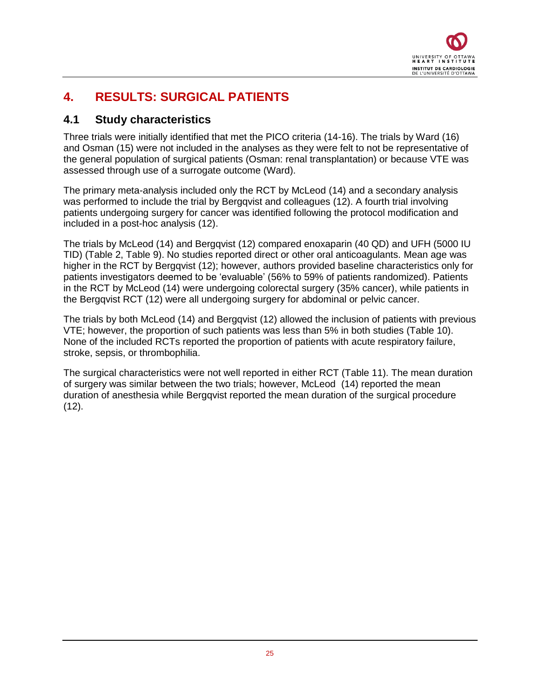

## <span id="page-24-0"></span>**4. RESULTS: SURGICAL PATIENTS**

### <span id="page-24-1"></span>**4.1 Study characteristics**

Three trials were initially identified that met the PICO criteria (14-16). The trials by Ward (16) and Osman (15) were not included in the analyses as they were felt to not be representative of the general population of surgical patients (Osman: renal transplantation) or because VTE was assessed through use of a surrogate outcome (Ward).

The primary meta-analysis included only the RCT by McLeod (14) and a secondary analysis was performed to include the trial by Bergqvist and colleagues (12). A fourth trial involving patients undergoing surgery for cancer was identified following the protocol modification and included in a post-hoc analysis (12).

The trials by McLeod (14) and Bergqvist (12) compared enoxaparin (40 QD) and UFH (5000 IU TID) [\(Table 2,](#page-13-2) [Table 9\)](#page-25-0). No studies reported direct or other oral anticoagulants. Mean age was higher in the RCT by Bergqvist (12); however, authors provided baseline characteristics only for patients investigators deemed to be 'evaluable' (56% to 59% of patients randomized). Patients in the RCT by McLeod (14) were undergoing colorectal surgery (35% cancer), while patients in the Bergqvist RCT (12) were all undergoing surgery for abdominal or pelvic cancer.

The trials by both McLeod (14) and Bergqvist (12) allowed the inclusion of patients with previous VTE; however, the proportion of such patients was less than 5% in both studies [\(Table 10\)](#page-26-0). None of the included RCTs reported the proportion of patients with acute respiratory failure, stroke, sepsis, or thrombophilia.

The surgical characteristics were not well reported in either RCT [\(Table 11\)](#page-26-1). The mean duration of surgery was similar between the two trials; however, McLeod (14) reported the mean duration of anesthesia while Bergqvist reported the mean duration of the surgical procedure  $(12)$ .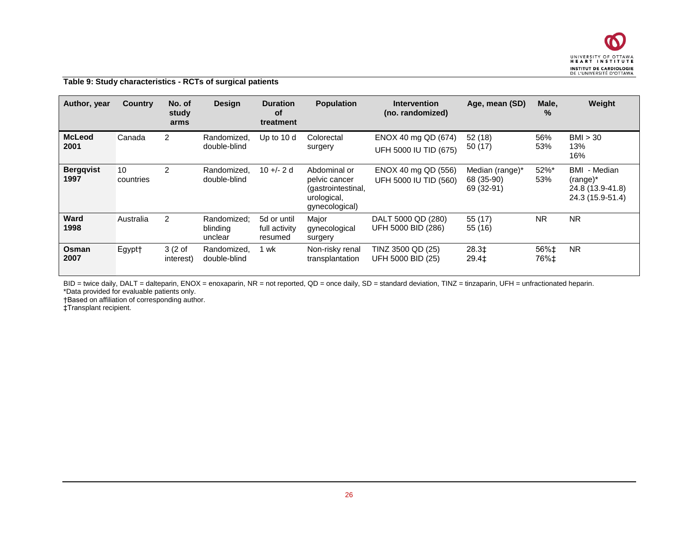

#### **Table 9: Study characteristics - RCTs of surgical patients**

| Author, year             | <b>Country</b>  | No. of<br>study<br>arms          | <b>Design</b>                      | <b>Duration</b><br><b>of</b><br>treatment | <b>Population</b>                                                                    | <b>Intervention</b><br>(no. randomized)      | Age, mean (SD)                              | Male,<br>$\%$ | Weight                                                              |
|--------------------------|-----------------|----------------------------------|------------------------------------|-------------------------------------------|--------------------------------------------------------------------------------------|----------------------------------------------|---------------------------------------------|---------------|---------------------------------------------------------------------|
| <b>McLeod</b><br>2001    | Canada          | 2                                | Randomized,<br>double-blind        | Up to 10 d                                | Colorectal<br>surgery                                                                | ENOX 40 mg QD (674)<br>UFH 5000 IU TID (675) | 52(18)<br>50 (17)                           | 56%<br>53%    | BM > 30<br>13%<br>16%                                               |
| <b>Bergqvist</b><br>1997 | 10<br>countries | 2                                | Randomized.<br>double-blind        | $10 + (-2)$                               | Abdominal or<br>pelvic cancer<br>(gastrointestinal,<br>urological,<br>gynecological) | ENOX 40 mg QD (556)<br>UFH 5000 IU TID (560) | Median (range)*<br>68 (35-90)<br>69 (32-91) | 52%*<br>53%   | BMI<br>- Median<br>(range)*<br>24.8 (13.9-41.8)<br>24.3 (15.9-51.4) |
| <b>Ward</b><br>1998      | Australia       | 2                                | Randomized:<br>blinding<br>unclear | 5d or until<br>full activity<br>resumed   | Major<br>gynecological<br>surgery                                                    | DALT 5000 QD (280)<br>UFH 5000 BID (286)     | 55 (17)<br>55 (16)                          | <b>NR</b>     | <b>NR</b>                                                           |
| Osman<br>2007            | Egypt†          | 3(2 <sub>o</sub> f)<br>interest) | Randomized,<br>double-blind        | wk                                        | Non-risky renal<br>transplantation                                                   | TINZ 3500 QD (25)<br>UFH 5000 BID (25)       | 28.3‡<br>$29.4+$                            | 56%‡<br>76%‡  | <b>NR</b>                                                           |

<span id="page-25-0"></span>BID = twice daily, DALT = dalteparin, ENOX = enoxaparin, NR = not reported, QD = once daily, SD = standard deviation, TINZ = tinzaparin, UFH = unfractionated heparin. \*Data provided for evaluable patients only.

†Based on affiliation of corresponding author.

‡Transplant recipient.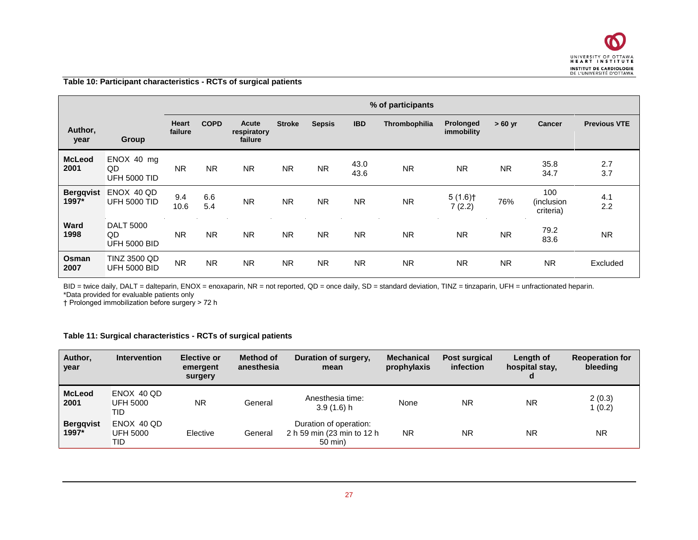

**Table 10: Participant characteristics - RCTs of surgical patients**

|                           |                                               |                         | % of participants |                                 |               |               |              |               |                         |           |                                |                     |
|---------------------------|-----------------------------------------------|-------------------------|-------------------|---------------------------------|---------------|---------------|--------------|---------------|-------------------------|-----------|--------------------------------|---------------------|
| Author,<br>year           | Group                                         | <b>Heart</b><br>failure | <b>COPD</b>       | Acute<br>respiratory<br>failure | <b>Stroke</b> | <b>Sepsis</b> | <b>IBD</b>   | Thrombophilia | Prolonged<br>immobility | $>60$ yr  | <b>Cancer</b>                  | <b>Previous VTE</b> |
| <b>McLeod</b><br>2001     | ENOX 40 mg<br>QD<br><b>UFH 5000 TID</b>       | <b>NR</b>               | <b>NR</b>         | <b>NR</b>                       | <b>NR</b>     | <b>NR</b>     | 43.0<br>43.6 | <b>NR</b>     | <b>NR</b>               | <b>NR</b> | 35.8<br>34.7                   | 2.7<br>3.7          |
| <b>Bergqvist</b><br>1997* | ENOX 40 QD<br><b>UFH 5000 TID</b>             | 9.4<br>10.6             | 6.6<br>5.4        | <b>NR</b>                       | <b>NR</b>     | <b>NR</b>     | <b>NR</b>    | <b>NR</b>     | 5(1.6)<br>7(2.2)        | 76%       | 100<br>(inclusion<br>criteria) | 4.1<br>2.2          |
| Ward<br>1998              | <b>DALT 5000</b><br>QD<br><b>UFH 5000 BID</b> | <b>NR</b>               | <b>NR</b>         | <b>NR</b>                       | <b>NR</b>     | <b>NR</b>     | <b>NR</b>    | <b>NR</b>     | <b>NR</b>               | <b>NR</b> | 79.2<br>83.6                   | <b>NR</b>           |
| Osman<br>2007             | <b>TINZ 3500 QD</b><br><b>UFH 5000 BID</b>    | <b>NR</b>               | <b>NR</b>         | <b>NR</b>                       | <b>NR</b>     | <b>NR</b>     | <b>NR</b>    | <b>NR</b>     | <b>NR</b>               | <b>NR</b> | <b>NR</b>                      | Excluded            |

<span id="page-26-0"></span>BID = twice daily, DALT = dalteparin, ENOX = enoxaparin, NR = not reported, QD = once daily, SD = standard deviation, TINZ = tinzaparin, UFH = unfractionated heparin. \*Data provided for evaluable patients only

† Prolonged immobilization before surgery > 72 h

#### **Table 11: Surgical characteristics - RCTs of surgical patients**

<span id="page-26-1"></span>

| Author,<br>year           | <b>Intervention</b>                  | <b>Elective or</b><br>emergent<br>surgery | Method of<br>anesthesia | Duration of surgery,<br>mean                                    | <b>Mechanical</b><br>prophylaxis | <b>Post surgical</b><br>infection | Length of<br>hospital stay. | <b>Reoperation for</b><br>bleeding |
|---------------------------|--------------------------------------|-------------------------------------------|-------------------------|-----------------------------------------------------------------|----------------------------------|-----------------------------------|-----------------------------|------------------------------------|
| <b>McLeod</b><br>2001     | ENOX 40 QD<br><b>UFH 5000</b><br>TID | <b>NR</b>                                 | General                 | Anesthesia time:<br>3.9(1.6)h                                   | None                             | <b>NR</b>                         | <b>NR</b>                   | 2(0.3)<br>1(0.2)                   |
| <b>Bergqvist</b><br>1997* | ENOX 40 QD<br>UFH 5000<br>TID        | Elective                                  | General                 | Duration of operation:<br>2 h 59 min (23 min to 12 h<br>50 min) | <b>NR</b>                        | <b>NR</b>                         | <b>NR</b>                   | <b>NR</b>                          |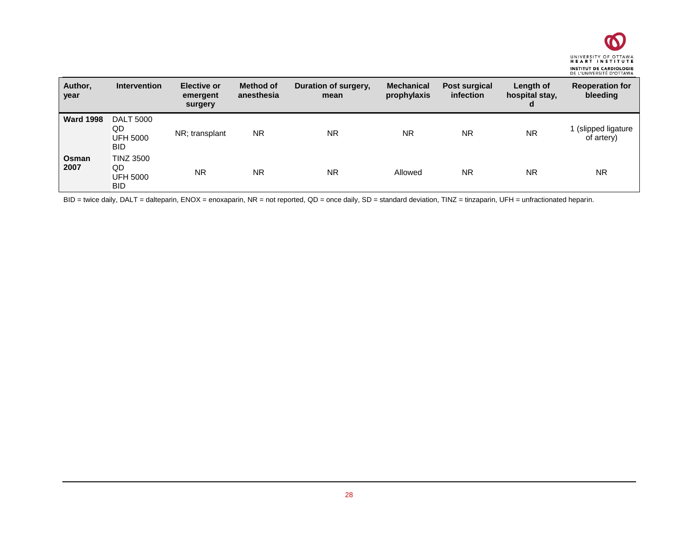

| Author,<br>year  | <b>Intervention</b>                                     | <b>Elective or</b><br>emergent<br>surgery | <b>Method of</b><br>anesthesia | Duration of surgery,<br>mean | <b>Mechanical</b><br>prophylaxis | Post surgical<br><i>infection</i> | Length of<br>hospital stay,<br>d | <b>Reoperation for</b><br>bleeding |
|------------------|---------------------------------------------------------|-------------------------------------------|--------------------------------|------------------------------|----------------------------------|-----------------------------------|----------------------------------|------------------------------------|
| <b>Ward 1998</b> | <b>DALT 5000</b><br>QD<br><b>UFH 5000</b><br><b>BID</b> | NR; transplant                            | <b>NR</b>                      | <b>NR</b>                    | <b>NR</b>                        | <b>NR</b>                         | <b>NR</b>                        | (slipped ligature)<br>of artery)   |
| Osman<br>2007    | <b>TINZ 3500</b><br>QD<br><b>UFH 5000</b><br><b>BID</b> | <b>NR</b>                                 | <b>NR</b>                      | <b>NR</b>                    | Allowed                          | <b>NR</b>                         | ΝR                               | <b>NR</b>                          |

BID = twice daily, DALT = dalteparin, ENOX = enoxaparin, NR = not reported, QD = once daily, SD = standard deviation, TINZ = tinzaparin, UFH = unfractionated heparin.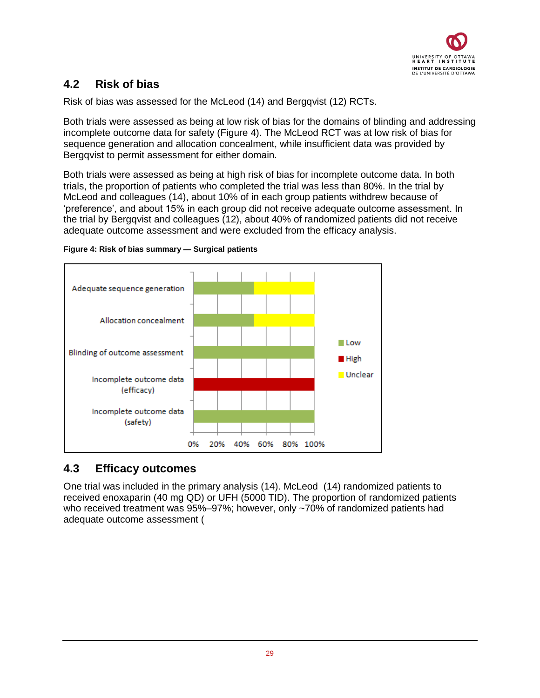### <span id="page-28-0"></span>**4.2 Risk of bias**

Risk of bias was assessed for the McLeod (14) and Bergqvist (12) RCTs.

Both trials were assessed as being at low risk of bias for the domains of blinding and addressing incomplete outcome data for safety [\(Figure 4\)](#page-28-2). The McLeod RCT was at low risk of bias for sequence generation and allocation concealment, while insufficient data was provided by Bergqvist to permit assessment for either domain.

Both trials were assessed as being at high risk of bias for incomplete outcome data. In both trials, the proportion of patients who completed the trial was less than 80%. In the trial by McLeod and colleagues (14), about 10% of in each group patients withdrew because of 'preference', and about 15% in each group did not receive adequate outcome assessment. In the trial by Bergqvist and colleagues (12), about 40% of randomized patients did not receive adequate outcome assessment and were excluded from the efficacy analysis.



<span id="page-28-2"></span>

## <span id="page-28-1"></span>**4.3 Efficacy outcomes**

One trial was included in the primary analysis (14). McLeod (14) randomized patients to received enoxaparin (40 mg QD) or UFH (5000 TID). The proportion of randomized patients who received treatment was 95%–97%; however, only ~70% of randomized patients had adequate outcome assessment (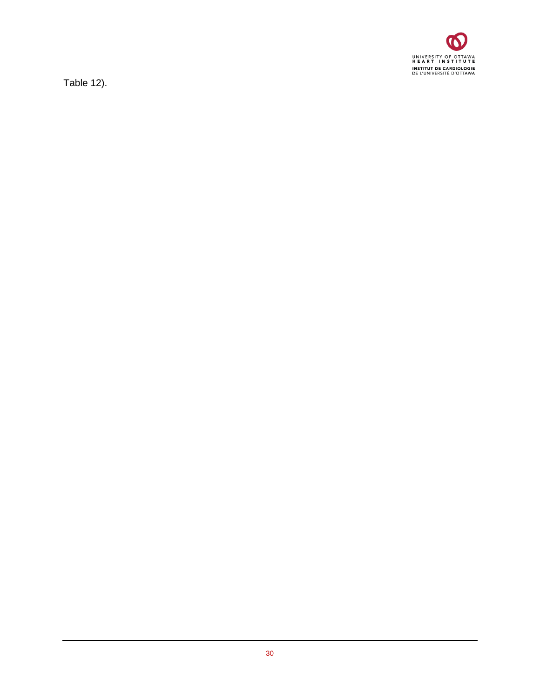

<span id="page-29-0"></span>Table 12).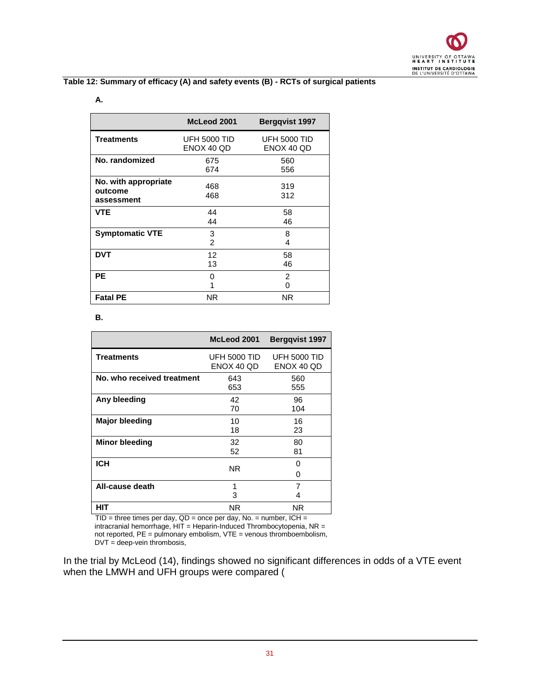

#### **Table 12: Summary of efficacy (A) and safety events (B) - RCTs of surgical patients**

#### **A.**

|                                               | McLeod 2001                | <b>Berggvist 1997</b>             |
|-----------------------------------------------|----------------------------|-----------------------------------|
| <b>Treatments</b>                             | UFH 5000 TID<br>ENOX 40 QD | <b>UFH 5000 TID</b><br>ENOX 40 QD |
| No. randomized                                | 675<br>674                 | 560<br>556                        |
| No. with appropriate<br>outcome<br>assessment | 468<br>468                 | 319<br>312                        |
| <b>VTE</b>                                    | 44<br>44                   | 58<br>46                          |
| <b>Symptomatic VTE</b>                        | 3<br>$\overline{c}$        | 8<br>4                            |
| <b>DVT</b>                                    | 12<br>13                   | 58<br>46                          |
| PЕ                                            | 0<br>1                     | $\overline{c}$<br>0               |
| <b>Fatal PE</b>                               | ΝR                         | NR.                               |

**B.**

|                            | McLeod 2001                       | <b>Bergqvist 1997</b>             |
|----------------------------|-----------------------------------|-----------------------------------|
| <b>Treatments</b>          | <b>UFH 5000 TID</b><br>ENOX 40 QD | <b>UFH 5000 TID</b><br>ENOX 40 QD |
| No. who received treatment | 643<br>653                        | 560<br>555                        |
| Any bleeding               | 42<br>70                          | 96<br>104                         |
| <b>Major bleeding</b>      | 10<br>18                          | 16<br>23                          |
| <b>Minor bleeding</b>      | 32<br>52                          | 80<br>81                          |
| <b>ICH</b>                 | NR.                               | 0<br>0                            |
| All-cause death            | 1<br>3                            | 7<br>4                            |
| HIT                        | NR.                               | NR.                               |

 $TID =$  three times per day,  $QD =$  once per day, No. = number, ICH = intracranial hemorrhage, HIT = Heparin-Induced Thrombocytopenia, NR = not reported, PE = pulmonary embolism, VTE = venous thromboembolism,  $DVT = deep-vein$  thrombosis,

In the trial by McLeod (14), findings showed no significant differences in odds of a VTE event when the LMWH and UFH groups were compared (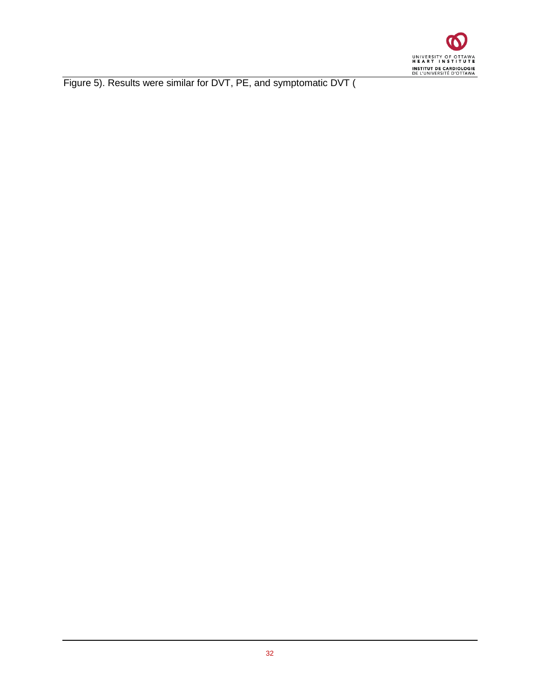

Figure 5). Results were similar for DVT, PE, and symptomatic DVT (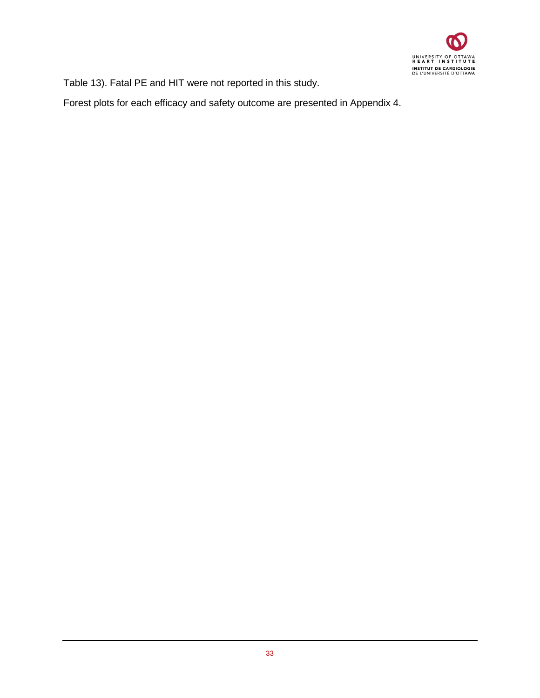

Table 13). Fatal PE and HIT were not reported in this study.

<span id="page-32-0"></span>Forest plots for each efficacy and safety outcome are presented in Appendix 4.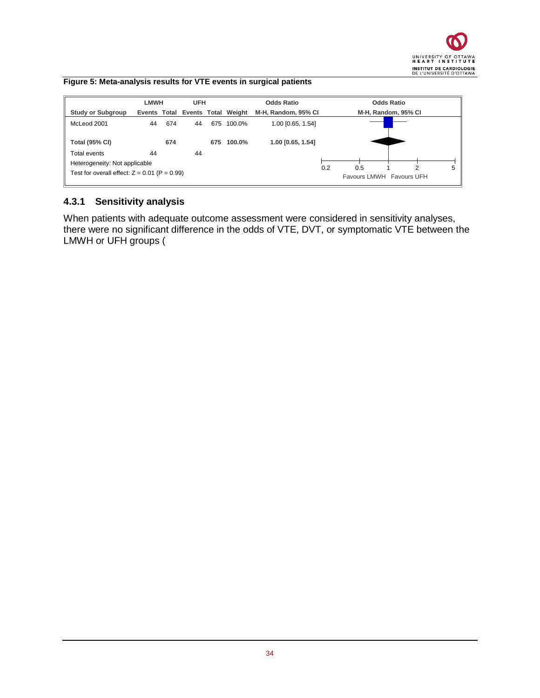#### **Figure 5: Meta-analysis results for VTE events in surgical patients**



### <span id="page-33-0"></span>**4.3.1 Sensitivity analysis**

When patients with adequate outcome assessment were considered in sensitivity analyses, there were no significant difference in the odds of VTE, DVT, or symptomatic VTE between the LMWH or UFH groups (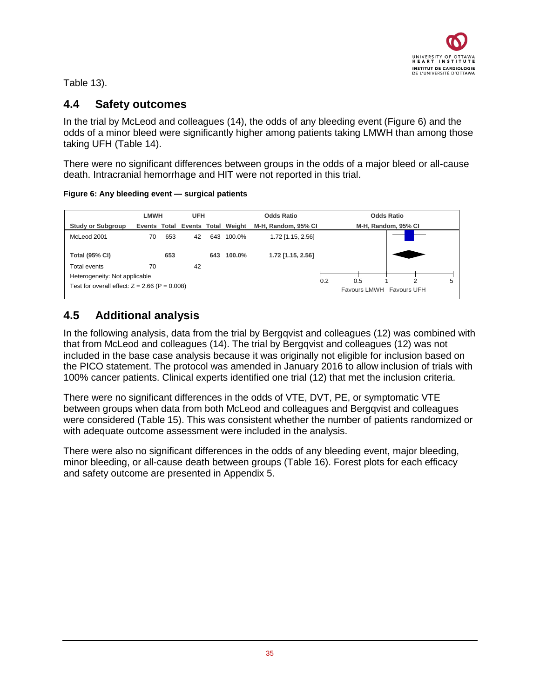### Table 13).

### <span id="page-34-0"></span>**4.4 Safety outcomes**

In the trial by McLeod and colleagues (14), the odds of any bleeding event [\(Figure 6\)](#page-34-2) and the odds of a minor bleed were significantly higher among patients taking LMWH than among those taking UFH (Table 14).

There were no significant differences between groups in the odds of a major bleed or all-cause death. Intracranial hemorrhage and HIT were not reported in this trial.

<span id="page-34-2"></span>**Figure 6: Any bleeding event — surgical patients** 

|                                                 | <b>LMWH</b>                      |     | <b>UFH</b> |                     | <b>Odds Ratio</b> |                     |     | <b>Odds Ratio</b>        |  |   |
|-------------------------------------------------|----------------------------------|-----|------------|---------------------|-------------------|---------------------|-----|--------------------------|--|---|
| <b>Study or Subgroup</b>                        | Events Total Events Total Weight |     |            | M-H, Random, 95% CI |                   | M-H, Random, 95% CI |     |                          |  |   |
| McLeod 2001                                     | 70                               | 653 | 42         |                     | 643 100.0%        | 1.72 [1.15, 2.56]   |     |                          |  |   |
| <b>Total (95% CI)</b>                           |                                  | 653 |            | 643                 | 100.0%            | 1.72 [1.15, 2.56]   |     |                          |  |   |
| Total events                                    | 70                               |     | 42         |                     |                   |                     |     |                          |  |   |
| Heterogeneity: Not applicable                   |                                  |     |            |                     |                   |                     |     |                          |  | 5 |
| Test for overall effect: $Z = 2.66$ (P = 0.008) |                                  |     |            |                     |                   | 0.2                 | 0.5 | Favours LMWH Favours UFH |  |   |

### <span id="page-34-1"></span>**4.5 Additional analysis**

In the following analysis, data from the trial by Bergqvist and colleagues (12) was combined with that from McLeod and colleagues (14). The trial by Bergqvist and colleagues (12) was not included in the base case analysis because it was originally not eligible for inclusion based on the PICO statement. The protocol was amended in January 2016 to allow inclusion of trials with 100% cancer patients. Clinical experts identified one trial (12) that met the inclusion criteria.

There were no significant differences in the odds of VTE, DVT, PE, or symptomatic VTE between groups when data from both McLeod and colleagues and Bergqvist and colleagues were considered [\(Table 15\)](#page-36-0). This was consistent whether the number of patients randomized or with adequate outcome assessment were included in the analysis.

There were also no significant differences in the odds of any bleeding event, major bleeding, minor bleeding, or all-cause death between groups [\(Table 16\)](#page-37-0). Forest plots for each efficacy and safety outcome are presented in Appendix 5.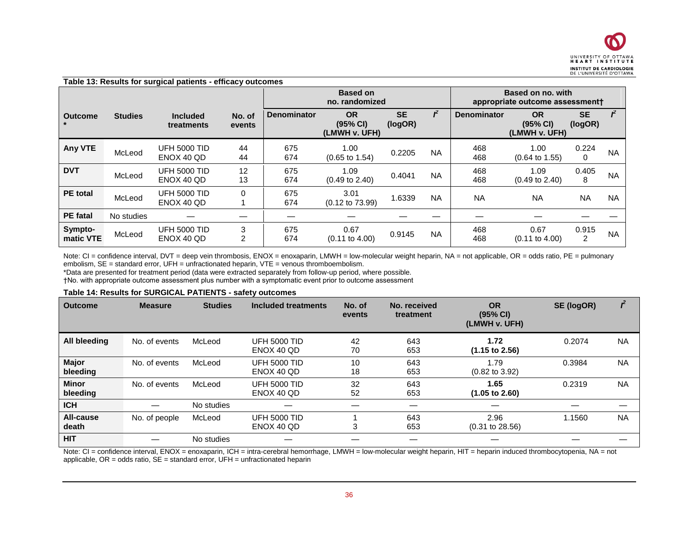|                      | Table 13: Results for surgical patients - efficacy outcomes |                                   |                  |                    |                                        |                      |                                                      |                    |                                        |                      |              |  |
|----------------------|-------------------------------------------------------------|-----------------------------------|------------------|--------------------|----------------------------------------|----------------------|------------------------------------------------------|--------------------|----------------------------------------|----------------------|--------------|--|
|                      |                                                             |                                   |                  |                    | <b>Based on</b><br>no. randomized      |                      | Based on no. with<br>appropriate outcome assessment+ |                    |                                        |                      |              |  |
| <b>Outcome</b>       | <b>Studies</b>                                              | <b>Included</b><br>treatments     | No. of<br>events | <b>Denominator</b> | <b>OR</b><br>(95% CI)<br>(LMWH v. UFH) | <b>SE</b><br>(logOR) |                                                      | <b>Denominator</b> | <b>OR</b><br>(95% CI)<br>(LMWH v. UFH) | <b>SE</b><br>(logOR) | $\mathbf{r}$ |  |
| <b>Any VTE</b>       | McLeod                                                      | <b>UFH 5000 TID</b><br>ENOX 40 QD | 44<br>44         | 675<br>674         | 1.00<br>$(0.65 \text{ to } 1.54)$      | 0.2205               | <b>NA</b>                                            | 468<br>468         | 1.00<br>$(0.64 \text{ to } 1.55)$      | 0.224<br>$\mathbf 0$ | <b>NA</b>    |  |
| <b>DVT</b>           | McLeod                                                      | <b>UFH 5000 TID</b><br>ENOX 40 QD | 12<br>13         | 675<br>674         | 1.09<br>$(0.49 \text{ to } 2.40)$      | 0.4041               | <b>NA</b>                                            | 468<br>468         | 1.09<br>$(0.49 \text{ to } 2.40)$      | 0.405<br>8           | <b>NA</b>    |  |
| <b>PE</b> total      | McLeod                                                      | <b>UFH 5000 TID</b><br>ENOX 40 QD | $\Omega$         | 675<br>674         | 3.01<br>$(0.12 \text{ to } 73.99)$     | 1.6339               | <b>NA</b>                                            | <b>NA</b>          | <b>NA</b>                              | <b>NA</b>            | <b>NA</b>    |  |
| <b>PE</b> fatal      | No studies                                                  |                                   |                  |                    |                                        |                      |                                                      |                    |                                        |                      |              |  |
| Sympto-<br>matic VTE | McLeod                                                      | <b>UFH 5000 TID</b><br>ENOX 40 QD | 3<br>2           | 675<br>674         | 0.67<br>$(0.11$ to $4.00)$             | 0.9145               | <b>NA</b>                                            | 468<br>468         | 0.67<br>$(0.11$ to $4.00)$             | 0.915<br>2           | <b>NA</b>    |  |

<span id="page-35-0"></span>Note: CI = confidence interval, DVT = deep vein thrombosis, ENOX = enoxaparin, LMWH = low-molecular weight heparin, NA = not applicable, OR = odds ratio, PE = pulmonary embolism, SE = standard error, UFH = unfractionated heparin, VTE = venous thromboembolism.

\*Data are presented for treatment period (data were extracted separately from follow-up period, where possible.

†No. with appropriate outcome assessment plus number with a symptomatic event prior to outcome assessment

#### **Table 14: Results for SURGICAL PATIENTS - safety outcomes**

| <b>Outcome</b>           | <b>Measure</b> | <b>Studies</b> | Included treatments               | No. of<br>events | No. received<br>treatment | <b>OR</b><br>(95% CI)<br>(LMWH v. UFH) | SE (logOR) |           |
|--------------------------|----------------|----------------|-----------------------------------|------------------|---------------------------|----------------------------------------|------------|-----------|
| All bleeding             | No. of events  | McLeod         | <b>UFH 5000 TID</b><br>ENOX 40 OD | 42<br>70         | 643<br>653                | 1.72<br>$(1.15 \text{ to } 2.56)$      | 0.2074     | <b>NA</b> |
| <b>Major</b><br>bleeding | No. of events  | McLeod         | <b>UFH 5000 TID</b><br>ENOX 40 QD | 10<br>18         | 643<br>653                | 1.79<br>$(0.82 \text{ to } 3.92)$      | 0.3984     | <b>NA</b> |
| <b>Minor</b><br>bleeding | No. of events  | McLeod         | <b>UFH 5000 TID</b><br>ENOX 40 QD | 32<br>52         | 643<br>653                | 1.65<br>$(1.05 \text{ to } 2.60)$      | 0.2319     | <b>NA</b> |
| <b>ICH</b>               |                | No studies     |                                   |                  |                           |                                        |            |           |
| All-cause<br>death       | No. of people  | McLeod         | <b>UFH 5000 TID</b><br>ENOX 40 QD | 3                | 643<br>653                | 2.96<br>$(0.31 \text{ to } 28.56)$     | 1.1560     | <b>NA</b> |
| <b>HIT</b>               |                | No studies     |                                   |                  |                           |                                        |            |           |

<span id="page-35-1"></span>Note: CI = confidence interval, ENOX = enoxaparin, ICH = intra-cerebral hemorrhage, LMWH = low-molecular weight heparin, HIT = heparin induced thrombocytopenia, NA = not applicable,  $OR = odds$  ratio,  $SE = standard$  error,  $UFH = unfractionated$  heparin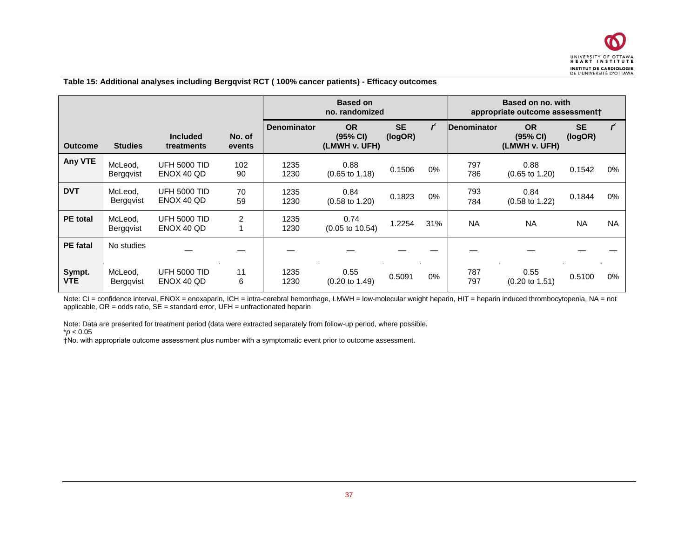

#### **Table 15: Additional analyses including Bergqvist RCT ( 100% cancer patients) - Efficacy outcomes**

|                      |                             |                                   |                  |                    | <b>Based on</b><br>no. randomized      |                      |       | Based on no. with<br>appropriate outcome assessmentt |                                        |                      |              |  |
|----------------------|-----------------------------|-----------------------------------|------------------|--------------------|----------------------------------------|----------------------|-------|------------------------------------------------------|----------------------------------------|----------------------|--------------|--|
| <b>Outcome</b>       | <b>Studies</b>              | <b>Included</b><br>treatments     | No. of<br>events | <b>Denominator</b> | <b>OR</b><br>(95% CI)<br>(LMWH v. UFH) | <b>SE</b><br>(logOR) | ŕ     | Denominator                                          | <b>OR</b><br>(95% CI)<br>(LMWH v. UFH) | <b>SE</b><br>(logOR) | $\mathbf{r}$ |  |
| <b>Any VTE</b>       | McLeod,<br><b>Bergqvist</b> | <b>UFH 5000 TID</b><br>ENOX 40 QD | 102<br>90        | 1235<br>1230       | 0.88<br>$(0.65 \text{ to } 1.18)$      | 0.1506               | 0%    | 797<br>786                                           | 0.88<br>$(0.65 \text{ to } 1.20)$      | 0.1542               | 0%           |  |
| <b>DVT</b>           | McLeod.<br>Bergqvist        | <b>UFH 5000 TID</b><br>ENOX 40 QD | 70<br>59         | 1235<br>1230       | 0.84<br>$(0.58 \text{ to } 1.20)$      | 0.1823               | $0\%$ | 793<br>784                                           | 0.84<br>$(0.58 \text{ to } 1.22)$      | 0.1844               | 0%           |  |
| <b>PE</b> total      | McLeod,<br><b>Bergqvist</b> | <b>UFH 5000 TID</b><br>ENOX 40 QD | 2                | 1235<br>1230       | 0.74<br>$(0.05 \text{ to } 10.54)$     | 1.2254               | 31%   | <b>NA</b>                                            | <b>NA</b>                              | <b>NA</b>            | <b>NA</b>    |  |
| <b>PE</b> fatal      | No studies                  |                                   |                  |                    |                                        |                      |       |                                                      |                                        |                      |              |  |
| Sympt.<br><b>VTE</b> | McLeod,<br>Bergqvist        | <b>UFH 5000 TID</b><br>ENOX 40 QD | 11<br>6          | 1235<br>1230       | 0.55<br>$(0.20 \text{ to } 1.49)$      | 0.5091               | 0%    | 787<br>797                                           | 0.55<br>$(0.20 \text{ to } 1.51)$      | 0.5100               | 0%           |  |

<span id="page-36-0"></span>Note: CI = confidence interval, ENOX = enoxaparin, ICH = intra-cerebral hemorrhage, LMWH = low-molecular weight heparin, HIT = heparin induced thrombocytopenia, NA = not applicable,  $OR = odds$  ratio,  $SE = standard$  error,  $UFH = unfractionated$  heparin

Note: Data are presented for treatment period (data were extracted separately from follow-up period, where possible. \**p* < 0.05

†No. with appropriate outcome assessment plus number with a symptomatic event prior to outcome assessment.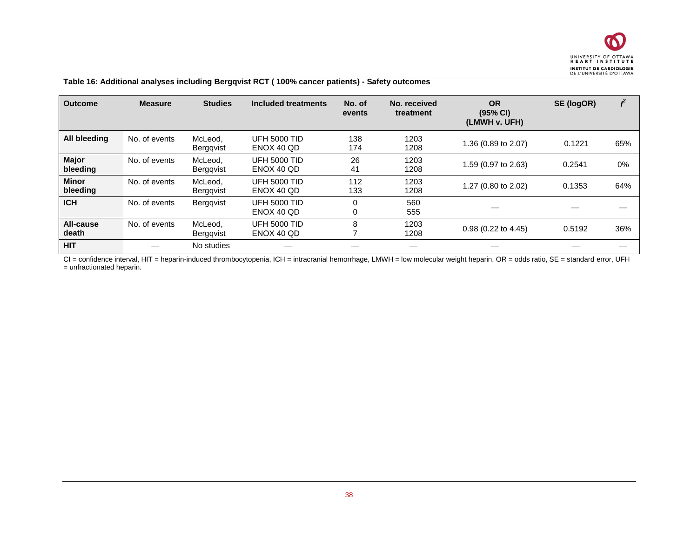

#### **Table 16: Additional analyses including Bergqvist RCT ( 100% cancer patients) - Safety outcomes**

| <b>Outcome</b>           | <b>Measure</b> | <b>Studies</b>              | Included treatments               | No. of<br>events | No. received<br>treatment | <b>OR</b><br>(95% CI)<br>(LMWH v. UFH) | SE (logOR) |     |
|--------------------------|----------------|-----------------------------|-----------------------------------|------------------|---------------------------|----------------------------------------|------------|-----|
| All bleeding             | No. of events  | McLeod,<br><b>Berggvist</b> | <b>UFH 5000 TID</b><br>ENOX 40 OD | 138<br>174       | 1203<br>1208              | 1.36 (0.89 to 2.07)                    | 0.1221     | 65% |
| <b>Major</b><br>bleeding | No. of events  | McLeod,<br>Berggvist        | <b>UFH 5000 TID</b><br>ENOX 40 OD | 26<br>41         | 1203<br>1208              | 1.59 (0.97 to 2.63)                    | 0.2541     | 0%  |
| <b>Minor</b><br>bleeding | No. of events  | McLeod.<br>Berggvist        | <b>UFH 5000 TID</b><br>ENOX 40 QD | 112<br>133       | 1203<br>1208              | 1.27 (0.80 to 2.02)                    | 0.1353     | 64% |
| <b>ICH</b>               | No. of events  | <b>Berggvist</b>            | <b>UFH 5000 TID</b><br>ENOX 40 QD | 0<br>0           | 560<br>555                |                                        |            |     |
| All-cause<br>death       | No. of events  | McLeod,<br>Berggvist        | <b>UFH 5000 TID</b><br>ENOX 40 QD | 8                | 1203<br>1208              | $0.98$ (0.22 to 4.45)                  | 0.5192     | 36% |
| <b>HIT</b>               |                | No studies                  |                                   |                  |                           |                                        |            |     |

<span id="page-37-0"></span>CI = confidence interval, HIT = heparin-induced thrombocytopenia, ICH = intracranial hemorrhage, LMWH = low molecular weight heparin, OR = odds ratio, SE = standard error, UFH = unfractionated heparin.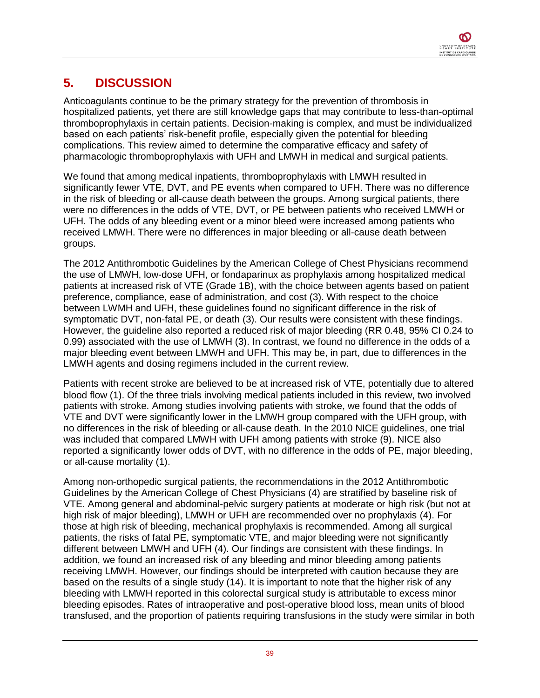# <span id="page-38-0"></span>**5. DISCUSSION**

Anticoagulants continue to be the primary strategy for the prevention of thrombosis in hospitalized patients, yet there are still knowledge gaps that may contribute to less-than-optimal thromboprophylaxis in certain patients. Decision-making is complex, and must be individualized based on each patients' risk-benefit profile, especially given the potential for bleeding complications. This review aimed to determine the comparative efficacy and safety of pharmacologic thromboprophylaxis with UFH and LMWH in medical and surgical patients.

We found that among medical inpatients, thromboprophylaxis with LMWH resulted in significantly fewer VTE, DVT, and PE events when compared to UFH. There was no difference in the risk of bleeding or all-cause death between the groups. Among surgical patients, there were no differences in the odds of VTE, DVT, or PE between patients who received LMWH or UFH. The odds of any bleeding event or a minor bleed were increased among patients who received LMWH. There were no differences in major bleeding or all-cause death between groups.

The 2012 Antithrombotic Guidelines by the American College of Chest Physicians recommend the use of LMWH, low-dose UFH, or fondaparinux as prophylaxis among hospitalized medical patients at increased risk of VTE (Grade 1B), with the choice between agents based on patient preference, compliance, ease of administration, and cost (3). With respect to the choice between LWMH and UFH, these guidelines found no significant difference in the risk of symptomatic DVT, non-fatal PE, or death (3). Our results were consistent with these findings. However, the guideline also reported a reduced risk of major bleeding (RR 0.48, 95% CI 0.24 to 0.99) associated with the use of LMWH (3). In contrast, we found no difference in the odds of a major bleeding event between LMWH and UFH. This may be, in part, due to differences in the LMWH agents and dosing regimens included in the current review.

Patients with recent stroke are believed to be at increased risk of VTE, potentially due to altered blood flow (1). Of the three trials involving medical patients included in this review, two involved patients with stroke. Among studies involving patients with stroke, we found that the odds of VTE and DVT were significantly lower in the LMWH group compared with the UFH group, with no differences in the risk of bleeding or all-cause death. In the 2010 NICE guidelines, one trial was included that compared LMWH with UFH among patients with stroke (9). NICE also reported a significantly lower odds of DVT, with no difference in the odds of PE, major bleeding, or all-cause mortality (1).

Among non-orthopedic surgical patients, the recommendations in the 2012 Antithrombotic Guidelines by the American College of Chest Physicians (4) are stratified by baseline risk of VTE. Among general and abdominal-pelvic surgery patients at moderate or high risk (but not at high risk of major bleeding), LMWH or UFH are recommended over no prophylaxis (4). For those at high risk of bleeding, mechanical prophylaxis is recommended. Among all surgical patients, the risks of fatal PE, symptomatic VTE, and major bleeding were not significantly different between LMWH and UFH (4). Our findings are consistent with these findings. In addition, we found an increased risk of any bleeding and minor bleeding among patients receiving LMWH. However, our findings should be interpreted with caution because they are based on the results of a single study (14). It is important to note that the higher risk of any bleeding with LMWH reported in this colorectal surgical study is attributable to excess minor bleeding episodes. Rates of intraoperative and post-operative blood loss, mean units of blood transfused, and the proportion of patients requiring transfusions in the study were similar in both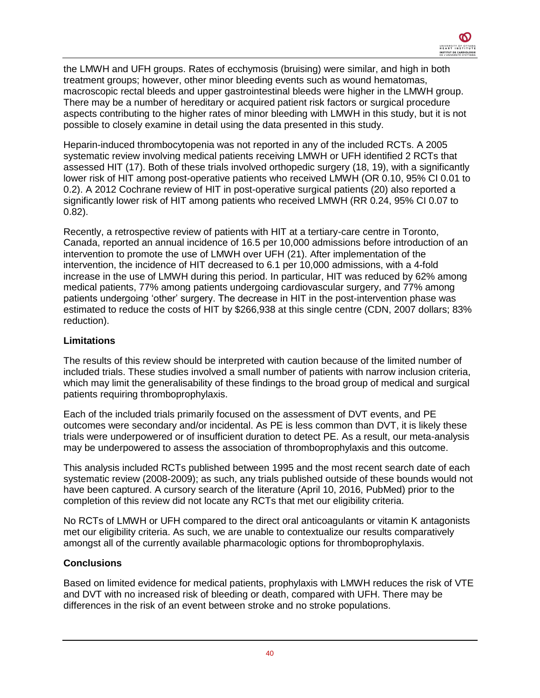the LMWH and UFH groups. Rates of ecchymosis (bruising) were similar, and high in both treatment groups; however, other minor bleeding events such as wound hematomas, macroscopic rectal bleeds and upper gastrointestinal bleeds were higher in the LMWH group. There may be a number of hereditary or acquired patient risk factors or surgical procedure aspects contributing to the higher rates of minor bleeding with LMWH in this study, but it is not possible to closely examine in detail using the data presented in this study.

Heparin-induced thrombocytopenia was not reported in any of the included RCTs. A 2005 systematic review involving medical patients receiving LMWH or UFH identified 2 RCTs that assessed HIT (17). Both of these trials involved orthopedic surgery (18, 19), with a significantly lower risk of HIT among post-operative patients who received LMWH (OR 0.10, 95% CI 0.01 to 0.2). A 2012 Cochrane review of HIT in post-operative surgical patients (20) also reported a significantly lower risk of HIT among patients who received LMWH (RR 0.24, 95% CI 0.07 to 0.82).

Recently, a retrospective review of patients with HIT at a tertiary-care centre in Toronto, Canada, reported an annual incidence of 16.5 per 10,000 admissions before introduction of an intervention to promote the use of LMWH over UFH (21). After implementation of the intervention, the incidence of HIT decreased to 6.1 per 10,000 admissions, with a 4-fold increase in the use of LMWH during this period. In particular, HIT was reduced by 62% among medical patients, 77% among patients undergoing cardiovascular surgery, and 77% among patients undergoing 'other' surgery. The decrease in HIT in the post-intervention phase was estimated to reduce the costs of HIT by \$266,938 at this single centre (CDN, 2007 dollars; 83% reduction).

### **Limitations**

The results of this review should be interpreted with caution because of the limited number of included trials. These studies involved a small number of patients with narrow inclusion criteria, which may limit the generalisability of these findings to the broad group of medical and surgical patients requiring thromboprophylaxis.

Each of the included trials primarily focused on the assessment of DVT events, and PE outcomes were secondary and/or incidental. As PE is less common than DVT, it is likely these trials were underpowered or of insufficient duration to detect PE. As a result, our meta-analysis may be underpowered to assess the association of thromboprophylaxis and this outcome.

This analysis included RCTs published between 1995 and the most recent search date of each systematic review (2008-2009); as such, any trials published outside of these bounds would not have been captured. A cursory search of the literature (April 10, 2016, PubMed) prior to the completion of this review did not locate any RCTs that met our eligibility criteria.

No RCTs of LMWH or UFH compared to the direct oral anticoagulants or vitamin K antagonists met our eligibility criteria. As such, we are unable to contextualize our results comparatively amongst all of the currently available pharmacologic options for thromboprophylaxis.

#### **Conclusions**

Based on limited evidence for medical patients, prophylaxis with LMWH reduces the risk of VTE and DVT with no increased risk of bleeding or death, compared with UFH. There may be differences in the risk of an event between stroke and no stroke populations.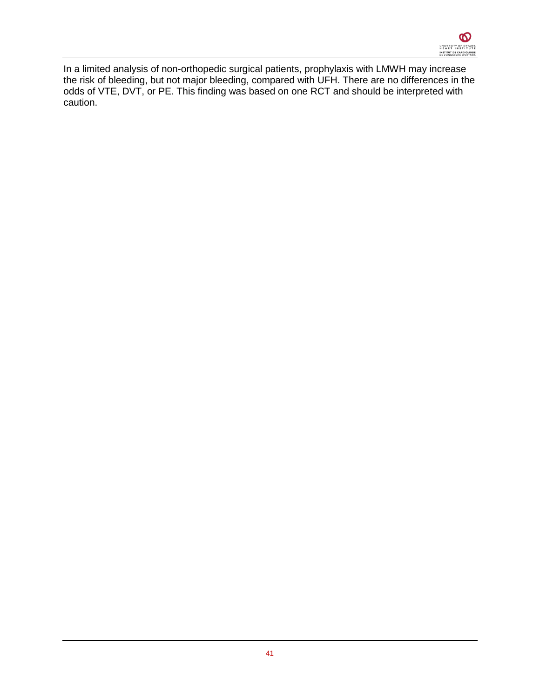In a limited analysis of non-orthopedic surgical patients, prophylaxis with LMWH may increase the risk of bleeding, but not major bleeding, compared with UFH. There are no differences in the odds of VTE, DVT, or PE. This finding was based on one RCT and should be interpreted with caution.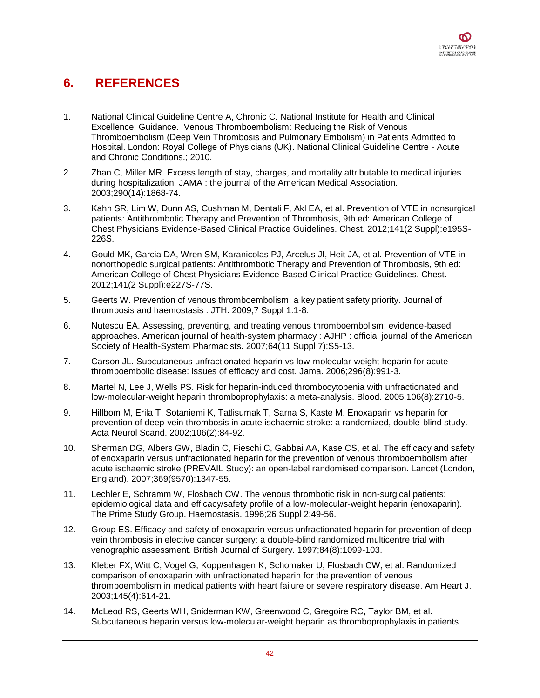## <span id="page-41-0"></span>**6. REFERENCES**

- 1. National Clinical Guideline Centre A, Chronic C. National Institute for Health and Clinical Excellence: Guidance. Venous Thromboembolism: Reducing the Risk of Venous Thromboembolism (Deep Vein Thrombosis and Pulmonary Embolism) in Patients Admitted to Hospital. London: Royal College of Physicians (UK). National Clinical Guideline Centre - Acute and Chronic Conditions.; 2010.
- 2. Zhan C, Miller MR. Excess length of stay, charges, and mortality attributable to medical injuries during hospitalization. JAMA : the journal of the American Medical Association. 2003;290(14):1868-74.
- 3. Kahn SR, Lim W, Dunn AS, Cushman M, Dentali F, Akl EA, et al. Prevention of VTE in nonsurgical patients: Antithrombotic Therapy and Prevention of Thrombosis, 9th ed: American College of Chest Physicians Evidence-Based Clinical Practice Guidelines. Chest. 2012;141(2 Suppl):e195S-226S.
- 4. Gould MK, Garcia DA, Wren SM, Karanicolas PJ, Arcelus JI, Heit JA, et al. Prevention of VTE in nonorthopedic surgical patients: Antithrombotic Therapy and Prevention of Thrombosis, 9th ed: American College of Chest Physicians Evidence-Based Clinical Practice Guidelines. Chest. 2012;141(2 Suppl):e227S-77S.
- 5. Geerts W. Prevention of venous thromboembolism: a key patient safety priority. Journal of thrombosis and haemostasis : JTH. 2009;7 Suppl 1:1-8.
- 6. Nutescu EA. Assessing, preventing, and treating venous thromboembolism: evidence-based approaches. American journal of health-system pharmacy : AJHP : official journal of the American Society of Health-System Pharmacists. 2007;64(11 Suppl 7):S5-13.
- 7. Carson JL. Subcutaneous unfractionated heparin vs low-molecular-weight heparin for acute thromboembolic disease: issues of efficacy and cost. Jama. 2006;296(8):991-3.
- 8. Martel N, Lee J, Wells PS. Risk for heparin-induced thrombocytopenia with unfractionated and low-molecular-weight heparin thromboprophylaxis: a meta-analysis. Blood. 2005;106(8):2710-5.
- 9. Hillbom M, Erila T, Sotaniemi K, Tatlisumak T, Sarna S, Kaste M. Enoxaparin vs heparin for prevention of deep-vein thrombosis in acute ischaemic stroke: a randomized, double-blind study. Acta Neurol Scand. 2002;106(2):84-92.
- 10. Sherman DG, Albers GW, Bladin C, Fieschi C, Gabbai AA, Kase CS, et al. The efficacy and safety of enoxaparin versus unfractionated heparin for the prevention of venous thromboembolism after acute ischaemic stroke (PREVAIL Study): an open-label randomised comparison. Lancet (London, England). 2007;369(9570):1347-55.
- 11. Lechler E, Schramm W, Flosbach CW. The venous thrombotic risk in non-surgical patients: epidemiological data and efficacy/safety profile of a low-molecular-weight heparin (enoxaparin). The Prime Study Group. Haemostasis. 1996;26 Suppl 2:49-56.
- 12. Group ES. Efficacy and safety of enoxaparin versus unfractionated heparin for prevention of deep vein thrombosis in elective cancer surgery: a double-blind randomized multicentre trial with venographic assessment. British Journal of Surgery. 1997;84(8):1099-103.
- 13. Kleber FX, Witt C, Vogel G, Koppenhagen K, Schomaker U, Flosbach CW, et al. Randomized comparison of enoxaparin with unfractionated heparin for the prevention of venous thromboembolism in medical patients with heart failure or severe respiratory disease. Am Heart J. 2003;145(4):614-21.
- 14. McLeod RS, Geerts WH, Sniderman KW, Greenwood C, Gregoire RC, Taylor BM, et al. Subcutaneous heparin versus low-molecular-weight heparin as thromboprophylaxis in patients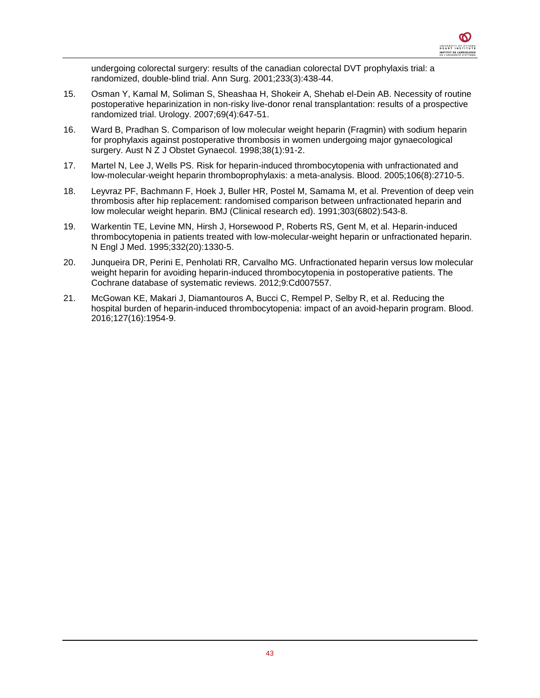undergoing colorectal surgery: results of the canadian colorectal DVT prophylaxis trial: a randomized, double-blind trial. Ann Surg. 2001;233(3):438-44.

- 15. Osman Y, Kamal M, Soliman S, Sheashaa H, Shokeir A, Shehab el-Dein AB. Necessity of routine postoperative heparinization in non-risky live-donor renal transplantation: results of a prospective randomized trial. Urology. 2007;69(4):647-51.
- 16. Ward B, Pradhan S. Comparison of low molecular weight heparin (Fragmin) with sodium heparin for prophylaxis against postoperative thrombosis in women undergoing major gynaecological surgery. Aust N Z J Obstet Gynaecol. 1998;38(1):91-2.
- 17. Martel N, Lee J, Wells PS. Risk for heparin-induced thrombocytopenia with unfractionated and low-molecular-weight heparin thromboprophylaxis: a meta-analysis. Blood. 2005;106(8):2710-5.
- 18. Leyvraz PF, Bachmann F, Hoek J, Buller HR, Postel M, Samama M, et al. Prevention of deep vein thrombosis after hip replacement: randomised comparison between unfractionated heparin and low molecular weight heparin. BMJ (Clinical research ed). 1991;303(6802):543-8.
- 19. Warkentin TE, Levine MN, Hirsh J, Horsewood P, Roberts RS, Gent M, et al. Heparin-induced thrombocytopenia in patients treated with low-molecular-weight heparin or unfractionated heparin. N Engl J Med. 1995;332(20):1330-5.
- 20. Junqueira DR, Perini E, Penholati RR, Carvalho MG. Unfractionated heparin versus low molecular weight heparin for avoiding heparin-induced thrombocytopenia in postoperative patients. The Cochrane database of systematic reviews. 2012;9:Cd007557.
- 21. McGowan KE, Makari J, Diamantouros A, Bucci C, Rempel P, Selby R, et al. Reducing the hospital burden of heparin-induced thrombocytopenia: impact of an avoid-heparin program. Blood. 2016;127(16):1954-9.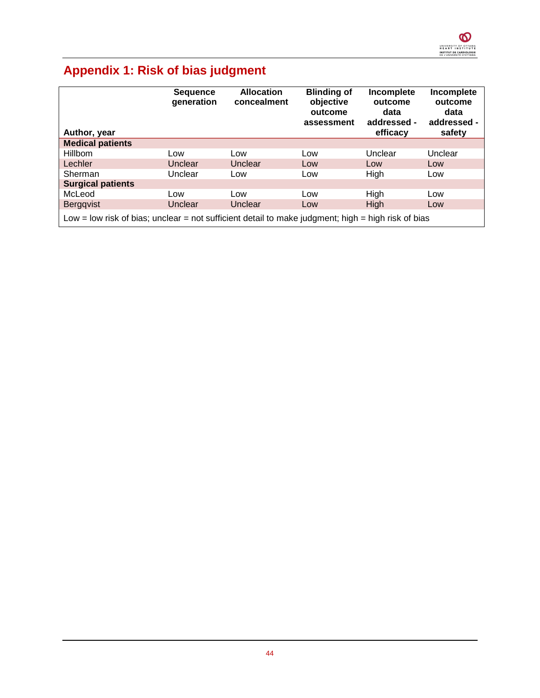

# **Appendix 1: Risk of bias judgment**

| Author, year                                                                                       | <b>Sequence</b><br>generation | <b>Allocation</b><br>concealment | <b>Blinding of</b><br>objective<br>outcome<br>assessment | Incomplete<br>outcome<br>data<br>addressed -<br>efficacy | Incomplete<br>outcome<br>data<br>addressed -<br>safety |
|----------------------------------------------------------------------------------------------------|-------------------------------|----------------------------------|----------------------------------------------------------|----------------------------------------------------------|--------------------------------------------------------|
| <b>Medical patients</b>                                                                            |                               |                                  |                                                          |                                                          |                                                        |
| Hillbom                                                                                            | Low                           | Low                              | Low                                                      | Unclear                                                  | Unclear                                                |
| Lechler                                                                                            | <b>Unclear</b>                | Unclear                          | Low                                                      | Low                                                      | Low                                                    |
| Sherman                                                                                            | Unclear                       | Low                              | Low                                                      | High                                                     | Low                                                    |
| <b>Surgical patients</b>                                                                           |                               |                                  |                                                          |                                                          |                                                        |
| McLeod                                                                                             | Low                           | Low                              | Low                                                      | High                                                     | Low                                                    |
| Bergqvist                                                                                          | Unclear                       | Unclear                          | Low                                                      | <b>High</b>                                              | Low                                                    |
| Low = low risk of bias; unclear = not sufficient detail to make judgment; high = high risk of bias |                               |                                  |                                                          |                                                          |                                                        |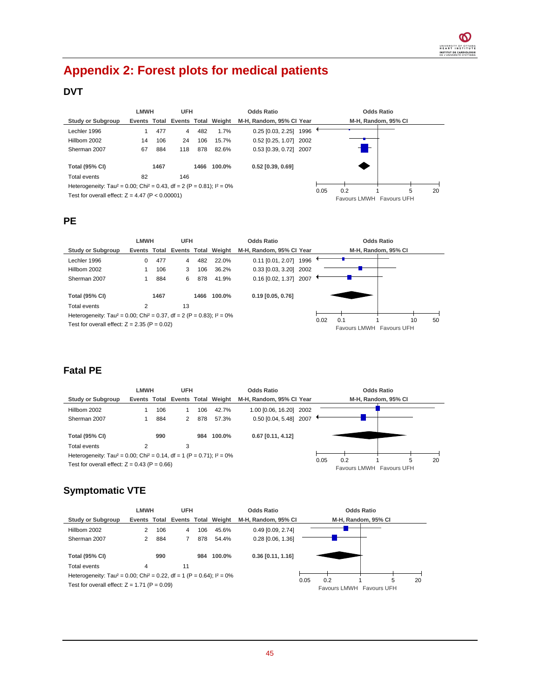# **Appendix 2: Forest plots for medical patients**

## **DVT**

|                                                                                                 | <b>LMWH</b>                      |      | <b>UFH</b> |      |        | <b>Odds Ratio</b>        |      |                          | <b>Odds Ratio</b>   |    |
|-------------------------------------------------------------------------------------------------|----------------------------------|------|------------|------|--------|--------------------------|------|--------------------------|---------------------|----|
| <b>Study or Subgroup</b>                                                                        | Events Total Events Total Weight |      |            |      |        | M-H, Random, 95% CI Year |      |                          | M-H, Random, 95% CI |    |
| Lechler 1996                                                                                    |                                  | 477  | 4          | 482  | 1.7%   | 0.25 [0.03, 2.25] 1996   |      |                          |                     |    |
| Hillbom 2002                                                                                    | 14                               | 106  | 24         | 106  | 15.7%  | 0.52 [0.25, 1.07] 2002   |      |                          |                     |    |
| Sherman 2007                                                                                    | 67                               | 884  | 118        | 878  | 82.6%  | 0.53 [0.39, 0.72] 2007   |      |                          |                     |    |
| <b>Total (95% CI)</b>                                                                           |                                  | 1467 |            | 1466 | 100.0% | $0.52$ [0.39, 0.69]      |      |                          |                     |    |
| Total events                                                                                    | 82                               |      | 146        |      |        |                          |      |                          |                     |    |
| Heterogeneity: Tau <sup>2</sup> = 0.00; Chi <sup>2</sup> = 0.43, df = 2 (P = 0.81); $I^2 = 0\%$ |                                  |      |            |      |        |                          | 0.05 | 0.2                      | 5                   | 20 |
| Test for overall effect: $Z = 4.47$ (P < 0.00001)                                               |                                  |      |            |      |        |                          |      | Favours LMWH Favours UFH |                     |    |

### **PE**

|                                                                                                 | <b>LMWH</b>                      |      | UFH |      |        | <b>Odds Ratio</b>           |      | <b>Odds Ratio</b>                           |
|-------------------------------------------------------------------------------------------------|----------------------------------|------|-----|------|--------|-----------------------------|------|---------------------------------------------|
| <b>Study or Subgroup</b>                                                                        | Events Total Events Total Weight |      |     |      |        | M-H, Random, 95% CI Year    |      | M-H, Random, 95% CI                         |
| Lechler 1996                                                                                    | 0                                | 477  | 4   | 482  | 22.0%  | 1996<br>$0.11$ [0.01, 2.07] |      |                                             |
| Hillbom 2002                                                                                    |                                  | 106  | 3   | 106  | 36.2%  | 0.33 [0.03, 3.20] 2002      |      |                                             |
| Sherman 2007                                                                                    |                                  | 884  | 6   | 878  | 41.9%  | 0.16 [0.02, 1.37] 2007      |      |                                             |
| <b>Total (95% CI)</b>                                                                           |                                  | 1467 |     | 1466 | 100.0% | $0.19$ [0.05, 0.76]         |      |                                             |
| Total events                                                                                    | 2                                |      | 13  |      |        |                             |      |                                             |
| Heterogeneity: Tau <sup>2</sup> = 0.00; Chi <sup>2</sup> = 0.37, df = 2 (P = 0.83); $I^2 = 0\%$ |                                  |      |     |      |        |                             |      |                                             |
| Test for overall effect: $Z = 2.35$ (P = 0.02)                                                  |                                  |      |     |      |        |                             | 0.02 | 0.1<br>10<br>50<br>Favours LMWH Favours UFH |

### **Fatal PE**

|                                                                                                 | <b>LMWH</b>    |     | <b>UFH</b> |     |                                  | <b>Odds Ratio</b>        |      |                                 | <b>Odds Ratio</b> |   |    |
|-------------------------------------------------------------------------------------------------|----------------|-----|------------|-----|----------------------------------|--------------------------|------|---------------------------------|-------------------|---|----|
| <b>Study or Subgroup</b>                                                                        |                |     |            |     | Events Total Events Total Weight | M-H, Random, 95% CI Year |      | M-H. Random. 95% CI             |                   |   |    |
| Hillbom 2002                                                                                    |                | 106 |            | 106 | 42.7%                            | 1.00 [0.06, 16.20] 2002  |      |                                 |                   |   |    |
| Sherman 2007                                                                                    |                | 884 | 2          | 878 | 57.3%                            | 0.50 [0.04, 5.48] 2007   |      |                                 |                   |   |    |
|                                                                                                 |                |     |            |     |                                  |                          |      |                                 |                   |   |    |
| <b>Total (95% CI)</b>                                                                           |                | 990 |            | 984 | 100.0%                           | $0.67$ [0.11, 4.12]      |      |                                 |                   |   |    |
| Total events                                                                                    | $\overline{2}$ |     | 3          |     |                                  |                          |      |                                 |                   |   |    |
| Heterogeneity: Tau <sup>2</sup> = 0.00; Chi <sup>2</sup> = 0.14, df = 1 (P = 0.71); $I^2 = 0\%$ |                |     |            |     |                                  |                          |      |                                 |                   |   |    |
| Test for overall effect: $Z = 0.43$ (P = 0.66)                                                  |                |     |            |     |                                  |                          | 0.05 | 0.2<br>Favours LMWH Favours UFH |                   | 5 | 20 |

## **Symptomatic VTE**

|                                                                                                 | <b>LMWH</b> |     | <b>UFH</b> |     |                                  | <b>Odds Ratio</b>     |      |                          | <b>Odds Ratio</b>   |    |
|-------------------------------------------------------------------------------------------------|-------------|-----|------------|-----|----------------------------------|-----------------------|------|--------------------------|---------------------|----|
| <b>Study or Subgroup</b>                                                                        |             |     |            |     | Events Total Events Total Weight | M-H, Random, 95% CI   |      |                          | M-H, Random, 95% CI |    |
| Hillbom 2002                                                                                    | 2           | 106 | 4          | 106 | 45.6%                            | $0.49$ [0.09, 2.74]   |      |                          |                     |    |
| Sherman 2007                                                                                    |             | 884 |            | 878 | 54.4%                            | $0.28$ $[0.06, 1.36]$ |      |                          |                     |    |
|                                                                                                 |             |     |            |     |                                  |                       |      |                          |                     |    |
| <b>Total (95% CI)</b>                                                                           |             | 990 |            | 984 | 100.0%                           | $0.36$ [0.11, 1.16]   |      |                          |                     |    |
| Total events                                                                                    | 4           |     | 11         |     |                                  |                       |      |                          |                     |    |
| Heterogeneity: Tau <sup>2</sup> = 0.00; Chi <sup>2</sup> = 0.22, df = 1 (P = 0.64); $I^2 = 0\%$ |             |     |            |     |                                  |                       |      |                          |                     |    |
| Test for overall effect: $Z = 1.71$ (P = 0.09)                                                  |             |     |            |     |                                  |                       | 0.05 | 0.2                      | 5                   | 20 |
|                                                                                                 |             |     |            |     |                                  |                       |      | Favours LMWH Favours UFH |                     |    |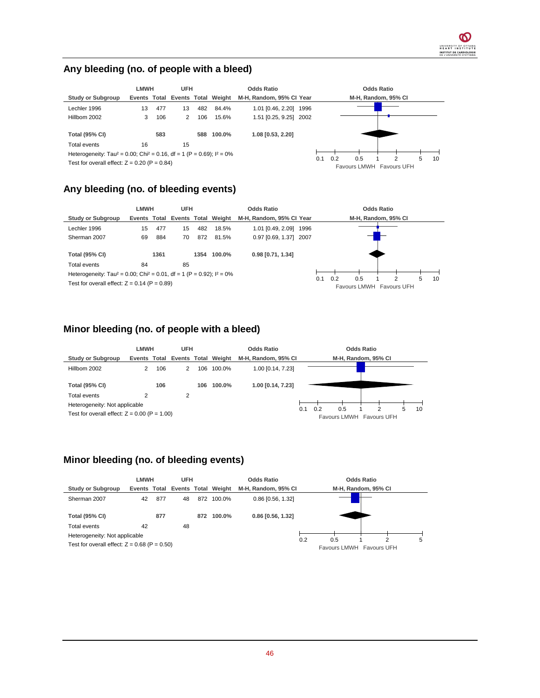### **Any bleeding (no. of people with a bleed)**



### **Any bleeding (no. of bleeding events)**



#### **Minor bleeding (no. of people with a bleed)**



### **Minor bleeding (no. of bleeding events)**

|                                                                                 | <b>LMWH</b> |     | <b>UFH</b> |     |                                  | <b>Odds Ratio</b>   |     |     | <b>Odds Ratio</b>             |   |
|---------------------------------------------------------------------------------|-------------|-----|------------|-----|----------------------------------|---------------------|-----|-----|-------------------------------|---|
| <b>Study or Subgroup</b>                                                        |             |     |            |     | Events Total Events Total Weight | M-H. Random, 95% CI |     |     | M-H, Random, 95% CI           |   |
| Sherman 2007                                                                    | 42          | 877 | 48         |     | 872 100.0%                       | $0.86$ [0.56, 1.32] |     |     |                               |   |
| <b>Total (95% CI)</b>                                                           |             | 877 |            | 872 | 100.0%                           | $0.86$ [0.56, 1.32] |     |     |                               |   |
| Total events                                                                    | 42          |     | 48         |     |                                  |                     |     |     |                               |   |
| Heterogeneity: Not applicable<br>Test for overall effect: $Z = 0.68$ (P = 0.50) |             |     |            |     |                                  |                     | 0.2 | 0.5 | っ<br>Favours LMWH Favours UFH | 5 |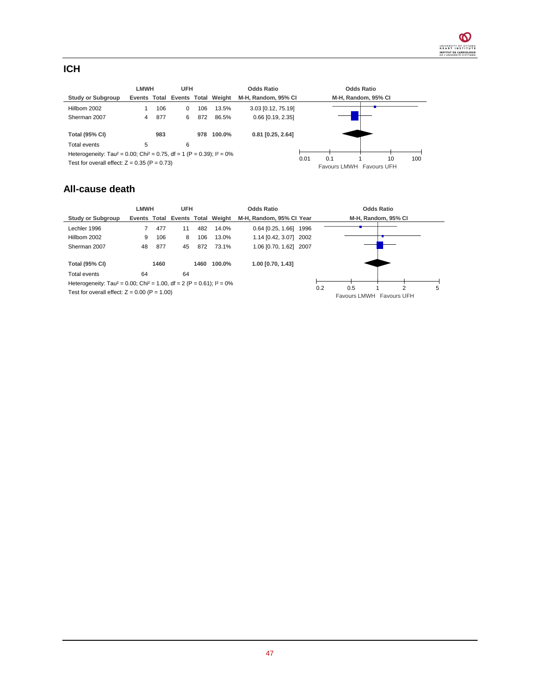### **ICH**

|                                                                                                 | LMWH |     | <b>UFH</b> |     | <b>Odds Ratio</b>                |                       |      | <b>Odds Ratio</b>        |  |    |     |
|-------------------------------------------------------------------------------------------------|------|-----|------------|-----|----------------------------------|-----------------------|------|--------------------------|--|----|-----|
| <b>Study or Subgroup</b>                                                                        |      |     |            |     | Events Total Events Total Weight | M-H, Random, 95% CI   |      | M-H, Random, 95% CI      |  |    |     |
| Hillbom 2002                                                                                    |      | 106 | 0          | 106 | 13.5%                            | 3.03 [0.12, 75.19]    |      |                          |  |    |     |
| Sherman 2007                                                                                    | 4    | 877 | 6          | 872 | 86.5%                            | $0.66$ $[0.19, 2.35]$ |      |                          |  |    |     |
|                                                                                                 |      |     |            |     |                                  |                       |      |                          |  |    |     |
| <b>Total (95% CI)</b>                                                                           |      | 983 |            | 978 | 100.0%                           | $0.81$ [0.25, 2.64]   |      |                          |  |    |     |
| Total events                                                                                    | 5    |     | 6          |     |                                  |                       |      |                          |  |    |     |
| Heterogeneity: Tau <sup>2</sup> = 0.00; Chi <sup>2</sup> = 0.75, df = 1 (P = 0.39); $I^2 = 0\%$ |      |     |            |     |                                  |                       |      |                          |  |    |     |
| Test for overall effect: $Z = 0.35$ (P = 0.73)                                                  |      |     |            |     |                                  |                       | 0.01 | 0.1                      |  | 10 | 100 |
|                                                                                                 |      |     |            |     |                                  |                       |      | Favours LMWH Favours UFH |  |    |     |

#### **All-cause death**

|                                                                                                 | LMWH                             |      | <b>UFH</b> |      |        | <b>Odds Ratio</b>        |     | <b>Odds Ratio</b>                    |   |
|-------------------------------------------------------------------------------------------------|----------------------------------|------|------------|------|--------|--------------------------|-----|--------------------------------------|---|
| <b>Study or Subgroup</b>                                                                        | Events Total Events Total Weight |      |            |      |        | M-H. Random, 95% CI Year |     | M-H, Random, 95% CI                  |   |
| Lechler 1996                                                                                    |                                  | 477  | 11         | 482  | 14.0%  | 0.64 [0.25, 1.66] 1996   |     |                                      |   |
| Hillbom 2002                                                                                    | 9                                | 106  | 8          | 106  | 13.0%  | 1.14 [0.42, 3.07] 2002   |     |                                      |   |
| Sherman 2007                                                                                    | 48                               | 877  | 45         | 872  | 73.1%  | 1.06 [0.70, 1.62] 2007   |     |                                      |   |
| <b>Total (95% CI)</b>                                                                           |                                  | 1460 |            | 1460 | 100.0% | 1.00 [0.70, 1.43]        |     |                                      |   |
| Total events                                                                                    | 64                               |      | 64         |      |        |                          |     |                                      |   |
| Heterogeneity: Tau <sup>2</sup> = 0.00; Chi <sup>2</sup> = 1.00, df = 2 (P = 0.61); $I^2 = 0\%$ |                                  |      |            |      |        |                          |     |                                      |   |
| Test for overall effect: $Z = 0.00$ (P = 1.00)                                                  |                                  |      |            |      |        |                          | 0.2 | 0.5<br>2<br>Favours LMWH Favours UFH | 5 |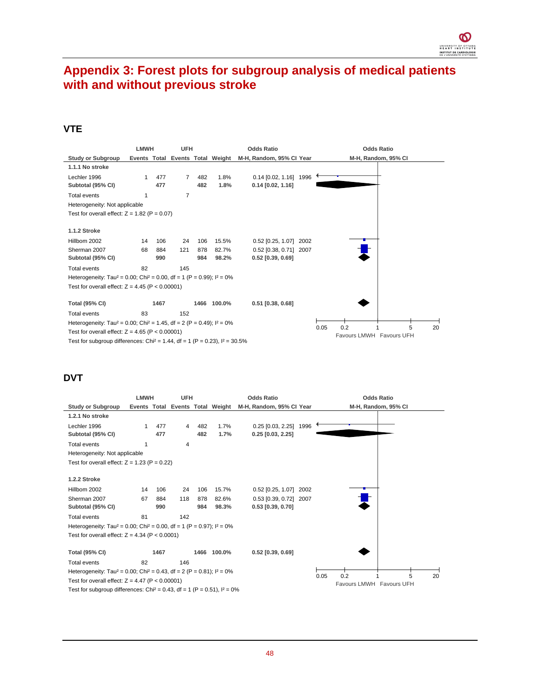## **Appendix 3: Forest plots for subgroup analysis of medical patients with and without previous stroke**

#### **VTE**

|                                                                                                 | <b>LMWH</b> |      | <b>UFH</b>     |     |             | <b>Odds Ratio</b>                                         |      | <b>Odds Ratio</b>             |
|-------------------------------------------------------------------------------------------------|-------------|------|----------------|-----|-------------|-----------------------------------------------------------|------|-------------------------------|
| <b>Study or Subgroup</b>                                                                        |             |      |                |     |             | Events Total Events Total Weight M-H, Random, 95% Cl Year |      | M-H, Random, 95% CI           |
| 1.1.1 No stroke                                                                                 |             |      |                |     |             |                                                           |      |                               |
| Lechler 1996                                                                                    | 1           | 477  | $\overline{7}$ | 482 | 1.8%        | 0.14 [0.02, 1.16] 1996                                    |      |                               |
| Subtotal (95% CI)                                                                               |             | 477  |                | 482 | 1.8%        | $0.14$ $[0.02, 1.16]$                                     |      |                               |
| <b>Total events</b>                                                                             | 1           |      | $\overline{7}$ |     |             |                                                           |      |                               |
| Heterogeneity: Not applicable                                                                   |             |      |                |     |             |                                                           |      |                               |
| Test for overall effect: $Z = 1.82$ (P = 0.07)                                                  |             |      |                |     |             |                                                           |      |                               |
|                                                                                                 |             |      |                |     |             |                                                           |      |                               |
| <b>1.1.2 Stroke</b>                                                                             |             |      |                |     |             |                                                           |      |                               |
| Hillbom 2002                                                                                    | 14          | 106  | 24             | 106 | 15.5%       | $0.52$ [0.25, 1.07]                                       | 2002 |                               |
| Sherman 2007                                                                                    | 68          | 884  | 121            | 878 | 82.7%       | 0.52 [0.38, 0.71] 2007                                    |      |                               |
| Subtotal (95% CI)                                                                               |             | 990  |                | 984 | 98.2%       | $0.52$ [0.39, 0.69]                                       |      |                               |
| <b>Total events</b>                                                                             | 82          |      | 145            |     |             |                                                           |      |                               |
| Heterogeneity: Tau <sup>2</sup> = 0.00; Chi <sup>2</sup> = 0.00, df = 1 (P = 0.99); $I^2 = 0\%$ |             |      |                |     |             |                                                           |      |                               |
| Test for overall effect: $Z = 4.45$ (P < 0.00001)                                               |             |      |                |     |             |                                                           |      |                               |
|                                                                                                 |             |      |                |     |             |                                                           |      |                               |
| <b>Total (95% CI)</b>                                                                           |             | 1467 |                |     | 1466 100.0% | $0.51$ [0.38, 0.68]                                       |      |                               |
| Total events                                                                                    | 83          |      | 152            |     |             |                                                           |      |                               |
| Heterogeneity: Tau <sup>2</sup> = 0.00; Chi <sup>2</sup> = 1.45, df = 2 (P = 0.49); $I^2 = 0\%$ |             |      |                |     |             |                                                           |      | 0.2<br>0.05<br>20             |
| Test for overall effect: $Z = 4.65$ (P < 0.00001)                                               |             |      |                |     |             |                                                           |      | 5<br>Favours LMWH Favours UFH |
| Test for subgroup differences: Chi <sup>2</sup> = 1.44, df = 1 (P = 0.23), $I^2 = 30.5\%$       |             |      |                |     |             |                                                           |      |                               |

### **DVT**

|                                                                                                 | <b>LMWH</b> |      | <b>UFH</b>     |     |             | <b>Odds Ratio</b>                                         |      | <b>Odds Ratio</b>        |
|-------------------------------------------------------------------------------------------------|-------------|------|----------------|-----|-------------|-----------------------------------------------------------|------|--------------------------|
| <b>Study or Subgroup</b>                                                                        |             |      |                |     |             | Events Total Events Total Weight M-H, Random, 95% Cl Year |      | M-H, Random, 95% CI      |
| 1.2.1 No stroke                                                                                 |             |      |                |     |             |                                                           |      |                          |
| Lechler 1996                                                                                    | 1           | 477  | $\overline{4}$ | 482 | 1.7%        | $0.25$ $[0.03, 2.25]$                                     | 1996 |                          |
| Subtotal (95% CI)                                                                               |             | 477  |                | 482 | 1.7%        | $0.25$ [0.03, 2.25]                                       |      |                          |
| <b>Total events</b>                                                                             | 1           |      | 4              |     |             |                                                           |      |                          |
| Heterogeneity: Not applicable                                                                   |             |      |                |     |             |                                                           |      |                          |
| Test for overall effect: $Z = 1.23$ (P = 0.22)                                                  |             |      |                |     |             |                                                           |      |                          |
|                                                                                                 |             |      |                |     |             |                                                           |      |                          |
| 1.2.2 Stroke                                                                                    |             |      |                |     |             |                                                           |      |                          |
| Hillbom 2002                                                                                    | 14          | 106  | 24             | 106 | 15.7%       | 0.52 [0.25, 1.07] 2002                                    |      |                          |
| Sherman 2007                                                                                    | 67          | 884  | 118            | 878 | 82.6%       | 0.53 [0.39, 0.72] 2007                                    |      |                          |
| Subtotal (95% CI)                                                                               |             | 990  |                | 984 | 98.3%       | $0.53$ [0.39, 0.70]                                       |      |                          |
| <b>Total events</b>                                                                             | 81          |      | 142            |     |             |                                                           |      |                          |
| Heterogeneity: Tau <sup>2</sup> = 0.00; Chi <sup>2</sup> = 0.00, df = 1 (P = 0.97); $I^2 = 0\%$ |             |      |                |     |             |                                                           |      |                          |
| Test for overall effect: $Z = 4.34$ (P < 0.0001)                                                |             |      |                |     |             |                                                           |      |                          |
|                                                                                                 |             |      |                |     |             |                                                           |      |                          |
| <b>Total (95% CI)</b>                                                                           |             | 1467 |                |     | 1466 100.0% | $0.52$ [0.39, 0.69]                                       |      |                          |
| <b>Total events</b>                                                                             | 82          |      | 146            |     |             |                                                           |      |                          |
| Heterogeneity: Tau <sup>2</sup> = 0.00; Chi <sup>2</sup> = 0.43, df = 2 (P = 0.81); $I^2 = 0\%$ |             |      |                |     |             |                                                           |      | 0.2<br>5<br>0.05<br>20   |
| Test for overall effect: $Z = 4.47$ (P < 0.00001)                                               |             |      |                |     |             |                                                           |      | Favours LMWH Favours UFH |
| Test for subgroup differences: Chi <sup>2</sup> = 0.43, df = 1 (P = 0.51), $I^2 = 0\%$          |             |      |                |     |             |                                                           |      |                          |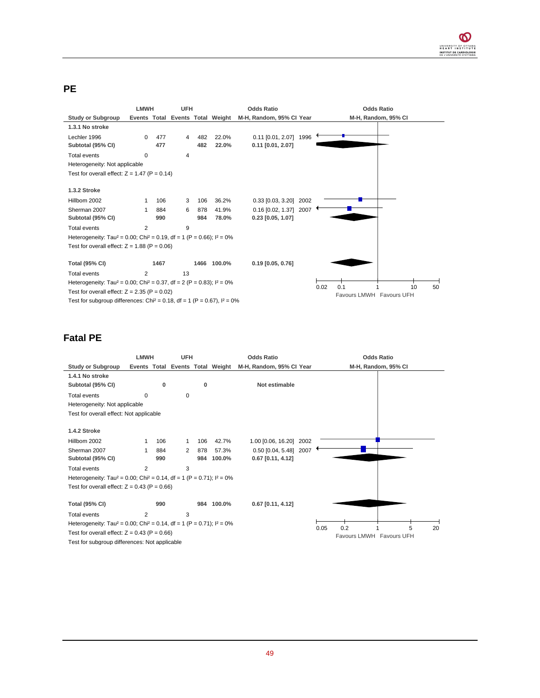### **PE**

|                                                                                                 | <b>LMWH</b>    |      | <b>UFH</b> |     |                                  | <b>Odds Ratio</b>        | <b>Odds Ratio</b>        |  |  |  |
|-------------------------------------------------------------------------------------------------|----------------|------|------------|-----|----------------------------------|--------------------------|--------------------------|--|--|--|
| <b>Study or Subgroup</b>                                                                        |                |      |            |     | Events Total Events Total Weight | M-H, Random, 95% CI Year | M-H, Random, 95% CI      |  |  |  |
| 1.3.1 No stroke                                                                                 |                |      |            |     |                                  |                          |                          |  |  |  |
| Lechler 1996                                                                                    | 0              | 477  | 4          | 482 | 22.0%                            | 0.11 [0.01, 2.07] 1996   |                          |  |  |  |
| Subtotal (95% CI)                                                                               |                | 477  |            | 482 | 22.0%                            | $0.11$ [0.01, 2.07]      |                          |  |  |  |
| <b>Total events</b>                                                                             | 0              |      | 4          |     |                                  |                          |                          |  |  |  |
| Heterogeneity: Not applicable                                                                   |                |      |            |     |                                  |                          |                          |  |  |  |
| Test for overall effect: $Z = 1.47$ (P = 0.14)                                                  |                |      |            |     |                                  |                          |                          |  |  |  |
|                                                                                                 |                |      |            |     |                                  |                          |                          |  |  |  |
| <b>1.3.2 Stroke</b>                                                                             |                |      |            |     |                                  |                          |                          |  |  |  |
| Hillbom 2002                                                                                    |                | 106  | 3          | 106 | 36.2%                            | 0.33 [0.03, 3.20] 2002   |                          |  |  |  |
| Sherman 2007                                                                                    | 1              | 884  | 6          | 878 | 41.9%                            | 0.16 [0.02, 1.37] 2007   |                          |  |  |  |
| Subtotal (95% CI)                                                                               |                | 990  |            | 984 | 78.0%                            | $0.23$ [0.05, 1.07]      |                          |  |  |  |
| <b>Total events</b>                                                                             | 2              |      | 9          |     |                                  |                          |                          |  |  |  |
| Heterogeneity: Tau <sup>2</sup> = 0.00; Chi <sup>2</sup> = 0.19, df = 1 (P = 0.66); $I^2 = 0\%$ |                |      |            |     |                                  |                          |                          |  |  |  |
| Test for overall effect: $Z = 1.88$ (P = 0.06)                                                  |                |      |            |     |                                  |                          |                          |  |  |  |
|                                                                                                 |                |      |            |     |                                  |                          |                          |  |  |  |
| <b>Total (95% CI)</b>                                                                           |                | 1467 |            |     | 1466 100.0%                      | $0.19$ [0.05, 0.76]      |                          |  |  |  |
| <b>Total events</b>                                                                             | $\overline{2}$ |      | 13         |     |                                  |                          |                          |  |  |  |
| Heterogeneity: Tau <sup>2</sup> = 0.00; Chi <sup>2</sup> = 0.37, df = 2 (P = 0.83); $I^2 = 0\%$ |                |      |            |     |                                  |                          | 0.1<br>0.02<br>10<br>50  |  |  |  |
| Test for overall effect: $Z = 2.35$ (P = 0.02)                                                  |                |      |            |     |                                  |                          | Favours LMWH Favours UFH |  |  |  |
|                                                                                                 |                |      |            |     |                                  |                          |                          |  |  |  |

Test for subgroup differences: Chi<sup>2</sup> = 0.18, df = 1 (P = 0.67),  $I^2 = 0\%$ 

### **Fatal PE**

|                                                                                                 | <b>LMWH</b>    |     | <b>UFH</b>                       |     |            | <b>Odds Ratio</b>        |      | <b>Odds Ratio</b>        |   |    |
|-------------------------------------------------------------------------------------------------|----------------|-----|----------------------------------|-----|------------|--------------------------|------|--------------------------|---|----|
| <b>Study or Subgroup</b>                                                                        |                |     | Events Total Events Total Weight |     |            | M-H, Random, 95% CI Year |      | M-H, Random, 95% CI      |   |    |
| 1.4.1 No stroke                                                                                 |                |     |                                  |     |            |                          |      |                          |   |    |
| Subtotal (95% CI)                                                                               |                | 0   |                                  | 0   |            | Not estimable            |      |                          |   |    |
| <b>Total events</b>                                                                             | 0              |     | 0                                |     |            |                          |      |                          |   |    |
| Heterogeneity: Not applicable                                                                   |                |     |                                  |     |            |                          |      |                          |   |    |
| Test for overall effect: Not applicable                                                         |                |     |                                  |     |            |                          |      |                          |   |    |
|                                                                                                 |                |     |                                  |     |            |                          |      |                          |   |    |
| 1.4.2 Stroke                                                                                    |                |     |                                  |     |            |                          |      |                          |   |    |
| Hillbom 2002                                                                                    | 1              | 106 | 1                                | 106 | 42.7%      | 1.00 [0.06, 16.20] 2002  |      |                          |   |    |
| Sherman 2007                                                                                    | 1              | 884 | 2                                | 878 | 57.3%      | 0.50 [0.04, 5.48] 2007   |      |                          |   |    |
| Subtotal (95% CI)                                                                               |                | 990 |                                  | 984 | 100.0%     | $0.67$ [0.11, 4.12]      |      |                          |   |    |
| <b>Total events</b>                                                                             | $\overline{2}$ |     | 3                                |     |            |                          |      |                          |   |    |
| Heterogeneity: Tau <sup>2</sup> = 0.00; Chi <sup>2</sup> = 0.14, df = 1 (P = 0.71); $I^2 = 0\%$ |                |     |                                  |     |            |                          |      |                          |   |    |
| Test for overall effect: $Z = 0.43$ (P = 0.66)                                                  |                |     |                                  |     |            |                          |      |                          |   |    |
|                                                                                                 |                |     |                                  |     |            |                          |      |                          |   |    |
| <b>Total (95% CI)</b>                                                                           |                | 990 |                                  |     | 984 100.0% | $0.67$ [0.11, 4.12]      |      |                          |   |    |
| <b>Total events</b>                                                                             | $\overline{2}$ |     | 3                                |     |            |                          |      |                          |   |    |
| Heterogeneity: Tau <sup>2</sup> = 0.00; Chi <sup>2</sup> = 0.14, df = 1 (P = 0.71); $I^2 = 0\%$ |                |     |                                  |     |            |                          | 0.05 | 0.2                      | 5 | 20 |
| Test for overall effect: $Z = 0.43$ (P = 0.66)                                                  |                |     |                                  |     |            |                          |      | Favours LMWH Favours UFH |   |    |
| Test for subgroup differences: Not applicable                                                   |                |     |                                  |     |            |                          |      |                          |   |    |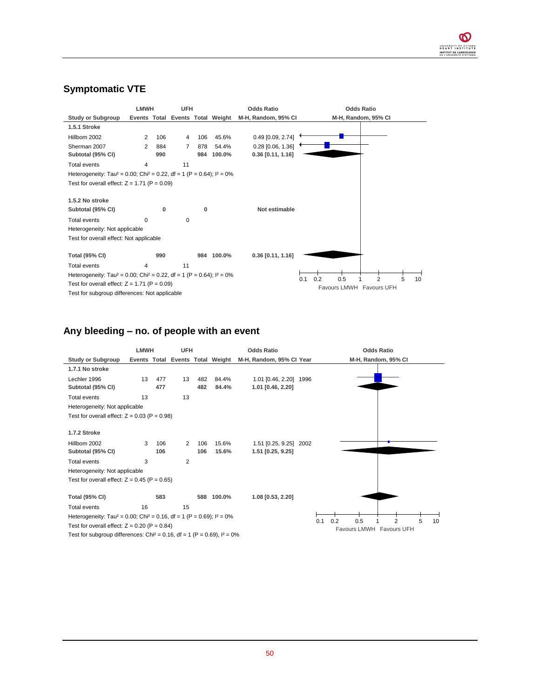### **Symptomatic VTE**

|                                                                                                 | <b>LMWH</b> |     | <b>UFH</b> |     |                                  | <b>Odds Ratio</b>   |            | <b>Odds Ratio</b>        |   |    |
|-------------------------------------------------------------------------------------------------|-------------|-----|------------|-----|----------------------------------|---------------------|------------|--------------------------|---|----|
| <b>Study or Subgroup</b>                                                                        |             |     |            |     | Events Total Events Total Weight | M-H, Random, 95% CI |            | M-H, Random, 95% CI      |   |    |
| 1.5.1 Stroke                                                                                    |             |     |            |     |                                  |                     |            |                          |   |    |
| Hillbom 2002                                                                                    | 2           | 106 | 4          | 106 | 45.6%                            | 0.49 [0.09, 2.74]   |            |                          |   |    |
| Sherman 2007                                                                                    | 2           | 884 | 7          | 878 | 54.4%                            | 0.28 [0.06, 1.36]   |            |                          |   |    |
| Subtotal (95% CI)                                                                               |             | 990 |            | 984 | 100.0%                           | $0.36$ [0.11, 1.16] |            |                          |   |    |
| <b>Total events</b>                                                                             | 4           |     | 11         |     |                                  |                     |            |                          |   |    |
| Heterogeneity: Tau <sup>2</sup> = 0.00; Chi <sup>2</sup> = 0.22, df = 1 (P = 0.64); $I^2 = 0\%$ |             |     |            |     |                                  |                     |            |                          |   |    |
| Test for overall effect: $Z = 1.71$ (P = 0.09)                                                  |             |     |            |     |                                  |                     |            |                          |   |    |
|                                                                                                 |             |     |            |     |                                  |                     |            |                          |   |    |
| 1.5.2 No stroke                                                                                 |             |     |            |     |                                  |                     |            |                          |   |    |
| Subtotal (95% CI)                                                                               |             | 0   |            | 0   |                                  | Not estimable       |            |                          |   |    |
| Total events                                                                                    | $\Omega$    |     | $\Omega$   |     |                                  |                     |            |                          |   |    |
| Heterogeneity: Not applicable                                                                   |             |     |            |     |                                  |                     |            |                          |   |    |
| Test for overall effect: Not applicable                                                         |             |     |            |     |                                  |                     |            |                          |   |    |
|                                                                                                 |             |     |            |     |                                  |                     |            |                          |   |    |
| <b>Total (95% CI)</b>                                                                           |             | 990 |            |     | 984 100.0%                       | $0.36$ [0.11, 1.16] |            |                          |   |    |
| Total events                                                                                    | 4           |     | 11         |     |                                  |                     |            |                          |   |    |
| Heterogeneity: Tau <sup>2</sup> = 0.00; Chi <sup>2</sup> = 0.22, df = 1 (P = 0.64); $I^2 = 0\%$ |             |     |            |     |                                  |                     | 0.2<br>0.1 | 2                        | 5 |    |
| Test for overall effect: $Z = 1.71$ (P = 0.09)                                                  |             |     |            |     |                                  |                     | 0.5        | Favours LMWH Favours UFH |   | 10 |
| Test for subgroup differences: Not applicable                                                   |             |     |            |     |                                  |                     |            |                          |   |    |

### **Any bleeding – no. of people with an event**

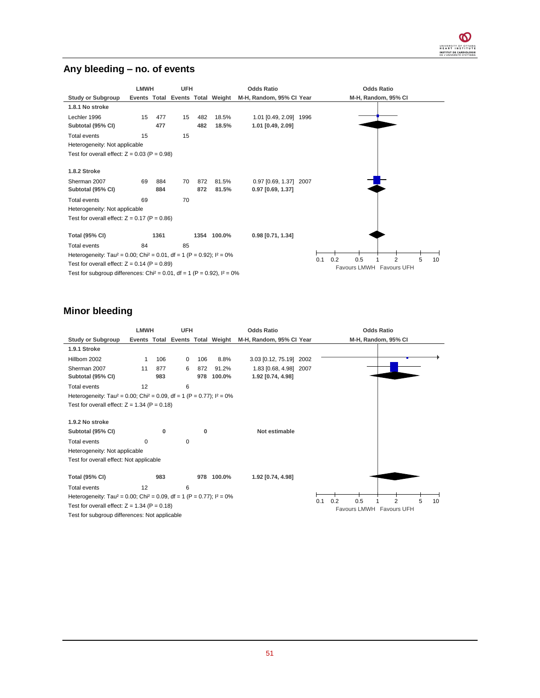#### **Any bleeding – no. of events**



#### **Minor bleeding**

|                                                                                                 | <b>LMWH</b> |          | <b>UFH</b> |          |        | <b>Odds Ratio</b>                                         |     | <b>Odds Ratio</b>                       |
|-------------------------------------------------------------------------------------------------|-------------|----------|------------|----------|--------|-----------------------------------------------------------|-----|-----------------------------------------|
| <b>Study or Subgroup</b>                                                                        |             |          |            |          |        | Events Total Events Total Weight M-H, Random, 95% Cl Year |     | M-H, Random, 95% CI                     |
| 1.9.1 Stroke                                                                                    |             |          |            |          |        |                                                           |     |                                         |
| Hillbom 2002                                                                                    | 1           | 106      | 0          | 106      | 8.8%   | 3.03 [0.12, 75.19] 2002                                   |     |                                         |
| Sherman 2007                                                                                    | 11          | 877      | 6          | 872      | 91.2%  | 1.83 [0.68, 4.98] 2007                                    |     |                                         |
| Subtotal (95% CI)                                                                               |             | 983      |            | 978      | 100.0% | 1.92 [0.74, 4.98]                                         |     |                                         |
| Total events                                                                                    | 12          |          | 6          |          |        |                                                           |     |                                         |
| Heterogeneity: Tau <sup>2</sup> = 0.00; Chi <sup>2</sup> = 0.09, df = 1 (P = 0.77); $I^2 = 0\%$ |             |          |            |          |        |                                                           |     |                                         |
| Test for overall effect: $Z = 1.34$ (P = 0.18)                                                  |             |          |            |          |        |                                                           |     |                                         |
|                                                                                                 |             |          |            |          |        |                                                           |     |                                         |
| 1.9.2 No stroke                                                                                 |             |          |            |          |        |                                                           |     |                                         |
| Subtotal (95% CI)                                                                               |             | $\Omega$ |            | $\Omega$ |        | Not estimable                                             |     |                                         |
| Total events                                                                                    | $\Omega$    |          | 0          |          |        |                                                           |     |                                         |
| Heterogeneity: Not applicable                                                                   |             |          |            |          |        |                                                           |     |                                         |
| Test for overall effect: Not applicable                                                         |             |          |            |          |        |                                                           |     |                                         |
|                                                                                                 |             |          |            |          |        |                                                           |     |                                         |
| <b>Total (95% CI)</b>                                                                           |             | 983      |            | 978      | 100.0% | 1.92 [0.74, 4.98]                                         |     |                                         |
| Total events                                                                                    | 12          |          | 6          |          |        |                                                           |     |                                         |
| Heterogeneity: Tau <sup>2</sup> = 0.00; Chi <sup>2</sup> = 0.09, df = 1 (P = 0.77); $1^2$ = 0%  |             |          |            |          |        |                                                           | 0.1 | 0.2<br>0.5<br>2<br>5<br>10 <sup>1</sup> |
| Test for overall effect: $Z = 1.34$ (P = 0.18)                                                  |             |          |            |          |        |                                                           |     | Favours LMWH Favours UFH                |
| Test for subgroup differences: Not applicable                                                   |             |          |            |          |        |                                                           |     |                                         |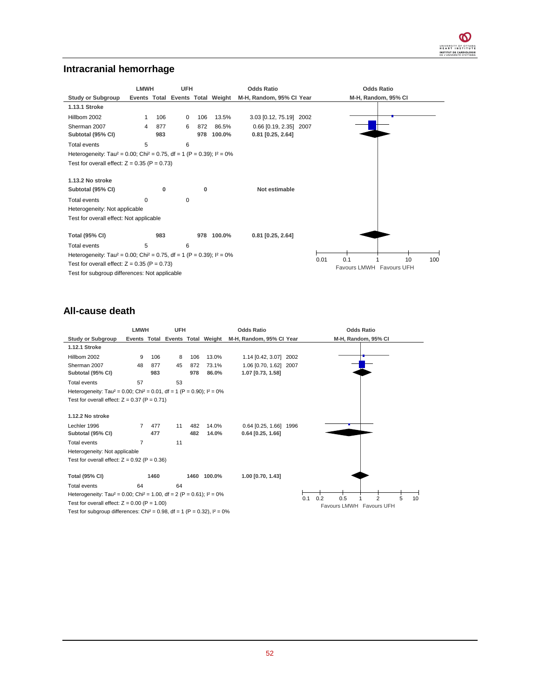### **Intracranial hemorrhage**

|                                                                                                 | <b>LMWH</b><br><b>UFH</b> |     |          |     |                                  | <b>Odds Ratio</b>        |      | <b>Odds Ratio</b>                            |  |  |  |
|-------------------------------------------------------------------------------------------------|---------------------------|-----|----------|-----|----------------------------------|--------------------------|------|----------------------------------------------|--|--|--|
| <b>Study or Subgroup</b>                                                                        |                           |     |          |     | Events Total Events Total Weight | M-H, Random, 95% CI Year |      | M-H, Random, 95% CI                          |  |  |  |
| 1.13.1 Stroke                                                                                   |                           |     |          |     |                                  |                          |      |                                              |  |  |  |
| Hillbom 2002                                                                                    | 1                         | 106 | $\Omega$ | 106 | 13.5%                            | 3.03 [0.12, 75.19] 2002  |      |                                              |  |  |  |
| Sherman 2007                                                                                    | 4                         | 877 | 6        | 872 | 86.5%                            | 0.66 [0.19, 2.35] 2007   |      |                                              |  |  |  |
| Subtotal (95% CI)                                                                               |                           | 983 |          | 978 | 100.0%                           | $0.81$ [0.25, 2.64]      |      |                                              |  |  |  |
| Total events                                                                                    | 5                         |     | 6        |     |                                  |                          |      |                                              |  |  |  |
| Heterogeneity: Tau <sup>2</sup> = 0.00; Chi <sup>2</sup> = 0.75, df = 1 (P = 0.39); $I^2 = 0\%$ |                           |     |          |     |                                  |                          |      |                                              |  |  |  |
| Test for overall effect: $Z = 0.35$ (P = 0.73)                                                  |                           |     |          |     |                                  |                          |      |                                              |  |  |  |
| 1.13.2 No stroke                                                                                |                           |     |          |     |                                  |                          |      |                                              |  |  |  |
| Subtotal (95% CI)                                                                               |                           | 0   |          | 0   |                                  | Not estimable            |      |                                              |  |  |  |
| Total events                                                                                    | $\Omega$                  |     | $\Omega$ |     |                                  |                          |      |                                              |  |  |  |
| Heterogeneity: Not applicable                                                                   |                           |     |          |     |                                  |                          |      |                                              |  |  |  |
| Test for overall effect: Not applicable                                                         |                           |     |          |     |                                  |                          |      |                                              |  |  |  |
| <b>Total (95% CI)</b>                                                                           |                           | 983 |          | 978 | 100.0%                           | $0.81$ [0.25, 2.64]      |      |                                              |  |  |  |
| <b>Total events</b>                                                                             | 5                         |     | 6        |     |                                  |                          |      |                                              |  |  |  |
| Heterogeneity: Tau <sup>2</sup> = 0.00; Chi <sup>2</sup> = 0.75, df = 1 (P = 0.39); $I^2 = 0\%$ |                           |     |          |     |                                  |                          |      |                                              |  |  |  |
| Test for overall effect: $Z = 0.35$ (P = 0.73)                                                  |                           |     |          |     |                                  |                          | 0.01 | 0.1<br>10<br>100<br>Favours LMWH Favours UFH |  |  |  |
| Test for subgroup differences: Not applicable                                                   |                           |     |          |     |                                  |                          |      |                                              |  |  |  |

### **All-cause death**

|                                                                                                 | <b>LMWH</b>    |      | <b>UFH</b> |     |                                  | <b>Odds Ratio</b>        |      | <b>Odds Ratio</b>                       |
|-------------------------------------------------------------------------------------------------|----------------|------|------------|-----|----------------------------------|--------------------------|------|-----------------------------------------|
| <b>Study or Subgroup</b>                                                                        |                |      |            |     | Events Total Events Total Weight | M-H, Random, 95% CI Year |      | M-H, Random, 95% CI                     |
| 1.12.1 Stroke                                                                                   |                |      |            |     |                                  |                          |      |                                         |
| Hillbom 2002                                                                                    | 9              | 106  | 8          | 106 | 13.0%                            | 1.14 [0.42, 3.07] 2002   |      |                                         |
| Sherman 2007                                                                                    | 48             | 877  | 45         | 872 | 73.1%                            | 1.06 [0.70, 1.62] 2007   |      |                                         |
| Subtotal (95% CI)                                                                               |                | 983  |            | 978 | 86.0%                            | 1.07 [0.73, 1.58]        |      |                                         |
| <b>Total events</b>                                                                             | 57             |      | 53         |     |                                  |                          |      |                                         |
| Heterogeneity: Tau <sup>2</sup> = 0.00; Chi <sup>2</sup> = 0.01, df = 1 (P = 0.90); $I^2 = 0\%$ |                |      |            |     |                                  |                          |      |                                         |
| Test for overall effect: $Z = 0.37$ (P = 0.71)                                                  |                |      |            |     |                                  |                          |      |                                         |
|                                                                                                 |                |      |            |     |                                  |                          |      |                                         |
| 1.12.2 No stroke                                                                                |                |      |            |     |                                  |                          |      |                                         |
| Lechler 1996                                                                                    | $\overline{7}$ | 477  | 11         | 482 | 14.0%                            | $0.64$ [0.25, 1.66]      | 1996 |                                         |
| Subtotal (95% CI)                                                                               |                | 477  |            | 482 | 14.0%                            | $0.64$ [0.25, 1.66]      |      |                                         |
| <b>Total events</b>                                                                             | 7              |      | 11         |     |                                  |                          |      |                                         |
| Heterogeneity: Not applicable                                                                   |                |      |            |     |                                  |                          |      |                                         |
| Test for overall effect: $Z = 0.92$ (P = 0.36)                                                  |                |      |            |     |                                  |                          |      |                                         |
|                                                                                                 |                |      |            |     |                                  |                          |      |                                         |
| <b>Total (95% CI)</b>                                                                           |                | 1460 |            |     | 1460 100.0%                      | 1.00 [0.70, 1.43]        |      |                                         |
| <b>Total events</b>                                                                             | 64             |      | 64         |     |                                  |                          |      |                                         |
| Heterogeneity: Tau <sup>2</sup> = 0.00; Chi <sup>2</sup> = 1.00, df = 2 (P = 0.61); $I^2 = 0\%$ |                |      |            |     |                                  |                          | 0.1  | 0.2<br>0.5<br>$\overline{2}$<br>5<br>10 |
| Test for overall effect: $Z = 0.00$ (P = 1.00)                                                  |                |      |            |     |                                  |                          |      | Favours LMWH Favours UFH                |
| Test for subgroup differences: Chi <sup>2</sup> = 0.98, df = 1 (P = 0.32), $I^2 = 0\%$          |                |      |            |     |                                  |                          |      |                                         |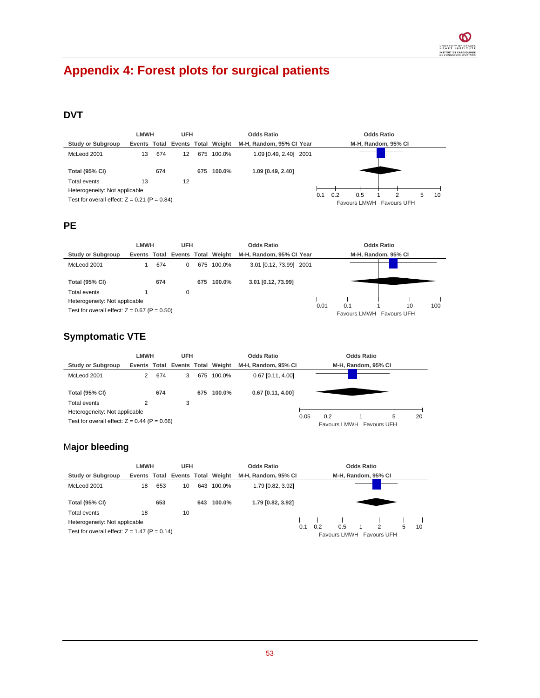# **Appendix 4: Forest plots for surgical patients**

## **DVT**

|                                                | LMWH<br><b>UFH</b> |     |                                  |     |            | <b>Odds Ratio</b>        | Odds Ratio                                               |
|------------------------------------------------|--------------------|-----|----------------------------------|-----|------------|--------------------------|----------------------------------------------------------|
| Study or Subgroup                              |                    |     | Events Total Events Total Weight |     |            | M-H, Random, 95% CI Year | M-H, Random, 95% CI                                      |
| McLeod 2001                                    | 13                 | 674 | 12                               |     | 675 100.0% | 1.09 [0.49, 2.40] 2001   |                                                          |
| <b>Total (95% CI)</b>                          |                    | 674 |                                  | 675 | 100.0%     | 1.09 [0.49, 2.40]        |                                                          |
| Total events                                   | 13                 |     | 12                               |     |            |                          |                                                          |
| Heterogeneity: Not applicable                  |                    |     |                                  |     |            |                          |                                                          |
| Test for overall effect: $Z = 0.21$ (P = 0.84) |                    |     |                                  |     |            |                          | 0.2<br>0.5<br>0.1<br>5<br>10<br>Favours LMWH Favours UFH |

### **PE**

|                                                                                 | LMWH<br><b>UFH</b> |     |   |     |                                  | <b>Odds Ratio</b>        |      | Odds Ratio |                                |     |  |
|---------------------------------------------------------------------------------|--------------------|-----|---|-----|----------------------------------|--------------------------|------|------------|--------------------------------|-----|--|
| <b>Study or Subgroup</b>                                                        |                    |     |   |     | Events Total Events Total Weight | M-H. Random, 95% CI Year |      |            | M-H, Random, 95% CI            |     |  |
| McLeod 2001                                                                     |                    | 674 | 0 |     | 675 100.0%                       | 3.01 [0.12, 73.99] 2001  |      |            |                                |     |  |
| <b>Total (95% CI)</b>                                                           |                    | 674 |   | 675 | 100.0%                           | 3.01 [0.12, 73.99]       |      |            |                                |     |  |
| Total events                                                                    |                    |     | 0 |     |                                  |                          |      |            |                                |     |  |
| Heterogeneity: Not applicable<br>Test for overall effect: $Z = 0.67$ (P = 0.50) |                    |     |   |     |                                  |                          | 0.01 | 0.1        | 10<br>Favours LMWH Favours UFH | 100 |  |

## **Symptomatic VTE**

|                                                                                 | <b>LMWH</b><br><b>UFH</b> |     |   |     |                                  | <b>Odds Ratio</b>   |      | <b>Odds Ratio</b>               |                     |    |
|---------------------------------------------------------------------------------|---------------------------|-----|---|-----|----------------------------------|---------------------|------|---------------------------------|---------------------|----|
| <b>Study or Subgroup</b>                                                        |                           |     |   |     | Events Total Events Total Weight | M-H. Random, 95% CI |      |                                 | M-H, Random, 95% CI |    |
| McLeod 2001                                                                     |                           | 674 | 3 | 675 | 100.0%                           | $0.67$ [0.11, 4.00] |      |                                 |                     |    |
| <b>Total (95% CI)</b>                                                           |                           | 674 |   | 675 | 100.0%                           | $0.67$ [0.11, 4.00] |      |                                 |                     |    |
| Total events                                                                    |                           |     | 3 |     |                                  |                     |      |                                 |                     |    |
| Heterogeneity: Not applicable<br>Test for overall effect: $Z = 0.44$ (P = 0.66) |                           |     |   |     |                                  |                     | 0.05 | 0.2<br>Favours LMWH Favours UFH | 5                   | 20 |

### M**ajor bleeding**

|                                                | LMWH<br><b>UFH</b>               |     |    |     |        | <b>Odds Ratio</b>   |     | <b>Odds Ratio</b> |                                 |  |   |   |    |
|------------------------------------------------|----------------------------------|-----|----|-----|--------|---------------------|-----|-------------------|---------------------------------|--|---|---|----|
| <b>Study or Subgroup</b>                       | Events Total Events Total Weight |     |    |     |        | M-H, Random, 95% CI |     |                   | M-H, Random, 95% CI             |  |   |   |    |
| McLeod 2001                                    | 18                               | 653 | 10 | 643 | 100.0% | 1.79 [0.82, 3.92]   |     |                   |                                 |  |   |   |    |
| <b>Total (95% CI)</b>                          |                                  | 653 |    | 643 | 100.0% | 1.79 [0.82, 3.92]   |     |                   |                                 |  |   |   |    |
| Total events                                   | 18                               |     | 10 |     |        |                     |     |                   |                                 |  |   |   |    |
| Heterogeneity: Not applicable                  |                                  |     |    |     |        |                     |     |                   |                                 |  |   |   |    |
| Test for overall effect: $Z = 1.47$ (P = 0.14) |                                  |     |    |     |        |                     | 0.1 | 0.2               | 0.5<br>Favours LMWH Favours UFH |  | 2 | 5 | 10 |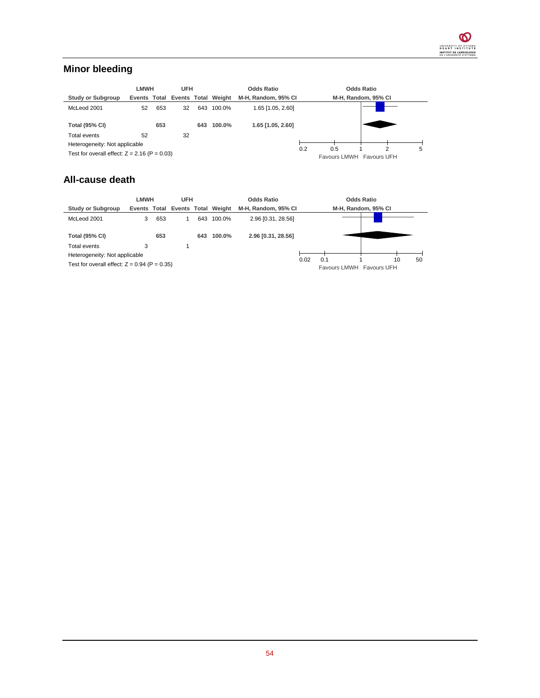### **Minor bleeding**

|                                                | <b>LMWH</b> |     | <b>UFH</b> |     | <b>Odds Ratio</b>                |                     |     | <b>Odds Ratio</b> |  |                          |   |
|------------------------------------------------|-------------|-----|------------|-----|----------------------------------|---------------------|-----|-------------------|--|--------------------------|---|
| <b>Study or Subgroup</b>                       |             |     |            |     | Events Total Events Total Weight | M-H. Random, 95% CI |     |                   |  | M-H, Random, 95% CI      |   |
| McLeod 2001                                    | 52          | 653 | 32         | 643 | 100.0%                           | 1.65 [1.05, 2.60]   |     |                   |  |                          |   |
| <b>Total (95% CI)</b>                          |             | 653 |            | 643 | 100.0%                           | 1.65 [1.05, 2.60]   |     |                   |  |                          |   |
| Total events                                   | 52          |     | 32         |     |                                  |                     |     |                   |  |                          |   |
| Heterogeneity: Not applicable                  |             |     |            |     |                                  |                     |     |                   |  | 2                        | 5 |
| Test for overall effect: $Z = 2.16$ (P = 0.03) |             |     |            |     |                                  |                     | 0.2 | 0.5               |  | Favours LMWH Favours UFH |   |

### **All-cause death**

|                                                | LMWH<br><b>UFH</b> |     |  |     | <b>Odds Ratio</b>                |                     |      | <b>Odds Ratio</b>               |                     |    |    |
|------------------------------------------------|--------------------|-----|--|-----|----------------------------------|---------------------|------|---------------------------------|---------------------|----|----|
| <b>Study or Subgroup</b>                       |                    |     |  |     | Events Total Events Total Weight | M-H. Random, 95% CI |      |                                 | M-H, Random, 95% CI |    |    |
| McLeod 2001                                    | 3                  | 653 |  | 643 | 100.0%                           | 2.96 [0.31, 28.56]  |      |                                 |                     |    |    |
| <b>Total (95% CI)</b>                          |                    | 653 |  | 643 | 100.0%                           | 2.96 [0.31, 28.56]  |      |                                 |                     |    |    |
| Total events                                   |                    |     |  |     |                                  |                     |      |                                 |                     |    |    |
| Heterogeneity: Not applicable                  |                    |     |  |     |                                  |                     |      |                                 |                     |    |    |
| Test for overall effect: $Z = 0.94$ (P = 0.35) |                    |     |  |     |                                  |                     | 0.02 | 0.1<br>Favours LMWH Favours UFH |                     | 10 | 50 |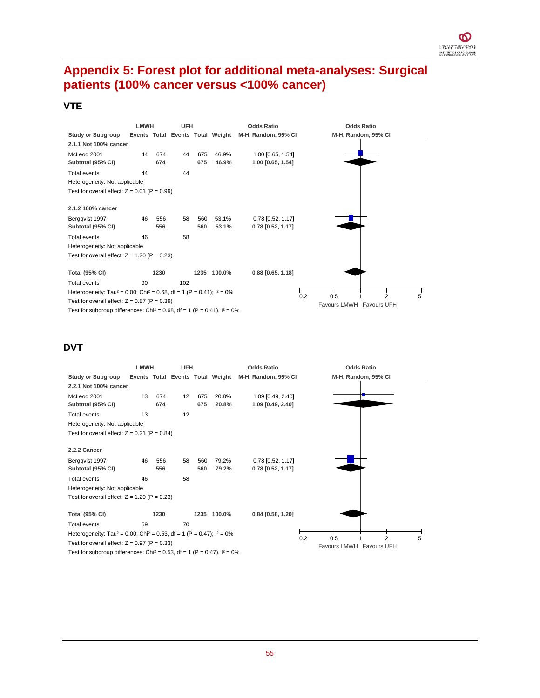

## **Appendix 5: Forest plot for additional meta-analyses: Surgical patients (100% cancer versus <100% cancer)**

### **VTE**

|                                                                                                 | <b>LMWH</b><br><b>UFH</b> |      |     |     |                                  | <b>Odds Ratio</b>   |     | <b>Odds Ratio</b>          |  |  |  |  |
|-------------------------------------------------------------------------------------------------|---------------------------|------|-----|-----|----------------------------------|---------------------|-----|----------------------------|--|--|--|--|
| <b>Study or Subgroup</b>                                                                        |                           |      |     |     | Events Total Events Total Weight | M-H, Random, 95% CI |     | M-H, Random, 95% CI        |  |  |  |  |
| 2.1.1 Not 100% cancer                                                                           |                           |      |     |     |                                  |                     |     |                            |  |  |  |  |
| McLeod 2001                                                                                     | 44                        | 674  | 44  | 675 | 46.9%                            | 1.00 [0.65, 1.54]   |     |                            |  |  |  |  |
| Subtotal (95% CI)                                                                               |                           | 674  |     | 675 | 46.9%                            | 1.00 [0.65, 1.54]   |     |                            |  |  |  |  |
| <b>Total events</b>                                                                             | 44                        |      | 44  |     |                                  |                     |     |                            |  |  |  |  |
| Heterogeneity: Not applicable                                                                   |                           |      |     |     |                                  |                     |     |                            |  |  |  |  |
| Test for overall effect: $Z = 0.01$ (P = 0.99)                                                  |                           |      |     |     |                                  |                     |     |                            |  |  |  |  |
|                                                                                                 |                           |      |     |     |                                  |                     |     |                            |  |  |  |  |
| 2.1.2 100% cancer                                                                               |                           |      |     |     |                                  |                     |     |                            |  |  |  |  |
| Bergqvist 1997                                                                                  | 46                        | 556  | 58  | 560 | 53.1%                            | $0.78$ [0.52, 1.17] |     |                            |  |  |  |  |
| Subtotal (95% CI)                                                                               |                           | 556  |     | 560 | 53.1%                            | $0.78$ [0.52, 1.17] |     |                            |  |  |  |  |
| <b>Total events</b>                                                                             | 46                        |      | 58  |     |                                  |                     |     |                            |  |  |  |  |
| Heterogeneity: Not applicable                                                                   |                           |      |     |     |                                  |                     |     |                            |  |  |  |  |
| Test for overall effect: $Z = 1.20$ (P = 0.23)                                                  |                           |      |     |     |                                  |                     |     |                            |  |  |  |  |
|                                                                                                 |                           |      |     |     |                                  |                     |     |                            |  |  |  |  |
| <b>Total (95% CI)</b>                                                                           |                           | 1230 |     |     | 1235 100.0%                      | $0.88$ [0.65, 1.18] |     |                            |  |  |  |  |
| <b>Total events</b>                                                                             | 90                        |      | 102 |     |                                  |                     |     |                            |  |  |  |  |
| Heterogeneity: Tau <sup>2</sup> = 0.00; Chi <sup>2</sup> = 0.68, df = 1 (P = 0.41); $I^2 = 0\%$ |                           |      |     |     |                                  |                     | 0.2 | 0.5<br>$\overline{2}$<br>5 |  |  |  |  |
| Test for overall effect: $Z = 0.87$ (P = 0.39)                                                  |                           |      |     |     |                                  |                     |     | Favours LMWH Favours UFH   |  |  |  |  |
| Test for subgroup differences: Chi <sup>2</sup> = 0.68, df = 1 (P = 0.41), $I^2 = 0\%$          |                           |      |     |     |                                  |                     |     |                            |  |  |  |  |

### **DVT**

|                                                                                                 | <b>LMWH</b><br><b>UFH</b> |            |    |            |                                  | <b>Odds Ratio</b>                        |     | <b>Odds Ratio</b>               |                     |   |  |  |
|-------------------------------------------------------------------------------------------------|---------------------------|------------|----|------------|----------------------------------|------------------------------------------|-----|---------------------------------|---------------------|---|--|--|
| <b>Study or Subgroup</b>                                                                        |                           |            |    |            | Events Total Events Total Weight | M-H, Random, 95% CI                      |     |                                 | M-H, Random, 95% CI |   |  |  |
| 2.2.1 Not 100% cancer                                                                           |                           |            |    |            |                                  |                                          |     |                                 |                     |   |  |  |
| McLeod 2001                                                                                     | 13                        | 674        | 12 | 675        | 20.8%                            | 1.09 [0.49, 2.40]                        |     |                                 |                     |   |  |  |
| Subtotal (95% CI)                                                                               |                           | 674        |    | 675        | 20.8%                            | 1.09 [0.49, 2.40]                        |     |                                 |                     |   |  |  |
| <b>Total events</b>                                                                             | 13                        |            | 12 |            |                                  |                                          |     |                                 |                     |   |  |  |
| Heterogeneity: Not applicable                                                                   |                           |            |    |            |                                  |                                          |     |                                 |                     |   |  |  |
| Test for overall effect: $Z = 0.21$ (P = 0.84)                                                  |                           |            |    |            |                                  |                                          |     |                                 |                     |   |  |  |
| 2.2.2 Cancer                                                                                    |                           |            |    |            |                                  |                                          |     |                                 |                     |   |  |  |
|                                                                                                 |                           |            |    |            |                                  |                                          |     |                                 |                     |   |  |  |
| Bergqvist 1997<br>Subtotal (95% CI)                                                             | 46                        | 556<br>556 | 58 | 560<br>560 | 79.2%<br>79.2%                   | $0.78$ [0.52, 1.17]<br>0.78 [0.52, 1.17] |     |                                 |                     |   |  |  |
| <b>Total events</b>                                                                             | 46                        |            | 58 |            |                                  |                                          |     |                                 |                     |   |  |  |
|                                                                                                 |                           |            |    |            |                                  |                                          |     |                                 |                     |   |  |  |
| Heterogeneity: Not applicable                                                                   |                           |            |    |            |                                  |                                          |     |                                 |                     |   |  |  |
| Test for overall effect: $Z = 1.20$ (P = 0.23)                                                  |                           |            |    |            |                                  |                                          |     |                                 |                     |   |  |  |
| <b>Total (95% CI)</b>                                                                           |                           | 1230       |    | 1235       | 100.0%                           | $0.84$ [0.58, 1.20]                      |     |                                 |                     |   |  |  |
| Total events                                                                                    | 59                        |            | 70 |            |                                  |                                          |     |                                 |                     |   |  |  |
| Heterogeneity: Tau <sup>2</sup> = 0.00; Chi <sup>2</sup> = 0.53, df = 1 (P = 0.47); $I^2 = 0\%$ |                           |            |    |            |                                  |                                          |     |                                 | $\overline{2}$      |   |  |  |
| Test for overall effect: $Z = 0.97$ (P = 0.33)                                                  |                           |            |    |            |                                  |                                          | 0.2 | 0.5<br>Favours LMWH Favours UFH |                     | 5 |  |  |
| Test for subgroup differences: Chi <sup>2</sup> = 0.53, df = 1 (P = 0.47), $I^2 = 0\%$          |                           |            |    |            |                                  |                                          |     |                                 |                     |   |  |  |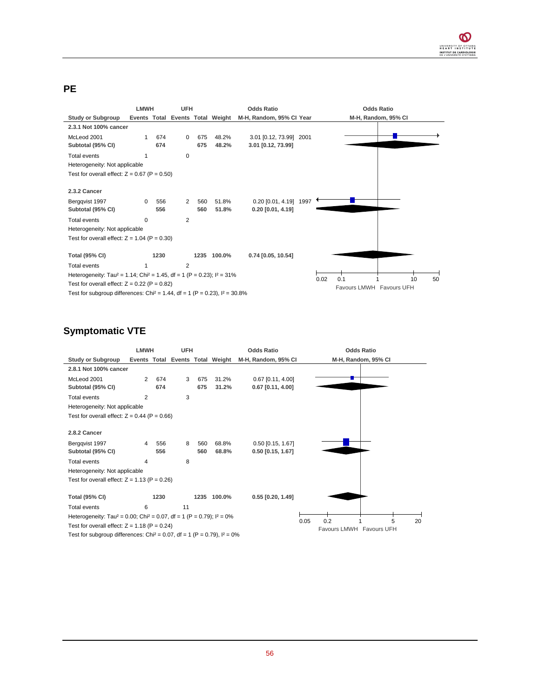#### **PE**

|                                                                                                 | <b>LMWH</b> |      | <b>UFH</b>     |                          | <b>Odds Ratio</b>                |                          |  | <b>Odds Ratio</b>   |
|-------------------------------------------------------------------------------------------------|-------------|------|----------------|--------------------------|----------------------------------|--------------------------|--|---------------------|
| <b>Study or Subgroup</b>                                                                        |             |      |                |                          | Events Total Events Total Weight | M-H, Random, 95% CI Year |  | M-H, Random, 95% CI |
| 2.3.1 Not 100% cancer                                                                           |             |      |                |                          |                                  |                          |  |                     |
| McLeod 2001                                                                                     |             | 674  | $\Omega$       | 675                      | 48.2%                            | 3.01 [0.12, 73.99] 2001  |  |                     |
| Subtotal (95% CI)                                                                               |             | 674  |                | 675                      | 48.2%                            | 3.01 [0.12, 73.99]       |  |                     |
| <b>Total events</b>                                                                             |             |      | 0              |                          |                                  |                          |  |                     |
| Heterogeneity: Not applicable                                                                   |             |      |                |                          |                                  |                          |  |                     |
| Test for overall effect: $Z = 0.67$ (P = 0.50)                                                  |             |      |                |                          |                                  |                          |  |                     |
|                                                                                                 |             |      |                |                          |                                  |                          |  |                     |
| 2.3.2 Cancer                                                                                    |             |      |                |                          |                                  |                          |  |                     |
| Bergqvist 1997                                                                                  | $\Omega$    | 556  | 2              | 560                      | 51.8%                            | 0.20 [0.01, 4.19] 1997   |  |                     |
| Subtotal (95% CI)                                                                               |             | 556  |                | 560                      | 51.8%                            | $0.20$ [0.01, 4.19]      |  |                     |
| <b>Total events</b>                                                                             | $\Omega$    |      | $\overline{2}$ |                          |                                  |                          |  |                     |
| Heterogeneity: Not applicable                                                                   |             |      |                |                          |                                  |                          |  |                     |
| Test for overall effect: $Z = 1.04$ (P = 0.30)                                                  |             |      |                |                          |                                  |                          |  |                     |
|                                                                                                 |             |      |                |                          |                                  |                          |  |                     |
| <b>Total (95% CI)</b>                                                                           |             | 1230 |                |                          | 1235 100.0%                      | 0.74 [0.05, 10.54]       |  |                     |
| <b>Total events</b>                                                                             |             |      | $\overline{2}$ |                          |                                  |                          |  |                     |
| Heterogeneity: Tau <sup>2</sup> = 1.14; Chi <sup>2</sup> = 1.45, df = 1 (P = 0.23); $I^2$ = 31% |             |      |                | 0.1<br>0.02<br>10<br>50  |                                  |                          |  |                     |
| Test for overall effect: $Z = 0.22$ (P = 0.82)                                                  |             |      |                | Favours LMWH Favours UFH |                                  |                          |  |                     |
| Test for subgroup differences: Chi <sup>2</sup> = 1.44, df = 1 (P = 0.23), $I^2$ = 30.8%        |             |      |                |                          |                                  |                          |  |                     |

### **Symptomatic VTE**

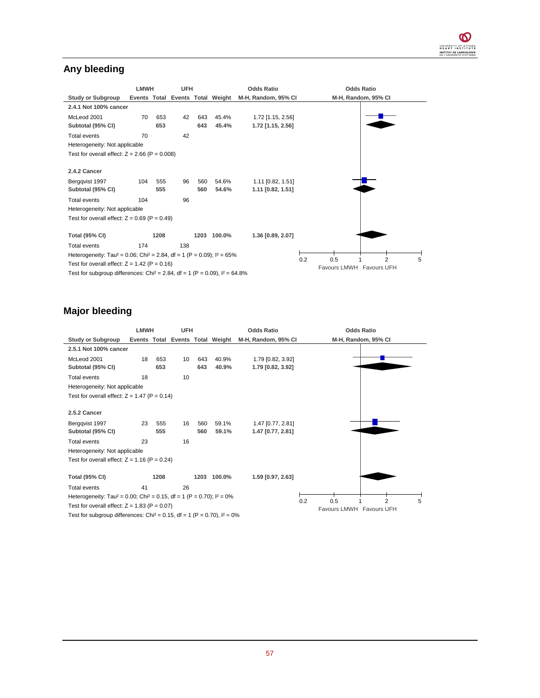## **Any bleeding**

|                                                                                                  |     | <b>LMWH</b><br><b>UFH</b> |     |      |                                  | <b>Odds Ratio</b>   |     | <b>Odds Ratio</b>               |                     |   |  |
|--------------------------------------------------------------------------------------------------|-----|---------------------------|-----|------|----------------------------------|---------------------|-----|---------------------------------|---------------------|---|--|
| <b>Study or Subgroup</b>                                                                         |     |                           |     |      | Events Total Events Total Weight | M-H, Random, 95% CI |     |                                 | M-H, Random, 95% CI |   |  |
| 2.4.1 Not 100% cancer                                                                            |     |                           |     |      |                                  |                     |     |                                 |                     |   |  |
| McLeod 2001                                                                                      | 70  | 653                       | 42  | 643  | 45.4%                            | 1.72 [1.15, 2.56]   |     |                                 |                     |   |  |
| Subtotal (95% CI)                                                                                |     | 653                       |     | 643  | 45.4%                            | 1.72 [1.15, 2.56]   |     |                                 |                     |   |  |
| <b>Total events</b>                                                                              | 70  |                           | 42  |      |                                  |                     |     |                                 |                     |   |  |
| Heterogeneity: Not applicable                                                                    |     |                           |     |      |                                  |                     |     |                                 |                     |   |  |
| Test for overall effect: $Z = 2.66$ (P = 0.008)                                                  |     |                           |     |      |                                  |                     |     |                                 |                     |   |  |
| 2.4.2 Cancer                                                                                     |     |                           |     |      |                                  |                     |     |                                 |                     |   |  |
| Bergqvist 1997                                                                                   | 104 | 555                       | 96  | 560  | 54.6%                            | 1.11 [0.82, 1.51]   |     |                                 |                     |   |  |
| Subtotal (95% CI)                                                                                |     | 555                       |     | 560  | 54.6%                            | 1.11 [0.82, 1.51]   |     |                                 |                     |   |  |
| <b>Total events</b>                                                                              | 104 |                           | 96  |      |                                  |                     |     |                                 |                     |   |  |
| Heterogeneity: Not applicable                                                                    |     |                           |     |      |                                  |                     |     |                                 |                     |   |  |
| Test for overall effect: $Z = 0.69$ (P = 0.49)                                                   |     |                           |     |      |                                  |                     |     |                                 |                     |   |  |
| <b>Total (95% CI)</b>                                                                            |     | 1208                      |     | 1203 | 100.0%                           | 1.36 [0.89, 2.07]   |     |                                 |                     |   |  |
| Total events                                                                                     | 174 |                           | 138 |      |                                  |                     |     |                                 |                     |   |  |
| Heterogeneity: Tau <sup>2</sup> = 0.06; Chi <sup>2</sup> = 2.84, df = 1 (P = 0.09); $I^2 = 65\%$ |     |                           |     |      |                                  |                     |     |                                 |                     |   |  |
| Test for overall effect: $Z = 1.42$ (P = 0.16)                                                   |     |                           |     |      |                                  |                     | 0.2 | 0.5<br>Favours LMWH Favours UFH | $\overline{2}$      | 5 |  |
| Test for subgroup differences: Chi <sup>2</sup> = 2.84, df = 1 (P = 0.09), $I^2 = 64.8\%$        |     |                           |     |      |                                  |                     |     |                                 |                     |   |  |

# **Major bleeding**

|                                                                                                 | <b>LMWH</b><br><b>UFH</b> |      |                 |      |                                  | <b>Odds Ratio</b>   |     | <b>Odds Ratio</b>          |  |  |  |
|-------------------------------------------------------------------------------------------------|---------------------------|------|-----------------|------|----------------------------------|---------------------|-----|----------------------------|--|--|--|
| <b>Study or Subgroup</b>                                                                        |                           |      |                 |      | Events Total Events Total Weight | M-H, Random, 95% CI |     | M-H, Random, 95% CI        |  |  |  |
| 2.5.1 Not 100% cancer                                                                           |                           |      |                 |      |                                  |                     |     |                            |  |  |  |
| McLeod 2001                                                                                     | 18                        | 653  | 10 <sup>1</sup> | 643  | 40.9%                            | 1.79 [0.82, 3.92]   |     |                            |  |  |  |
| Subtotal (95% CI)                                                                               |                           | 653  |                 | 643  | 40.9%                            | 1.79 [0.82, 3.92]   |     |                            |  |  |  |
| <b>Total events</b>                                                                             | 18                        |      | 10              |      |                                  |                     |     |                            |  |  |  |
| Heterogeneity: Not applicable                                                                   |                           |      |                 |      |                                  |                     |     |                            |  |  |  |
| Test for overall effect: $Z = 1.47$ (P = 0.14)                                                  |                           |      |                 |      |                                  |                     |     |                            |  |  |  |
| 2.5.2 Cancer                                                                                    |                           |      |                 |      |                                  |                     |     |                            |  |  |  |
| Bergqvist 1997                                                                                  | 23                        | 555  | 16              | 560  | 59.1%                            | 1.47 [0.77, 2.81]   |     |                            |  |  |  |
| Subtotal (95% CI)                                                                               |                           | 555  |                 | 560  | 59.1%                            | 1.47 [0.77, 2.81]   |     |                            |  |  |  |
| Total events                                                                                    | 23                        |      | 16              |      |                                  |                     |     |                            |  |  |  |
| Heterogeneity: Not applicable                                                                   |                           |      |                 |      |                                  |                     |     |                            |  |  |  |
| Test for overall effect: $Z = 1.16$ (P = 0.24)                                                  |                           |      |                 |      |                                  |                     |     |                            |  |  |  |
| <b>Total (95% CI)</b>                                                                           |                           | 1208 |                 | 1203 | 100.0%                           | 1.59 [0.97, 2.63]   |     |                            |  |  |  |
| <b>Total events</b>                                                                             | 41                        |      | 26              |      |                                  |                     |     |                            |  |  |  |
| Heterogeneity: Tau <sup>2</sup> = 0.00; Chi <sup>2</sup> = 0.15, df = 1 (P = 0.70); $I^2 = 0\%$ |                           |      |                 |      |                                  |                     | 0.2 | $\overline{2}$<br>0.5<br>5 |  |  |  |
| Test for overall effect: $Z = 1.83$ (P = 0.07)                                                  |                           |      |                 |      |                                  |                     |     | Favours LMWH Favours UFH   |  |  |  |
| Test for subgroup differences: Chi <sup>2</sup> = 0.15, df = 1 (P = 0.70), $I^2 = 0\%$          |                           |      |                 |      |                                  |                     |     |                            |  |  |  |